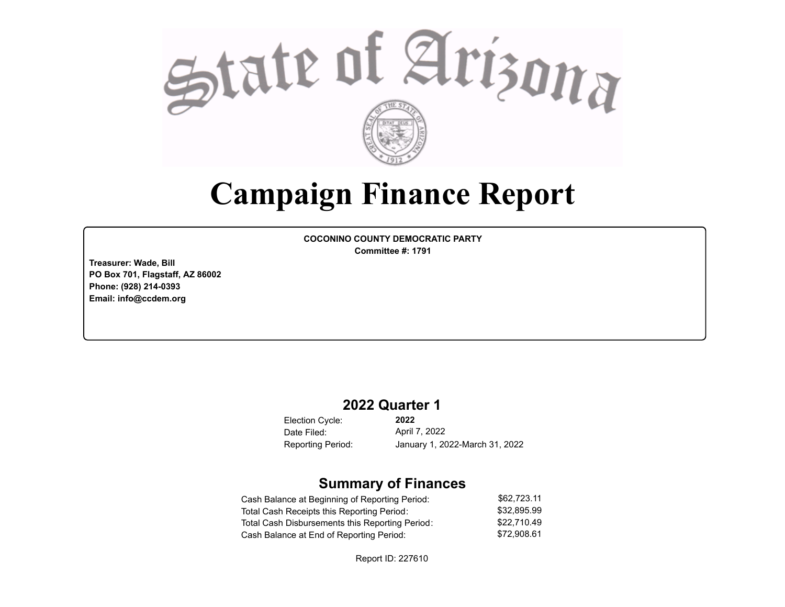

# **Campaign Finance Report**

**COCONINO COUNTY DEMOCRATIC PARTY Committee #: 1791**

**Treasurer: Wade, Bill PO Box 701, Flagstaff, AZ 86002 Phone: (928) 214-0393 Email: info@ccdem.org**

## **2022 Quarter 1**

Election Cycle: Date Filed:

**2022** April 7, 2022 Reporting Period: January 1, 2022-March 31, 2022

## **Summary of Finances**

| Cash Balance at Beginning of Reporting Period:  | \$62.723.11 |
|-------------------------------------------------|-------------|
| Total Cash Receipts this Reporting Period:      | \$32.895.99 |
| Total Cash Disbursements this Reporting Period: | \$22,710.49 |
| Cash Balance at End of Reporting Period:        | \$72.908.61 |

Report ID: 227610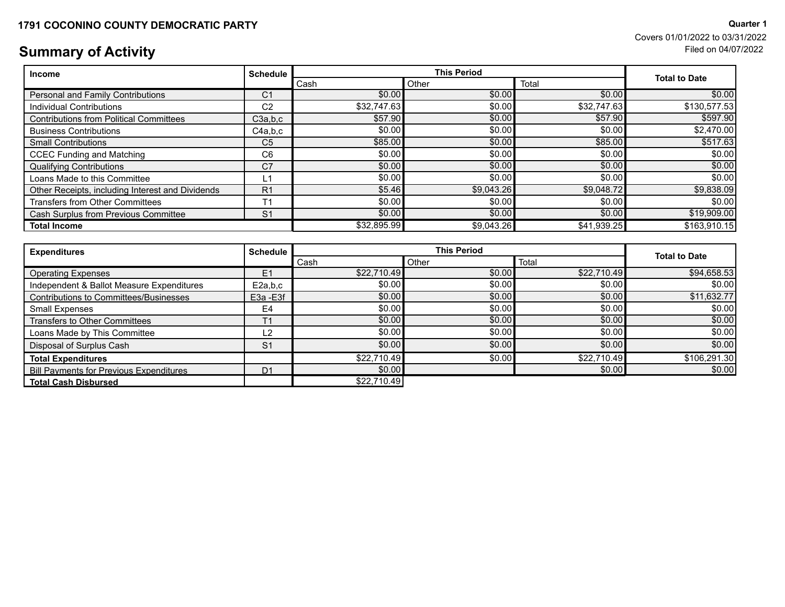# **Summary of Activity** Filed on 04/07/2022

| <b>Income</b>                                    | <b>Schedule</b> | <b>This Period</b> |            |             | <b>Total to Date</b> |
|--------------------------------------------------|-----------------|--------------------|------------|-------------|----------------------|
|                                                  |                 | Cash               | Other      | Total       |                      |
| Personal and Family Contributions                | C <sub>1</sub>  | \$0.00             | \$0.00     | \$0.00      | \$0.00               |
| Individual Contributions                         | C <sub>2</sub>  | \$32,747.63        | \$0.00     | \$32,747.63 | \$130,577.53         |
| <b>Contributions from Political Committees</b>   | C3a,b,c         | \$57.90            | \$0.00     | \$57.90     | \$597.90             |
| <b>Business Contributions</b>                    | C4a.b.c         | \$0.00             | \$0.00     | \$0.00      | \$2,470.00           |
| <b>Small Contributions</b>                       | C <sub>5</sub>  | \$85.00            | \$0.00     | \$85.00     | \$517.63             |
| <b>CCEC Funding and Matching</b>                 | C <sub>6</sub>  | \$0.00             | \$0.00     | \$0.00      | \$0.00               |
| <b>Qualifying Contributions</b>                  | C <sub>7</sub>  | \$0.00             | \$0.00     | \$0.00      | \$0.00               |
| Loans Made to this Committee                     | L1              | \$0.00             | \$0.00     | \$0.00      | \$0.00               |
| Other Receipts, including Interest and Dividends | R <sub>1</sub>  | \$5.46             | \$9,043.26 | \$9,048.72  | \$9,838.09           |
| <b>Transfers from Other Committees</b>           | T <sub>1</sub>  | \$0.00             | \$0.00     | \$0.00      | \$0.00               |
| Cash Surplus from Previous Committee             | S <sub>1</sub>  | \$0.00             | \$0.00     | \$0.00      | \$19,909.00          |
| <b>Total Income</b>                              |                 | \$32,895.99        | \$9,043.26 | \$41,939.25 | \$163,910.15         |

| <b>Expenditures</b>                            | <b>Schedule</b> | <b>This Period</b> |        |             |                      |
|------------------------------------------------|-----------------|--------------------|--------|-------------|----------------------|
|                                                |                 | Cash               | Other  | Total       | <b>Total to Date</b> |
| <b>Operating Expenses</b>                      | E1              | \$22.710.49        | \$0.00 | \$22,710.49 | \$94,658.53          |
| Independent & Ballot Measure Expenditures      | E2a,b,c         | \$0.00             | \$0.00 | \$0.00      | \$0.00               |
| Contributions to Committees/Businesses         | E3a - E3f       | \$0.00             | \$0.00 | \$0.00      | \$11,632.77          |
| Small Expenses                                 | E <sub>4</sub>  | \$0.00]            | \$0.00 | \$0.00      | \$0.00               |
| Transfers to Other Committees                  | T <sub>1</sub>  | \$0.00             | \$0.00 | \$0.00      | \$0.00               |
| Loans Made by This Committee                   | L2              | \$0.00             | \$0.00 | \$0.00      | \$0.00               |
| Disposal of Surplus Cash                       | S <sub>1</sub>  | \$0.00             | \$0.00 | \$0.00      | \$0.00               |
| <b>Total Expenditures</b>                      |                 | \$22,710.49        | \$0.00 | \$22,710.49 | \$106,291.30         |
| <b>Bill Payments for Previous Expenditures</b> | D <sub>1</sub>  | \$0.00             |        | \$0.00      | \$0.00               |
| <b>Total Cash Disbursed</b>                    |                 | \$22.710.49        |        |             |                      |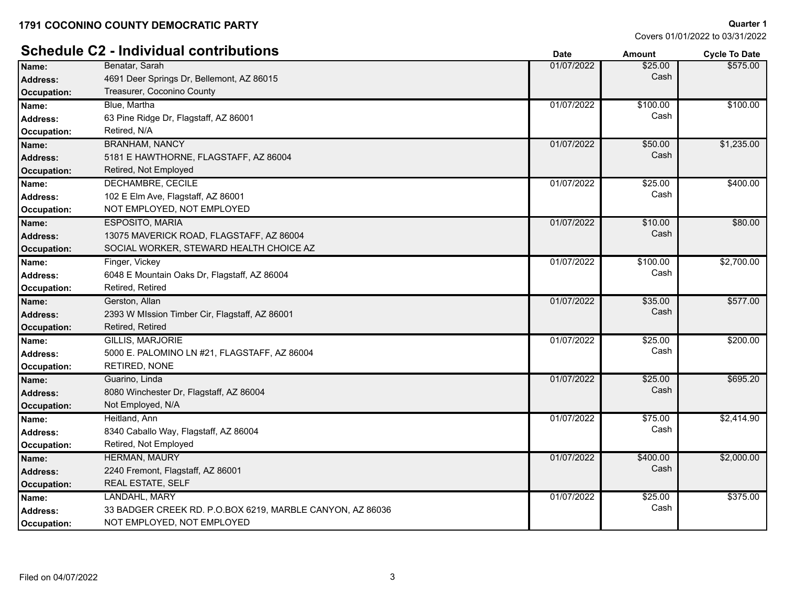|                    | <b>Schedule C2 - Individual contributions</b>             | <b>Date</b> | <b>Amount</b> | <b>Cycle To Date</b> |
|--------------------|-----------------------------------------------------------|-------------|---------------|----------------------|
| Name:              | Benatar, Sarah                                            | 01/07/2022  | \$25.00       | \$575.00             |
| <b>Address:</b>    | 4691 Deer Springs Dr, Bellemont, AZ 86015                 |             | Cash          |                      |
| Occupation:        | Treasurer, Coconino County                                |             |               |                      |
| Name:              | Blue, Martha                                              | 01/07/2022  | \$100.00      | \$100.00             |
| <b>Address:</b>    | 63 Pine Ridge Dr, Flagstaff, AZ 86001                     |             | Cash          |                      |
| Occupation:        | Retired, N/A                                              |             |               |                      |
| Name:              | <b>BRANHAM, NANCY</b>                                     | 01/07/2022  | \$50.00       | \$1,235.00           |
| <b>Address:</b>    | 5181 E HAWTHORNE, FLAGSTAFF, AZ 86004                     |             | Cash          |                      |
| <b>Occupation:</b> | Retired, Not Employed                                     |             |               |                      |
| Name:              | <b>DECHAMBRE, CECILE</b>                                  | 01/07/2022  | \$25.00       | \$400.00             |
| Address:           | 102 E Elm Ave, Flagstaff, AZ 86001                        |             | Cash          |                      |
| Occupation:        | NOT EMPLOYED, NOT EMPLOYED                                |             |               |                      |
| Name:              | <b>ESPOSITO, MARIA</b>                                    | 01/07/2022  | \$10.00       | \$80.00              |
| <b>Address:</b>    | 13075 MAVERICK ROAD, FLAGSTAFF, AZ 86004                  |             | Cash          |                      |
| <b>Occupation:</b> | SOCIAL WORKER, STEWARD HEALTH CHOICE AZ                   |             |               |                      |
| Name:              | Finger, Vickey                                            | 01/07/2022  | \$100.00      | \$2,700.00           |
| <b>Address:</b>    | 6048 E Mountain Oaks Dr, Flagstaff, AZ 86004              |             | Cash          |                      |
| Occupation:        | Retired, Retired                                          |             |               |                      |
| Name:              | Gerston, Allan                                            | 01/07/2022  | \$35.00       | \$577.00             |
| Address:           | 2393 W MIssion Timber Cir, Flagstaff, AZ 86001            |             | Cash          |                      |
| <b>Occupation:</b> | Retired, Retired                                          |             |               |                      |
| Name:              | <b>GILLIS, MARJORIE</b>                                   | 01/07/2022  | \$25.00       | \$200.00             |
| <b>Address:</b>    | 5000 E. PALOMINO LN #21, FLAGSTAFF, AZ 86004              |             | Cash          |                      |
| Occupation:        | RETIRED, NONE                                             |             |               |                      |
| Name:              | Guarino, Linda                                            | 01/07/2022  | \$25.00       | \$695.20             |
| <b>Address:</b>    | 8080 Winchester Dr, Flagstaff, AZ 86004                   |             | Cash          |                      |
| <b>Occupation:</b> | Not Employed, N/A                                         |             |               |                      |
| Name:              | Heitland, Ann                                             | 01/07/2022  | \$75.00       | \$2,414.90           |
| <b>Address:</b>    | 8340 Caballo Way, Flagstaff, AZ 86004                     |             | Cash          |                      |
| <b>Occupation:</b> | Retired, Not Employed                                     |             |               |                      |
| Name:              | <b>HERMAN, MAURY</b>                                      | 01/07/2022  | \$400.00      | \$2,000.00           |
| <b>Address:</b>    | 2240 Fremont, Flagstaff, AZ 86001                         |             | Cash          |                      |
| <b>Occupation:</b> | REAL ESTATE, SELF                                         |             |               |                      |
| Name:              | LANDAHL, MARY                                             | 01/07/2022  | \$25.00       | \$375.00             |
| Address:           | 33 BADGER CREEK RD. P.O.BOX 6219, MARBLE CANYON, AZ 86036 |             | Cash          |                      |
| Occupation:        | NOT EMPLOYED, NOT EMPLOYED                                |             |               |                      |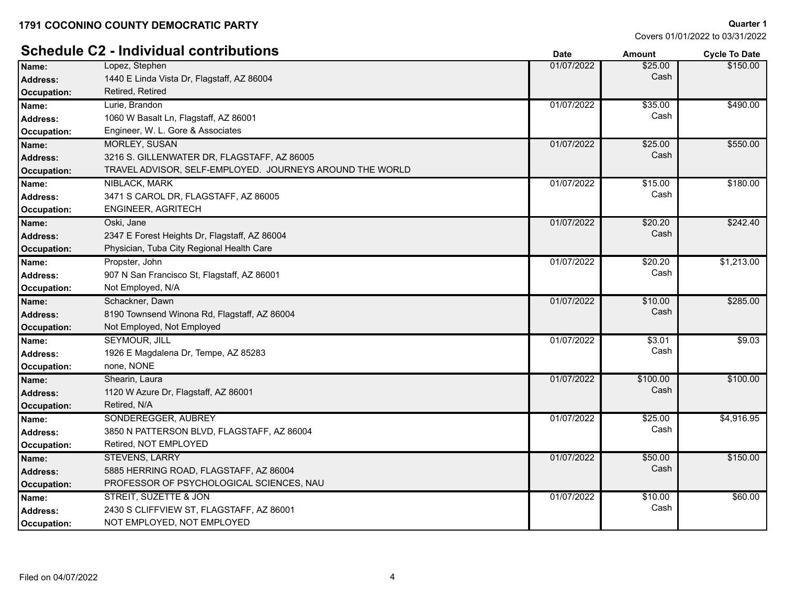Lopez, Stephen

\$150.00

# **Schedule C2 - Individual contributions Date Date Date Amount Cycle To Date**

| <b>Address:</b>    | 1440 E Linda Vista Dr, Flagstaff, AZ 86004               |            | Cash     |            |
|--------------------|----------------------------------------------------------|------------|----------|------------|
| <b>Occupation:</b> | Retired, Retired                                         |            |          |            |
| Name:              | Lurie, Brandon                                           | 01/07/2022 | \$35.00  | \$490.00   |
| <b>Address:</b>    | 1060 W Basalt Ln, Flagstaff, AZ 86001                    |            | Cash     |            |
| Occupation:        | Engineer, W. L. Gore & Associates                        |            |          |            |
| Name:              | <b>MORLEY, SUSAN</b>                                     | 01/07/2022 | \$25.00  | \$550.00   |
| Address:           | 3216 S. GILLENWATER DR, FLAGSTAFF, AZ 86005              |            | Cash     |            |
| Occupation:        | TRAVEL ADVISOR, SELF-EMPLOYED. JOURNEYS AROUND THE WORLD |            |          |            |
| Name:              | NIBLACK, MARK                                            | 01/07/2022 | \$15.00  | \$180.00   |
| <b>Address:</b>    | 3471 S CAROL DR, FLAGSTAFF, AZ 86005                     |            | Cash     |            |
| Occupation:        | <b>ENGINEER, AGRITECH</b>                                |            |          |            |
| Name:              | Oski, Jane                                               | 01/07/2022 | \$20.20  | \$242.40   |
| <b>Address:</b>    | 2347 E Forest Heights Dr, Flagstaff, AZ 86004            |            | Cash     |            |
| <b>Occupation:</b> | Physician, Tuba City Regional Health Care                |            |          |            |
| Name:              | Propster, John                                           | 01/07/2022 | \$20.20  | \$1,213.00 |
| <b>Address:</b>    | 907 N San Francisco St, Flagstaff, AZ 86001              |            | Cash     |            |
| Occupation:        | Not Employed, N/A                                        |            |          |            |
| Name:              | Schackner, Dawn                                          | 01/07/2022 | \$10.00  | \$285.00   |
| Address:           | 8190 Townsend Winona Rd, Flagstaff, AZ 86004             |            | Cash     |            |
| Occupation:        | Not Employed, Not Employed                               |            |          |            |
| Name:              | <b>SEYMOUR, JILL</b>                                     | 01/07/2022 | \$3.01   | \$9.03     |
| <b>Address:</b>    | 1926 E Magdalena Dr, Tempe, AZ 85283                     |            | Cash     |            |
| Occupation:        | none, NONE                                               |            |          |            |
| Name:              | Shearin, Laura                                           | 01/07/2022 | \$100.00 | \$100.00   |
| Address:           | 1120 W Azure Dr, Flagstaff, AZ 86001                     |            | Cash     |            |
| Occupation:        | Retired, N/A                                             |            |          |            |
| Name:              | SONDEREGGER, AUBREY                                      | 01/07/2022 | \$25.00  | \$4,916.95 |
| <b>Address:</b>    | 3850 N PATTERSON BLVD, FLAGSTAFF, AZ 86004               |            | Cash     |            |
| Occupation:        | Retired, NOT EMPLOYED                                    |            |          |            |
| Name:              | <b>STEVENS, LARRY</b>                                    | 01/07/2022 | \$50.00  | \$150.00   |
| <b>Address:</b>    | 5885 HERRING ROAD, FLAGSTAFF, AZ 86004                   |            | Cash     |            |
| Occupation:        | PROFESSOR OF PSYCHOLOGICAL SCIENCES, NAU                 |            |          |            |
| Name:              | STREIT, SUZETTE & JON                                    | 01/07/2022 | \$10.00  | \$60.00    |
| Address:           | 2430 S CLIFFVIEW ST, FLAGSTAFF, AZ 86001                 |            | Cash     |            |
| Occupation:        | NOT EMPLOYED, NOT EMPLOYED                               |            |          |            |
|                    |                                                          |            |          |            |

**Name:** 01/07/2022 \$25.00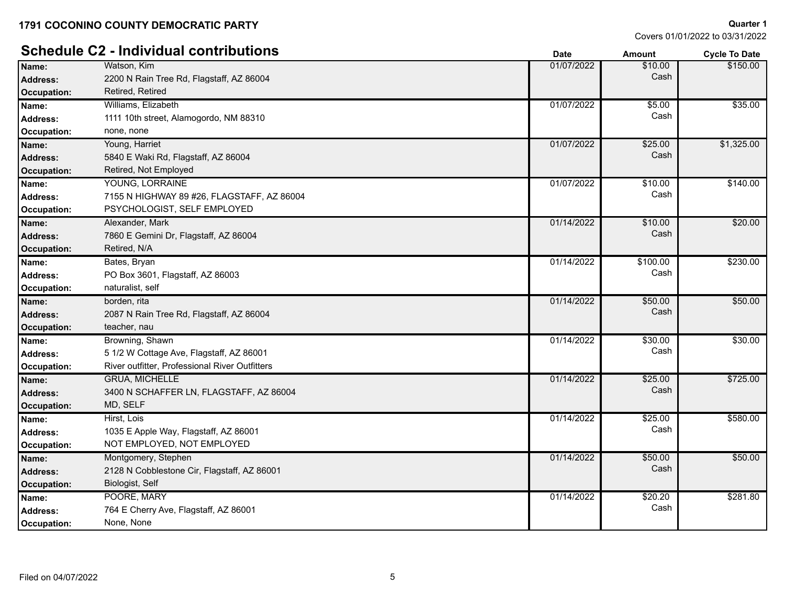# **Schedule C2 - Individual contributions Date Date** *Date**Amount* **Cycle To Date <b>***Cycle To Date*

| Cash<br>2200 N Rain Tree Rd, Flagstaff, AZ 86004<br>Address:<br>Retired, Retired<br>Occupation:<br>01/07/2022<br>\$5.00<br>Williams, Elizabeth<br>Name:<br>Cash<br>1111 10th street, Alamogordo, NM 88310<br>Address:<br>Occupation:<br>none, none<br>01/07/2022<br>Young, Harriet<br>\$25.00<br>Cash<br>5840 E Waki Rd, Flagstaff, AZ 86004<br><b>Address:</b> | \$35.00    |
|-----------------------------------------------------------------------------------------------------------------------------------------------------------------------------------------------------------------------------------------------------------------------------------------------------------------------------------------------------------------|------------|
| Name:                                                                                                                                                                                                                                                                                                                                                           |            |
|                                                                                                                                                                                                                                                                                                                                                                 |            |
|                                                                                                                                                                                                                                                                                                                                                                 |            |
|                                                                                                                                                                                                                                                                                                                                                                 |            |
|                                                                                                                                                                                                                                                                                                                                                                 |            |
|                                                                                                                                                                                                                                                                                                                                                                 | \$1,325.00 |
|                                                                                                                                                                                                                                                                                                                                                                 |            |
| Retired, Not Employed<br><b>Occupation:</b>                                                                                                                                                                                                                                                                                                                     |            |
| YOUNG, LORRAINE<br>01/07/2022<br>\$10.00<br>Name:                                                                                                                                                                                                                                                                                                               | \$140.00   |
| Cash<br>7155 N HIGHWAY 89 #26, FLAGSTAFF, AZ 86004<br>Address:                                                                                                                                                                                                                                                                                                  |            |
| PSYCHOLOGIST, SELF EMPLOYED<br>Occupation:                                                                                                                                                                                                                                                                                                                      |            |
| \$10.00<br>Alexander, Mark<br>01/14/2022<br>Name:                                                                                                                                                                                                                                                                                                               | \$20.00    |
| Cash<br>7860 E Gemini Dr, Flagstaff, AZ 86004<br>Address:                                                                                                                                                                                                                                                                                                       |            |
| Retired, N/A<br><b>Occupation:</b>                                                                                                                                                                                                                                                                                                                              |            |
| 01/14/2022<br>\$100.00<br>Bates, Bryan<br>Name:                                                                                                                                                                                                                                                                                                                 | \$230.00   |
| Cash<br>PO Box 3601, Flagstaff, AZ 86003<br>Address:                                                                                                                                                                                                                                                                                                            |            |
| naturalist, self<br>Occupation:                                                                                                                                                                                                                                                                                                                                 |            |
| 01/14/2022<br>\$50.00<br>borden, rita<br>Name:                                                                                                                                                                                                                                                                                                                  | \$50.00    |
| Cash<br>2087 N Rain Tree Rd, Flagstaff, AZ 86004<br><b>Address:</b>                                                                                                                                                                                                                                                                                             |            |
| teacher, nau<br>Occupation:                                                                                                                                                                                                                                                                                                                                     |            |
| Browning, Shawn<br>01/14/2022<br>\$30.00<br>Name:                                                                                                                                                                                                                                                                                                               | \$30.00    |
| Cash<br>5 1/2 W Cottage Ave, Flagstaff, AZ 86001<br><b>Address:</b>                                                                                                                                                                                                                                                                                             |            |
| River outfitter, Professional River Outfitters<br>Occupation:                                                                                                                                                                                                                                                                                                   |            |
| <b>GRUA, MICHELLE</b><br>\$25.00<br>01/14/2022<br>Name:                                                                                                                                                                                                                                                                                                         | \$725.00   |
| Cash<br>3400 N SCHAFFER LN, FLAGSTAFF, AZ 86004<br>Address:                                                                                                                                                                                                                                                                                                     |            |
| MD, SELF<br><b>Occupation:</b>                                                                                                                                                                                                                                                                                                                                  |            |
| 01/14/2022<br>\$25.00<br>Hirst, Lois<br>Name:                                                                                                                                                                                                                                                                                                                   | \$580.00   |
| Cash<br>1035 E Apple Way, Flagstaff, AZ 86001<br>Address:                                                                                                                                                                                                                                                                                                       |            |
| NOT EMPLOYED, NOT EMPLOYED<br>Occupation:                                                                                                                                                                                                                                                                                                                       |            |
| 01/14/2022<br>\$50.00<br>Montgomery, Stephen<br>Name:                                                                                                                                                                                                                                                                                                           | \$50.00    |
| Cash<br>2128 N Cobblestone Cir, Flagstaff, AZ 86001<br><b>Address:</b>                                                                                                                                                                                                                                                                                          |            |
| Biologist, Self<br><b>Occupation:</b>                                                                                                                                                                                                                                                                                                                           |            |
| POORE, MARY<br>01/14/2022<br>\$20.20<br>Name:                                                                                                                                                                                                                                                                                                                   | \$281.80   |
| Cash<br>764 E Cherry Ave, Flagstaff, AZ 86001<br>Address:                                                                                                                                                                                                                                                                                                       |            |
| None, None<br>Occupation:                                                                                                                                                                                                                                                                                                                                       |            |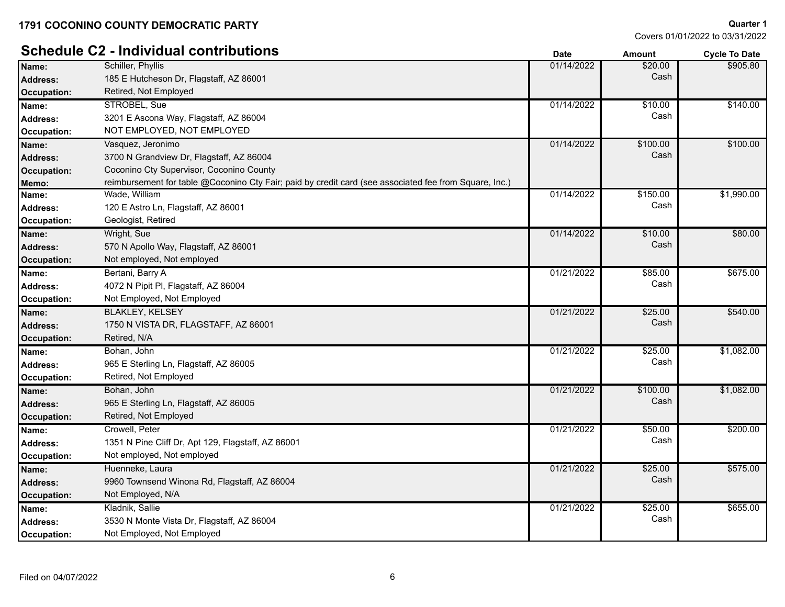# **Schedule C2 - Individual contributions Date Date Date Amount Cycle To Date**

| Name:              | Schiller, Phyllis                                                                                      | 01/14/2022 | \$20.00  | \$905.80   |
|--------------------|--------------------------------------------------------------------------------------------------------|------------|----------|------------|
| <b>Address:</b>    | 185 E Hutcheson Dr, Flagstaff, AZ 86001                                                                |            | Cash     |            |
| <b>Occupation:</b> | Retired, Not Employed                                                                                  |            |          |            |
| Name:              | STROBEL, Sue                                                                                           | 01/14/2022 | \$10.00  | \$140.00   |
| <b>Address:</b>    | 3201 E Ascona Way, Flagstaff, AZ 86004                                                                 |            | Cash     |            |
| Occupation:        | NOT EMPLOYED, NOT EMPLOYED                                                                             |            |          |            |
| Name:              | Vasquez, Jeronimo                                                                                      | 01/14/2022 | \$100.00 | \$100.00   |
| <b>Address:</b>    | 3700 N Grandview Dr, Flagstaff, AZ 86004                                                               |            | Cash     |            |
| <b>Occupation:</b> | Coconino Cty Supervisor, Coconino County                                                               |            |          |            |
| Memo:              | reimbursement for table @Coconino Cty Fair; paid by credit card (see associated fee from Square, Inc.) |            |          |            |
| Name:              | Wade, William                                                                                          | 01/14/2022 | \$150.00 | \$1,990.00 |
| Address:           | 120 E Astro Ln, Flagstaff, AZ 86001                                                                    |            | Cash     |            |
| Occupation:        | Geologist, Retired                                                                                     |            |          |            |
| Name:              | Wright, Sue                                                                                            | 01/14/2022 | \$10.00  | \$80.00    |
| <b>Address:</b>    | 570 N Apollo Way, Flagstaff, AZ 86001                                                                  |            | Cash     |            |
| <b>Occupation:</b> | Not employed, Not employed                                                                             |            |          |            |
| Name:              | Bertani, Barry A                                                                                       | 01/21/2022 | \$85.00  | \$675.00   |
| <b>Address:</b>    | 4072 N Pipit PI, Flagstaff, AZ 86004                                                                   |            | Cash     |            |
| Occupation:        | Not Employed, Not Employed                                                                             |            |          |            |
| Name:              | <b>BLAKLEY, KELSEY</b>                                                                                 | 01/21/2022 | \$25.00  | \$540.00   |
| <b>Address:</b>    | 1750 N VISTA DR, FLAGSTAFF, AZ 86001                                                                   |            | Cash     |            |
| <b>Occupation:</b> | Retired, N/A                                                                                           |            |          |            |
| Name:              | Bohan, John                                                                                            | 01/21/2022 | \$25.00  | \$1,082.00 |
| <b>Address:</b>    | 965 E Sterling Ln, Flagstaff, AZ 86005                                                                 |            | Cash     |            |
| Occupation:        | Retired, Not Employed                                                                                  |            |          |            |
| Name:              | Bohan, John                                                                                            | 01/21/2022 | \$100.00 | \$1,082.00 |
| <b>Address:</b>    | 965 E Sterling Ln, Flagstaff, AZ 86005                                                                 |            | Cash     |            |
| <b>Occupation:</b> | Retired, Not Employed                                                                                  |            |          |            |
| Name:              | Crowell, Peter                                                                                         | 01/21/2022 | \$50.00  | \$200.00   |
| <b>Address:</b>    | 1351 N Pine Cliff Dr, Apt 129, Flagstaff, AZ 86001                                                     |            | Cash     |            |
| Occupation:        | Not employed, Not employed                                                                             |            |          |            |
| Name:              | Huenneke, Laura                                                                                        | 01/21/2022 | \$25.00  | \$575.00   |
| <b>Address:</b>    | 9960 Townsend Winona Rd, Flagstaff, AZ 86004                                                           |            | Cash     |            |
| <b>Occupation:</b> | Not Employed, N/A                                                                                      |            |          |            |
| Name:              | Kladnik, Sallie                                                                                        | 01/21/2022 | \$25.00  | \$655.00   |
| <b>Address:</b>    | 3530 N Monte Vista Dr, Flagstaff, AZ 86004                                                             |            | Cash     |            |
| Occupation:        | Not Employed, Not Employed                                                                             |            |          |            |
|                    |                                                                                                        |            |          |            |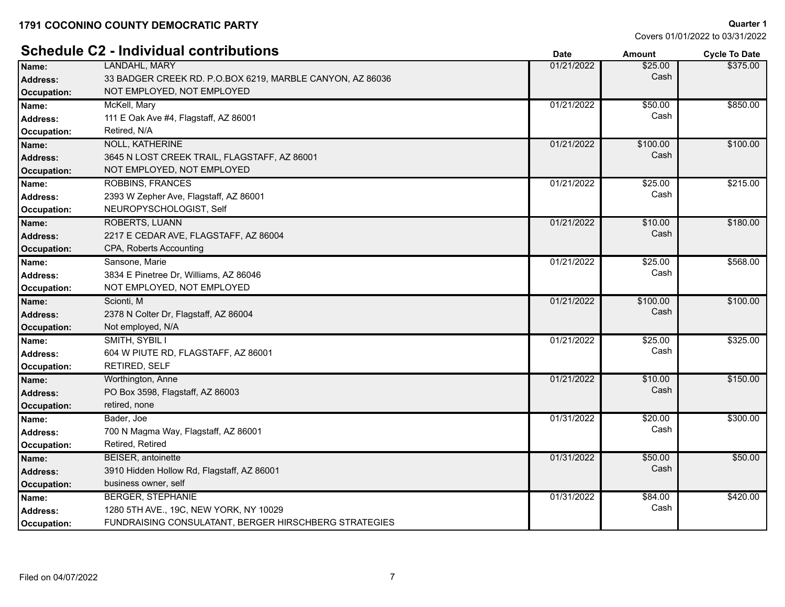**Schedule C2 - Individual contributions Date Amount Cycle To Date**

**Quarter 1** Covers 01/01/2022 to 03/31/2022

|                    | Schedule CZ - Individual contributions                    | <b>Date</b> | Amount   | <b>Cycle To Date</b> |
|--------------------|-----------------------------------------------------------|-------------|----------|----------------------|
| Name:              | LANDAHL, MARY                                             | 01/21/2022  | \$25.00  | \$375.00             |
| <b>Address:</b>    | 33 BADGER CREEK RD. P.O.BOX 6219, MARBLE CANYON, AZ 86036 |             | Cash     |                      |
| Occupation:        | NOT EMPLOYED, NOT EMPLOYED                                |             |          |                      |
| Name:              | McKell, Mary                                              | 01/21/2022  | \$50.00  | \$850.00             |
| <b>Address:</b>    | 111 E Oak Ave #4, Flagstaff, AZ 86001                     |             | Cash     |                      |
| Occupation:        | Retired, N/A                                              |             |          |                      |
| Name:              | <b>NOLL, KATHERINE</b>                                    | 01/21/2022  | \$100.00 | \$100.00             |
| <b>Address:</b>    | 3645 N LOST CREEK TRAIL, FLAGSTAFF, AZ 86001              |             | Cash     |                      |
| Occupation:        | NOT EMPLOYED, NOT EMPLOYED                                |             |          |                      |
| Name:              | <b>ROBBINS, FRANCES</b>                                   | 01/21/2022  | \$25.00  | \$215.00             |
| <b>Address:</b>    | 2393 W Zepher Ave, Flagstaff, AZ 86001                    |             | Cash     |                      |
| Occupation:        | NEUROPYSCHOLOGIST, Self                                   |             |          |                      |
| Name:              | <b>ROBERTS, LUANN</b>                                     | 01/21/2022  | \$10.00  | \$180.00             |
| <b>Address:</b>    | 2217 E CEDAR AVE, FLAGSTAFF, AZ 86004                     |             | Cash     |                      |
| Occupation:        | CPA, Roberts Accounting                                   |             |          |                      |
| Name:              | Sansone, Marie                                            | 01/21/2022  | \$25.00  | \$568.00             |
| <b>Address:</b>    | 3834 E Pinetree Dr, Williams, AZ 86046                    |             | Cash     |                      |
| Occupation:        | NOT EMPLOYED, NOT EMPLOYED                                |             |          |                      |
| Name:              | Scionti, M                                                | 01/21/2022  | \$100.00 | \$100.00             |
| Address:           | 2378 N Colter Dr, Flagstaff, AZ 86004                     |             | Cash     |                      |
| <b>Occupation:</b> | Not employed, N/A                                         |             |          |                      |
| Name:              | SMITH, SYBIL I                                            | 01/21/2022  | \$25.00  | \$325.00             |
| Address:           | 604 W PIUTE RD, FLAGSTAFF, AZ 86001                       |             | Cash     |                      |
| Occupation:        | <b>RETIRED, SELF</b>                                      |             |          |                      |
| Name:              | Worthington, Anne                                         | 01/21/2022  | \$10.00  | \$150.00             |
| Address:           | PO Box 3598, Flagstaff, AZ 86003                          |             | Cash     |                      |
| Occupation:        | retired, none                                             |             |          |                      |
| Name:              | Bader, Joe                                                | 01/31/2022  | \$20.00  | \$300.00             |
| <b>Address:</b>    | 700 N Magma Way, Flagstaff, AZ 86001                      |             | Cash     |                      |
| Occupation:        | Retired, Retired                                          |             |          |                      |
| Name:              | BEISER, antoinette                                        | 01/31/2022  | \$50.00  | \$50.00              |
| Address:           | 3910 Hidden Hollow Rd, Flagstaff, AZ 86001                |             | Cash     |                      |
| Occupation:        | business owner, self                                      |             |          |                      |
| Name:              | <b>BERGER, STEPHANIE</b>                                  | 01/31/2022  | \$84.00  | \$420.00             |
| Address:           | 1280 5TH AVE., 19C, NEW YORK, NY 10029                    |             | Cash     |                      |
| Occupation:        | FUNDRAISING CONSULATANT, BERGER HIRSCHBERG STRATEGIES     |             |          |                      |
|                    |                                                           |             |          |                      |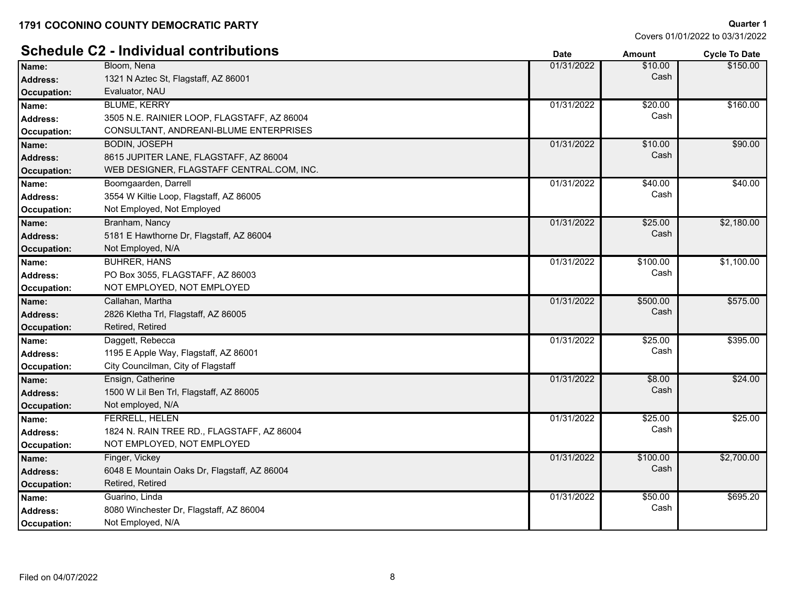# **Schedule C2 - Individual contributions**

| UVIIVUUIV VE       | $\sim$ 11191719991 - 001161109610113         | Date       | Amount          | Cycle to Date |
|--------------------|----------------------------------------------|------------|-----------------|---------------|
| Name:              | Bloom, Nena                                  | 01/31/2022 | \$10.00         | \$150.00      |
| <b>Address:</b>    | 1321 N Aztec St, Flagstaff, AZ 86001         |            | Cash            |               |
| <b>Occupation:</b> | Evaluator, NAU                               |            |                 |               |
| Name:              | <b>BLUME, KERRY</b>                          | 01/31/2022 | \$20.00         | \$160.00      |
| <b>Address:</b>    | 3505 N.E. RAINIER LOOP, FLAGSTAFF, AZ 86004  |            | Cash            |               |
| <b>Occupation:</b> | CONSULTANT, ANDREANI-BLUME ENTERPRISES       |            |                 |               |
| Name:              | <b>BODIN, JOSEPH</b>                         | 01/31/2022 | \$10.00         | \$90.00       |
| <b>Address:</b>    | 8615 JUPITER LANE, FLAGSTAFF, AZ 86004       |            | Cash            |               |
| <b>Occupation:</b> | WEB DESIGNER, FLAGSTAFF CENTRAL.COM, INC.    |            |                 |               |
| Name:              | Boomgaarden, Darrell                         | 01/31/2022 | $\sqrt{$40.00}$ | \$40.00       |
| <b>Address:</b>    | 3554 W Kiltie Loop, Flagstaff, AZ 86005      |            | Cash            |               |
| Occupation:        | Not Employed, Not Employed                   |            |                 |               |
| Name:              | Branham, Nancy                               | 01/31/2022 | \$25.00         | \$2,180.00    |
| <b>Address:</b>    | 5181 E Hawthorne Dr, Flagstaff, AZ 86004     |            | Cash            |               |
| <b>Occupation:</b> | Not Employed, N/A                            |            |                 |               |
| Name:              | <b>BUHRER, HANS</b>                          | 01/31/2022 | \$100.00        | \$1,100.00    |
| <b>Address:</b>    | PO Box 3055, FLAGSTAFF, AZ 86003             |            | Cash            |               |
| Occupation:        | NOT EMPLOYED, NOT EMPLOYED                   |            |                 |               |
| Name:              | Callahan, Martha                             | 01/31/2022 | \$500.00        | \$575.00      |
| <b>Address:</b>    | 2826 Kletha Trl, Flagstaff, AZ 86005         |            | Cash            |               |
| <b>Occupation:</b> | Retired, Retired                             |            |                 |               |
| Name:              | Daggett, Rebecca                             | 01/31/2022 | \$25.00         | \$395.00      |
| <b>Address:</b>    | 1195 E Apple Way, Flagstaff, AZ 86001        |            | Cash            |               |
| Occupation:        | City Councilman, City of Flagstaff           |            |                 |               |
| Name:              | Ensign, Catherine                            | 01/31/2022 | \$8.00          | \$24.00       |
| <b>Address:</b>    | 1500 W Lil Ben Trl, Flagstaff, AZ 86005      |            | Cash            |               |
| <b>Occupation:</b> | Not employed, N/A                            |            |                 |               |
| Name:              | <b>FERRELL, HELEN</b>                        | 01/31/2022 | \$25.00         | \$25.00       |
| <b>Address:</b>    | 1824 N. RAIN TREE RD., FLAGSTAFF, AZ 86004   |            | Cash            |               |
| <b>Occupation:</b> | NOT EMPLOYED, NOT EMPLOYED                   |            |                 |               |
| Name:              | Finger, Vickey                               | 01/31/2022 | \$100.00        | \$2,700.00    |
| <b>Address:</b>    | 6048 E Mountain Oaks Dr, Flagstaff, AZ 86004 |            | Cash            |               |
| <b>Occupation:</b> | Retired, Retired                             |            |                 |               |
| Name:              | Guarino, Linda                               | 01/31/2022 | \$50.00         | \$695.20      |
| <b>Address:</b>    | 8080 Winchester Dr, Flagstaff, AZ 86004      |            | Cash            |               |
| Occupation:        | Not Employed, N/A                            |            |                 |               |
|                    |                                              |            |                 |               |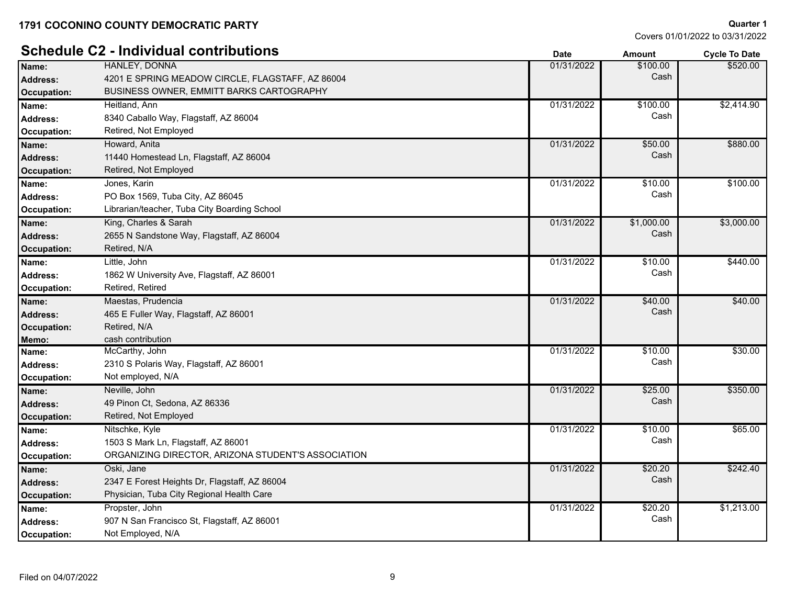|                    | <b>Schedule C2 - Individual contributions</b>      | <b>Date</b> | <b>Amount</b> | <b>Cycle To Date</b> |
|--------------------|----------------------------------------------------|-------------|---------------|----------------------|
| Name:              | HANLEY, DONNA                                      | 01/31/2022  | \$100.00      | \$520.00             |
| <b>Address:</b>    | 4201 E SPRING MEADOW CIRCLE, FLAGSTAFF, AZ 86004   |             | Cash          |                      |
| <b>Occupation:</b> | <b>BUSINESS OWNER, EMMITT BARKS CARTOGRAPHY</b>    |             |               |                      |
| Name:              | Heitland, Ann                                      | 01/31/2022  | \$100.00      | \$2,414.90           |
| <b>Address:</b>    | 8340 Caballo Way, Flagstaff, AZ 86004              |             | Cash          |                      |
| Occupation:        | Retired, Not Employed                              |             |               |                      |
| Name:              | Howard, Anita                                      | 01/31/2022  | \$50.00       | \$880.00             |
| Address:           | 11440 Homestead Ln, Flagstaff, AZ 86004            |             | Cash          |                      |
| <b>Occupation:</b> | Retired, Not Employed                              |             |               |                      |
| Name:              | Jones, Karin                                       | 01/31/2022  | \$10.00       | \$100.00             |
| <b>Address:</b>    | PO Box 1569, Tuba City, AZ 86045                   |             | Cash          |                      |
| Occupation:        | Librarian/teacher, Tuba City Boarding School       |             |               |                      |
| Name:              | King, Charles & Sarah                              | 01/31/2022  | \$1,000.00    | \$3,000.00           |
| <b>Address:</b>    | 2655 N Sandstone Way, Flagstaff, AZ 86004          |             | Cash          |                      |
| <b>Occupation:</b> | Retired, N/A                                       |             |               |                      |
| Name:              | Little, John                                       | 01/31/2022  | \$10.00       | \$440.00             |
| <b>Address:</b>    | 1862 W University Ave, Flagstaff, AZ 86001         |             | Cash          |                      |
| Occupation:        | Retired, Retired                                   |             |               |                      |
| Name:              | Maestas, Prudencia                                 | 01/31/2022  | \$40.00       | \$40.00              |
| <b>Address:</b>    | 465 E Fuller Way, Flagstaff, AZ 86001              |             | Cash          |                      |
| Occupation:        | Retired, N/A                                       |             |               |                      |
| Memo:              | cash contribution                                  |             |               |                      |
| Name:              | McCarthy, John                                     | 01/31/2022  | \$10.00       | \$30.00              |
| Address:           | 2310 S Polaris Way, Flagstaff, AZ 86001            |             | Cash          |                      |
| Occupation:        | Not employed, N/A                                  |             |               |                      |
| Name:              | Neville, John                                      | 01/31/2022  | \$25.00       | \$350.00             |
| <b>Address:</b>    | 49 Pinon Ct. Sedona, AZ 86336                      |             | Cash          |                      |
| <b>Occupation:</b> | Retired, Not Employed                              |             |               |                      |
| Name:              | Nitschke, Kyle                                     | 01/31/2022  | \$10.00       | \$65.00              |
| <b>Address:</b>    | 1503 S Mark Ln, Flagstaff, AZ 86001                |             | Cash          |                      |
| Occupation:        | ORGANIZING DIRECTOR, ARIZONA STUDENT'S ASSOCIATION |             |               |                      |
| Name:              | Oski, Jane                                         | 01/31/2022  | \$20.20       | \$242.40             |
| <b>Address:</b>    | 2347 E Forest Heights Dr, Flagstaff, AZ 86004      |             | Cash          |                      |
| <b>Occupation:</b> | Physician, Tuba City Regional Health Care          |             |               |                      |
| Name:              | Propster, John                                     | 01/31/2022  | \$20.20       | \$1,213.00           |
| <b>Address:</b>    | 907 N San Francisco St, Flagstaff, AZ 86001        |             | Cash          |                      |
| Occupation:        | Not Employed, N/A                                  |             |               |                      |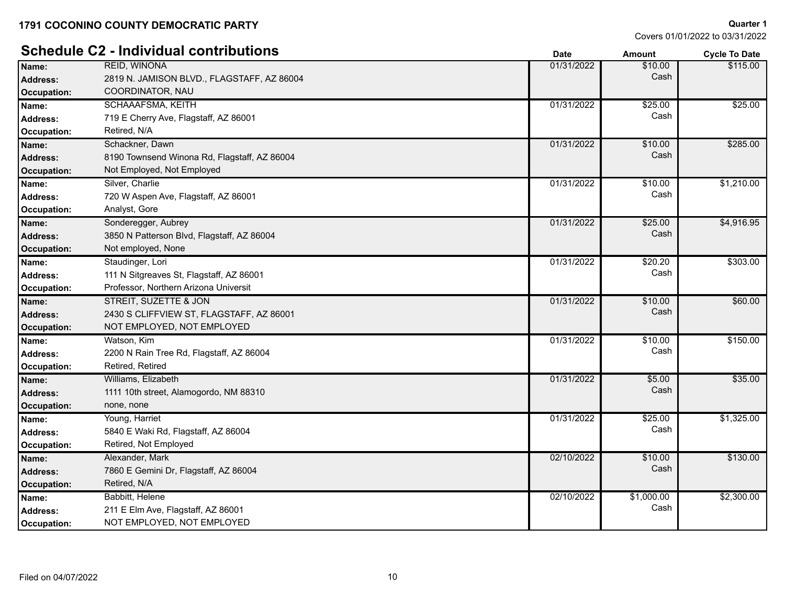# **Schedule C2 - Individual contributions Date Date Date Amount Cycle To Date**

| Name:              | <b>REID, WINONA</b>                          | 01/31/2022 | \$10.00    | \$115.00   |
|--------------------|----------------------------------------------|------------|------------|------------|
| Address:           | 2819 N. JAMISON BLVD., FLAGSTAFF, AZ 86004   |            | Cash       |            |
| Occupation:        | COORDINATOR, NAU                             |            |            |            |
| Name:              | <b>SCHAAAFSMA, KEITH</b>                     | 01/31/2022 | \$25.00    | \$25.00    |
| Address:           | 719 E Cherry Ave, Flagstaff, AZ 86001        |            | Cash       |            |
| Occupation:        | Retired, N/A                                 |            |            |            |
| Name:              | Schackner, Dawn                              | 01/31/2022 | \$10.00    | \$285.00   |
| <b>Address:</b>    | 8190 Townsend Winona Rd, Flagstaff, AZ 86004 |            | Cash       |            |
| <b>Occupation:</b> | Not Employed, Not Employed                   |            |            |            |
| Name:              | Silver, Charlie                              | 01/31/2022 | \$10.00    | \$1,210.00 |
| Address:           | 720 W Aspen Ave, Flagstaff, AZ 86001         |            | Cash       |            |
| Occupation:        | Analyst, Gore                                |            |            |            |
| Name:              | Sonderegger, Aubrey                          | 01/31/2022 | \$25.00    | \$4,916.95 |
| <b>Address:</b>    | 3850 N Patterson Blvd, Flagstaff, AZ 86004   |            | Cash       |            |
| <b>Occupation:</b> | Not employed, None                           |            |            |            |
| Name:              | Staudinger, Lori                             | 01/31/2022 | \$20.20    | \$303.00   |
| Address:           | 111 N Sitgreaves St, Flagstaff, AZ 86001     |            | Cash       |            |
| Occupation:        | Professor, Northern Arizona Universit        |            |            |            |
| Name:              | STREIT, SUZETTE & JON                        | 01/31/2022 | \$10.00    | \$60.00    |
| Address:           | 2430 S CLIFFVIEW ST, FLAGSTAFF, AZ 86001     |            | Cash       |            |
| Occupation:        | NOT EMPLOYED, NOT EMPLOYED                   |            |            |            |
| Name:              | Watson, Kim                                  | 01/31/2022 | \$10.00    | \$150.00   |
| <b>Address:</b>    | 2200 N Rain Tree Rd, Flagstaff, AZ 86004     |            | Cash       |            |
| Occupation:        | Retired, Retired                             |            |            |            |
| Name:              | Williams, Elizabeth                          | 01/31/2022 | \$5.00     | \$35.00    |
| <b>Address:</b>    | 1111 10th street, Alamogordo, NM 88310       |            | Cash       |            |
| <b>Occupation:</b> | none, none                                   |            |            |            |
| Name:              | Young, Harriet                               | 01/31/2022 | \$25.00    | \$1,325.00 |
| Address:           | 5840 E Waki Rd, Flagstaff, AZ 86004          |            | Cash       |            |
| Occupation:        | Retired, Not Employed                        |            |            |            |
| Name:              | Alexander, Mark                              | 02/10/2022 | \$10.00    | \$130.00   |
| <b>Address:</b>    | 7860 E Gemini Dr, Flagstaff, AZ 86004        |            | Cash       |            |
| <b>Occupation:</b> | Retired, N/A                                 |            |            |            |
| Name:              | Babbitt, Helene                              | 02/10/2022 | \$1,000.00 | \$2,300.00 |
| Address:           | 211 E Elm Ave, Flagstaff, AZ 86001           |            | Cash       |            |
| Occupation:        | NOT EMPLOYED, NOT EMPLOYED                   |            |            |            |
|                    |                                              |            |            |            |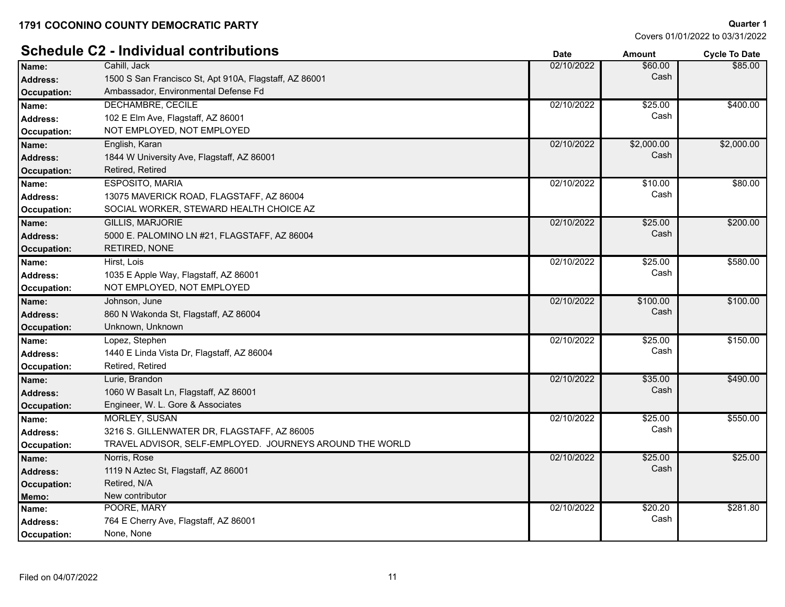|                    | <b>Schedule C2 - Individual contributions</b>            | <b>Date</b> | <b>Amount</b> | <b>Cycle To Date</b> |
|--------------------|----------------------------------------------------------|-------------|---------------|----------------------|
| Name:              | Cahill, Jack                                             | 02/10/2022  | \$60.00       | \$85.00              |
| Address:           | 1500 S San Francisco St, Apt 910A, Flagstaff, AZ 86001   |             | Cash          |                      |
| <b>Occupation:</b> | Ambassador, Environmental Defense Fd                     |             |               |                      |
| Name:              | DECHAMBRE, CECILE                                        | 02/10/2022  | \$25.00       | \$400.00             |
| <b>Address:</b>    | 102 E Elm Ave, Flagstaff, AZ 86001                       |             | Cash          |                      |
| Occupation:        | NOT EMPLOYED, NOT EMPLOYED                               |             |               |                      |
| Name:              | English, Karan                                           | 02/10/2022  | \$2,000.00    | \$2,000.00           |
| <b>Address:</b>    | 1844 W University Ave, Flagstaff, AZ 86001               |             | Cash          |                      |
| Occupation:        | Retired, Retired                                         |             |               |                      |
| Name:              | ESPOSITO, MARIA                                          | 02/10/2022  | \$10.00       | \$80.00              |
| <b>Address:</b>    | 13075 MAVERICK ROAD, FLAGSTAFF, AZ 86004                 |             | Cash          |                      |
| <b>Occupation:</b> | SOCIAL WORKER, STEWARD HEALTH CHOICE AZ                  |             |               |                      |
| Name:              | <b>GILLIS, MARJORIE</b>                                  | 02/10/2022  | \$25.00       | \$200.00             |
| <b>Address:</b>    | 5000 E. PALOMINO LN #21, FLAGSTAFF, AZ 86004             |             | Cash          |                      |
| <b>Occupation:</b> | RETIRED, NONE                                            |             |               |                      |
| Name:              | Hirst, Lois                                              | 02/10/2022  | \$25.00       | \$580.00             |
| <b>Address:</b>    | 1035 E Apple Way, Flagstaff, AZ 86001                    |             | Cash          |                      |
| Occupation:        | NOT EMPLOYED, NOT EMPLOYED                               |             |               |                      |
| Name:              | Johnson, June                                            | 02/10/2022  | \$100.00      | \$100.00             |
| <b>Address:</b>    | 860 N Wakonda St, Flagstaff, AZ 86004                    |             | Cash          |                      |
| <b>Occupation:</b> | Unknown, Unknown                                         |             |               |                      |
| Name:              | Lopez, Stephen                                           | 02/10/2022  | \$25.00       | \$150.00             |
| <b>Address:</b>    | 1440 E Linda Vista Dr, Flagstaff, AZ 86004               |             | Cash          |                      |
| Occupation:        | Retired, Retired                                         |             |               |                      |
| Name:              | Lurie, Brandon                                           | 02/10/2022  | \$35.00       | \$490.00             |
| <b>Address:</b>    | 1060 W Basalt Ln, Flagstaff, AZ 86001                    |             | Cash          |                      |
| <b>Occupation:</b> | Engineer, W. L. Gore & Associates                        |             |               |                      |
| Name:              | <b>MORLEY, SUSAN</b>                                     | 02/10/2022  | \$25.00       | \$550.00             |
| <b>Address:</b>    | 3216 S. GILLENWATER DR, FLAGSTAFF, AZ 86005              |             | Cash          |                      |
| Occupation:        | TRAVEL ADVISOR, SELF-EMPLOYED. JOURNEYS AROUND THE WORLD |             |               |                      |
| Name:              | Norris, Rose                                             | 02/10/2022  | \$25.00       | \$25.00              |
| <b>Address:</b>    | 1119 N Aztec St, Flagstaff, AZ 86001                     |             | Cash          |                      |
| <b>Occupation:</b> | Retired, N/A                                             |             |               |                      |
| Memo:              | New contributor                                          |             |               |                      |
| Name:              | POORE, MARY                                              | 02/10/2022  | \$20.20       | \$281.80             |
| <b>Address:</b>    | 764 E Cherry Ave, Flagstaff, AZ 86001                    |             | Cash          |                      |
| Occupation:        | None, None                                               |             |               |                      |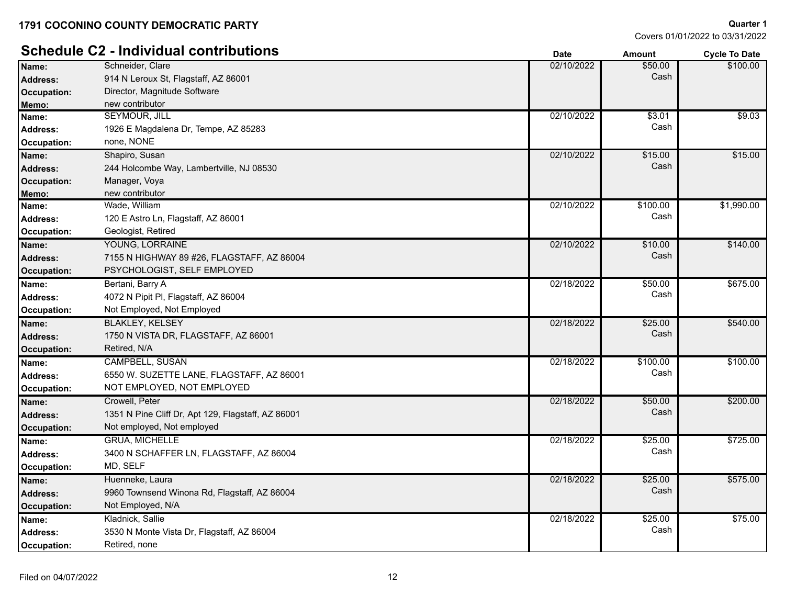Covers 01/01/2022 to 03/31/2022

**Quarter 1**

# **Schedule C2 - Individual contributions Date Date Cycle To Date Amount Cycle To Date**

|                    |                                                    | sale       | Allivulit | νγνιστιν υαισ |
|--------------------|----------------------------------------------------|------------|-----------|---------------|
| Name:              | Schneider, Clare                                   | 02/10/2022 | \$50.00   | \$100.00      |
| <b>Address:</b>    | 914 N Leroux St, Flagstaff, AZ 86001               |            | Cash      |               |
| <b>Occupation:</b> | Director, Magnitude Software                       |            |           |               |
| Memo:              | new contributor                                    |            |           |               |
| Name:              | <b>SEYMOUR, JILL</b>                               | 02/10/2022 | \$3.01    | \$9.03        |
| Address:           | 1926 E Magdalena Dr, Tempe, AZ 85283               |            | Cash      |               |
| Occupation:        | none, NONE                                         |            |           |               |
| Name:              | Shapiro, Susan                                     | 02/10/2022 | \$15.00   | \$15.00       |
| <b>Address:</b>    | 244 Holcombe Way, Lambertville, NJ 08530           |            | Cash      |               |
| <b>Occupation:</b> | Manager, Voya                                      |            |           |               |
| Memo:              | new contributor                                    |            |           |               |
| Name:              | Wade, William                                      | 02/10/2022 | \$100.00  | \$1,990.00    |
| <b>Address:</b>    | 120 E Astro Ln, Flagstaff, AZ 86001                |            | Cash      |               |
| <b>Occupation:</b> | Geologist, Retired                                 |            |           |               |
| Name:              | YOUNG, LORRAINE                                    | 02/10/2022 | \$10.00   | \$140.00      |
| Address:           | 7155 N HIGHWAY 89 #26, FLAGSTAFF, AZ 86004         |            | Cash      |               |
| <b>Occupation:</b> | PSYCHOLOGIST, SELF EMPLOYED                        |            |           |               |
| Name:              | Bertani, Barry A                                   | 02/18/2022 | \$50.00   | \$675.00      |
| Address:           | 4072 N Pipit PI, Flagstaff, AZ 86004               |            | Cash      |               |
| Occupation:        | Not Employed, Not Employed                         |            |           |               |
| Name:              | <b>BLAKLEY, KELSEY</b>                             | 02/18/2022 | \$25.00   | \$540.00      |
| <b>Address:</b>    | 1750 N VISTA DR, FLAGSTAFF, AZ 86001               |            | Cash      |               |
| <b>Occupation:</b> | Retired, N/A                                       |            |           |               |
| Name:              | CAMPBELL, SUSAN                                    | 02/18/2022 | \$100.00  | \$100.00      |
| <b>Address:</b>    | 6550 W. SUZETTE LANE, FLAGSTAFF, AZ 86001          |            | Cash      |               |
| <b>Occupation:</b> | NOT EMPLOYED, NOT EMPLOYED                         |            |           |               |
| Name:              | Crowell, Peter                                     | 02/18/2022 | \$50.00   | \$200.00      |
| <b>Address:</b>    | 1351 N Pine Cliff Dr, Apt 129, Flagstaff, AZ 86001 |            | Cash      |               |
| <b>Occupation:</b> | Not employed, Not employed                         |            |           |               |
| Name:              | <b>GRUA, MICHELLE</b>                              | 02/18/2022 | \$25.00   | \$725.00      |
| Address:           | 3400 N SCHAFFER LN, FLAGSTAFF, AZ 86004            |            | Cash      |               |
| <b>Occupation:</b> | MD, SELF                                           |            |           |               |
| Name:              | Huenneke, Laura                                    | 02/18/2022 | \$25.00   | \$575.00      |
| <b>Address:</b>    | 9960 Townsend Winona Rd, Flagstaff, AZ 86004       |            | Cash      |               |
| <b>Occupation:</b> | Not Employed, N/A                                  |            |           |               |
| Name:              | Kladnick, Sallie                                   | 02/18/2022 | \$25.00   | \$75.00       |
| Address:           | 3530 N Monte Vista Dr, Flagstaff, AZ 86004         |            | Cash      |               |
| <b>Occupation:</b> | Retired, none                                      |            |           |               |
|                    |                                                    |            |           |               |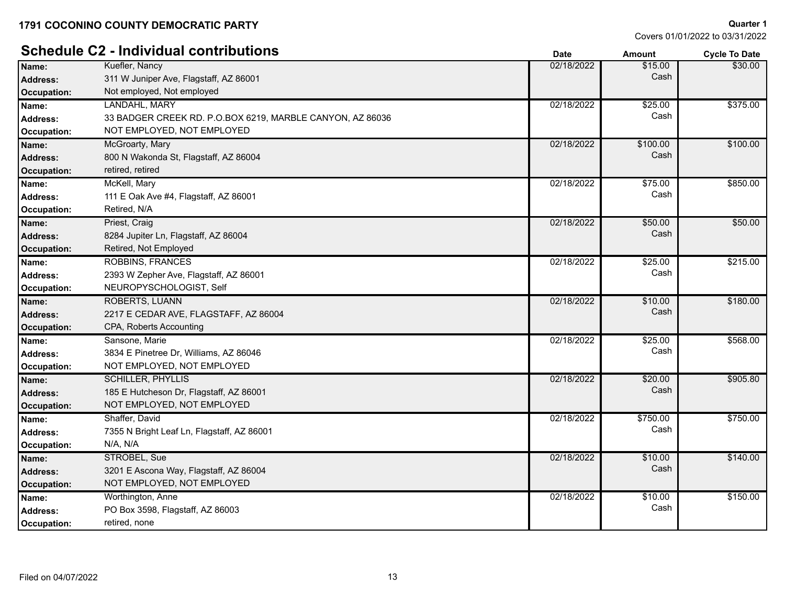# **Schedule C2 - Individual contributions Date Date Date Amount Cycle To Date**

| Name:              | Kuefler, Nancy                                            | 02/18/2022 | \$15.00  | \$30.00  |
|--------------------|-----------------------------------------------------------|------------|----------|----------|
| <b>Address:</b>    | 311 W Juniper Ave, Flagstaff, AZ 86001                    |            | Cash     |          |
| Occupation:        | Not employed, Not employed                                |            |          |          |
| Name:              | LANDAHL, MARY                                             | 02/18/2022 | \$25.00  | \$375.00 |
| <b>Address:</b>    | 33 BADGER CREEK RD. P.O.BOX 6219, MARBLE CANYON, AZ 86036 |            | Cash     |          |
| Occupation:        | NOT EMPLOYED, NOT EMPLOYED                                |            |          |          |
| Name:              | McGroarty, Mary                                           | 02/18/2022 | \$100.00 | \$100.00 |
| <b>Address:</b>    | 800 N Wakonda St, Flagstaff, AZ 86004                     |            | Cash     |          |
| <b>Occupation:</b> | retired, retired                                          |            |          |          |
| Name:              | McKell, Mary                                              | 02/18/2022 | \$75.00  | \$850.00 |
| <b>Address:</b>    | 111 E Oak Ave #4, Flagstaff, AZ 86001                     |            | Cash     |          |
| Occupation:        | Retired, N/A                                              |            |          |          |
| Name:              | Priest, Craig                                             | 02/18/2022 | \$50.00  | \$50.00  |
| <b>Address:</b>    | 8284 Jupiter Ln, Flagstaff, AZ 86004                      |            | Cash     |          |
| <b>Occupation:</b> | Retired, Not Employed                                     |            |          |          |
| Name:              | <b>ROBBINS, FRANCES</b>                                   | 02/18/2022 | \$25.00  | \$215.00 |
| <b>Address:</b>    | 2393 W Zepher Ave, Flagstaff, AZ 86001                    |            | Cash     |          |
| <b>Occupation:</b> | NEUROPYSCHOLOGIST, Self                                   |            |          |          |
| Name:              | <b>ROBERTS, LUANN</b>                                     | 02/18/2022 | \$10.00  | \$180.00 |
| <b>Address:</b>    | 2217 E CEDAR AVE, FLAGSTAFF, AZ 86004                     |            | Cash     |          |
| <b>Occupation:</b> | CPA, Roberts Accounting                                   |            |          |          |
| Name:              | Sansone, Marie                                            | 02/18/2022 | \$25.00  | \$568.00 |
| <b>Address:</b>    | 3834 E Pinetree Dr, Williams, AZ 86046                    |            | Cash     |          |
| <b>Occupation:</b> | NOT EMPLOYED, NOT EMPLOYED                                |            |          |          |
| Name:              | <b>SCHILLER, PHYLLIS</b>                                  | 02/18/2022 | \$20.00  | \$905.80 |
| <b>Address:</b>    | 185 E Hutcheson Dr, Flagstaff, AZ 86001                   |            | Cash     |          |
| <b>Occupation:</b> | NOT EMPLOYED, NOT EMPLOYED                                |            |          |          |
| Name:              | Shaffer, David                                            | 02/18/2022 | \$750.00 | \$750.00 |
| <b>Address:</b>    | 7355 N Bright Leaf Ln, Flagstaff, AZ 86001                |            | Cash     |          |
| Occupation:        | N/A, N/A                                                  |            |          |          |
| Name:              | STROBEL, Sue                                              | 02/18/2022 | \$10.00  | \$140.00 |
| <b>Address:</b>    | 3201 E Ascona Way, Flagstaff, AZ 86004                    |            | Cash     |          |
| <b>Occupation:</b> | NOT EMPLOYED, NOT EMPLOYED                                |            |          |          |
| Name:              | Worthington, Anne                                         | 02/18/2022 | \$10.00  | \$150.00 |
| <b>Address:</b>    | PO Box 3598, Flagstaff, AZ 86003                          |            | Cash     |          |
| Occupation:        | retired, none                                             |            |          |          |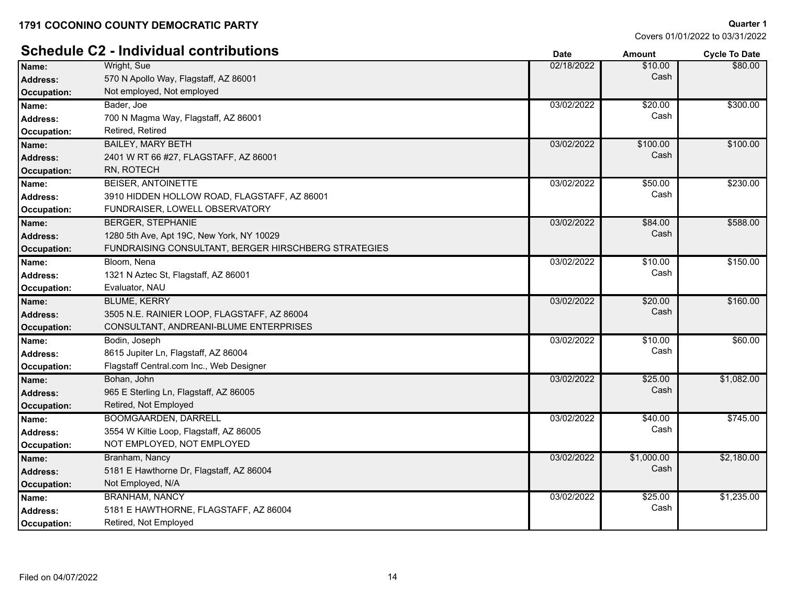|                 | <b>Schedule C2 - Individual contributions</b>        | <b>Date</b> | <b>Amount</b> | <b>Cycle To Date</b> |
|-----------------|------------------------------------------------------|-------------|---------------|----------------------|
| Name:           | Wright, Sue                                          | 02/18/2022  | \$10.00       | \$80.00              |
| <b>Address:</b> | 570 N Apollo Way, Flagstaff, AZ 86001                |             | Cash          |                      |
| Occupation:     | Not employed, Not employed                           |             |               |                      |
| Name:           | Bader, Joe                                           | 03/02/2022  | \$20.00       | \$300.00             |
| <b>Address:</b> | 700 N Magma Way, Flagstaff, AZ 86001                 |             | Cash          |                      |
| Occupation:     | Retired, Retired                                     |             |               |                      |
| Name:           | <b>BAILEY, MARY BETH</b>                             | 03/02/2022  | \$100.00      | \$100.00             |
| <b>Address:</b> | 2401 W RT 66 #27, FLAGSTAFF, AZ 86001                |             | Cash          |                      |
| Occupation:     | RN, ROTECH                                           |             |               |                      |
| Name:           | <b>BEISER, ANTOINETTE</b>                            | 03/02/2022  | \$50.00       | \$230.00             |
| Address:        | 3910 HIDDEN HOLLOW ROAD, FLAGSTAFF, AZ 86001         |             | Cash          |                      |
| Occupation:     | FUNDRAISER, LOWELL OBSERVATORY                       |             |               |                      |
| Name:           | <b>BERGER, STEPHANIE</b>                             | 03/02/2022  | \$84.00       | \$588.00             |
| <b>Address:</b> | 1280 5th Ave, Apt 19C, New York, NY 10029            |             | Cash          |                      |
| Occupation:     | FUNDRAISING CONSULTANT, BERGER HIRSCHBERG STRATEGIES |             |               |                      |
| Name:           | Bloom, Nena                                          | 03/02/2022  | \$10.00       | \$150.00             |
| <b>Address:</b> | 1321 N Aztec St, Flagstaff, AZ 86001                 |             | Cash          |                      |
| Occupation:     | Evaluator, NAU                                       |             |               |                      |
| Name:           | <b>BLUME, KERRY</b>                                  | 03/02/2022  | \$20.00       | \$160.00             |
| Address:        | 3505 N.E. RAINIER LOOP, FLAGSTAFF, AZ 86004          |             | Cash          |                      |
| Occupation:     | CONSULTANT, ANDREANI-BLUME ENTERPRISES               |             |               |                      |
| Name:           | Bodin, Joseph                                        | 03/02/2022  | \$10.00       | \$60.00              |
| <b>Address:</b> | 8615 Jupiter Ln, Flagstaff, AZ 86004                 |             | Cash          |                      |
| Occupation:     | Flagstaff Central.com Inc., Web Designer             |             |               |                      |
| Name:           | Bohan, John                                          | 03/02/2022  | \$25.00       | \$1,082.00           |
| <b>Address:</b> | 965 E Sterling Ln, Flagstaff, AZ 86005               |             | Cash          |                      |
| Occupation:     | Retired, Not Employed                                |             |               |                      |
| Name:           | <b>BOOMGAARDEN, DARRELL</b>                          | 03/02/2022  | \$40.00       | \$745.00             |
| <b>Address:</b> | 3554 W Kiltie Loop, Flagstaff, AZ 86005              |             | Cash          |                      |
| Occupation:     | NOT EMPLOYED, NOT EMPLOYED                           |             |               |                      |
| Name:           | Branham, Nancy                                       | 03/02/2022  | \$1,000.00    | \$2,180.00           |
| <b>Address:</b> | 5181 E Hawthorne Dr, Flagstaff, AZ 86004             |             | Cash          |                      |
| Occupation:     | Not Employed, N/A                                    |             |               |                      |
| Name:           | <b>BRANHAM, NANCY</b>                                | 03/02/2022  | \$25.00       | \$1,235.00           |
| Address:        | 5181 E HAWTHORNE, FLAGSTAFF, AZ 86004                |             | Cash          |                      |
| Occupation:     | Retired, Not Employed                                |             |               |                      |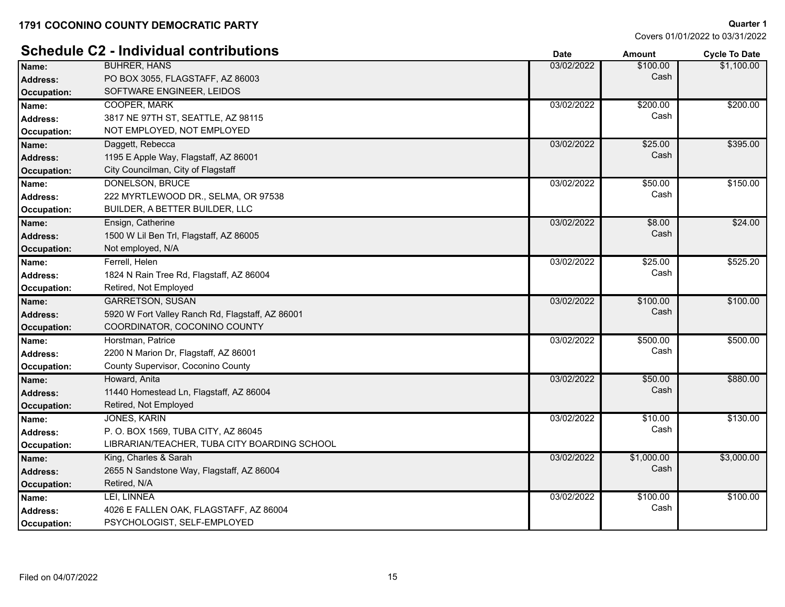|                    | <b>Schedule C2 - Individual contributions</b>    | <b>Date</b> | <b>Amount</b> | <b>Cycle To Date</b> |
|--------------------|--------------------------------------------------|-------------|---------------|----------------------|
| Name:              | <b>BUHRER, HANS</b>                              | 03/02/2022  | \$100.00      | \$1,100.00           |
| <b>Address:</b>    | PO BOX 3055, FLAGSTAFF, AZ 86003                 |             | Cash          |                      |
| <b>Occupation:</b> | SOFTWARE ENGINEER, LEIDOS                        |             |               |                      |
| Name:              | <b>COOPER, MARK</b>                              | 03/02/2022  | \$200.00      | \$200.00             |
| <b>Address:</b>    | 3817 NE 97TH ST, SEATTLE, AZ 98115               |             | Cash          |                      |
| Occupation:        | NOT EMPLOYED, NOT EMPLOYED                       |             |               |                      |
| Name:              | Daggett, Rebecca                                 | 03/02/2022  | \$25.00       | \$395.00             |
| <b>Address:</b>    | 1195 E Apple Way, Flagstaff, AZ 86001            |             | Cash          |                      |
| Occupation:        | City Councilman, City of Flagstaff               |             |               |                      |
| Name:              | DONELSON, BRUCE                                  | 03/02/2022  | \$50.00       | \$150.00             |
| <b>Address:</b>    | 222 MYRTLEWOOD DR., SELMA, OR 97538              |             | Cash          |                      |
| Occupation:        | BUILDER, A BETTER BUILDER, LLC                   |             |               |                      |
| Name:              | Ensign, Catherine                                | 03/02/2022  | \$8.00        | \$24.00              |
| Address:           | 1500 W Lil Ben Trl, Flagstaff, AZ 86005          |             | Cash          |                      |
| Occupation:        | Not employed, N/A                                |             |               |                      |
| Name:              | Ferrell, Helen                                   | 03/02/2022  | \$25.00       | \$525.20             |
| Address:           | 1824 N Rain Tree Rd, Flagstaff, AZ 86004         |             | Cash          |                      |
| Occupation:        | Retired, Not Employed                            |             |               |                      |
| Name:              | <b>GARRETSON, SUSAN</b>                          | 03/02/2022  | \$100.00      | \$100.00             |
| Address:           | 5920 W Fort Valley Ranch Rd, Flagstaff, AZ 86001 |             | Cash          |                      |
| Occupation:        | COORDINATOR, COCONINO COUNTY                     |             |               |                      |
| Name:              | Horstman, Patrice                                | 03/02/2022  | \$500.00      | \$500.00             |
| <b>Address:</b>    | 2200 N Marion Dr, Flagstaff, AZ 86001            |             | Cash          |                      |
| Occupation:        | County Supervisor, Coconino County               |             |               |                      |
| Name:              | Howard, Anita                                    | 03/02/2022  | \$50.00       | \$880.00             |
| <b>Address:</b>    | 11440 Homestead Ln, Flagstaff, AZ 86004          |             | Cash          |                      |
| <b>Occupation:</b> | Retired, Not Employed                            |             |               |                      |
| Name:              | <b>JONES, KARIN</b>                              | 03/02/2022  | \$10.00       | \$130.00             |
| <b>Address:</b>    | P. O. BOX 1569, TUBA CITY, AZ 86045              |             | Cash          |                      |
| Occupation:        | LIBRARIAN/TEACHER, TUBA CITY BOARDING SCHOOL     |             |               |                      |
| Name:              | King, Charles & Sarah                            | 03/02/2022  | \$1,000.00    | \$3,000.00           |
| <b>Address:</b>    | 2655 N Sandstone Way, Flagstaff, AZ 86004        |             | Cash          |                      |
| <b>Occupation:</b> | Retired, N/A                                     |             |               |                      |
| Name:              | LEI, LINNEA                                      | 03/02/2022  | \$100.00      | \$100.00             |
| <b>Address:</b>    | 4026 E FALLEN OAK, FLAGSTAFF, AZ 86004           |             | Cash          |                      |
| Occupation:        | PSYCHOLOGIST, SELF-EMPLOYED                      |             |               |                      |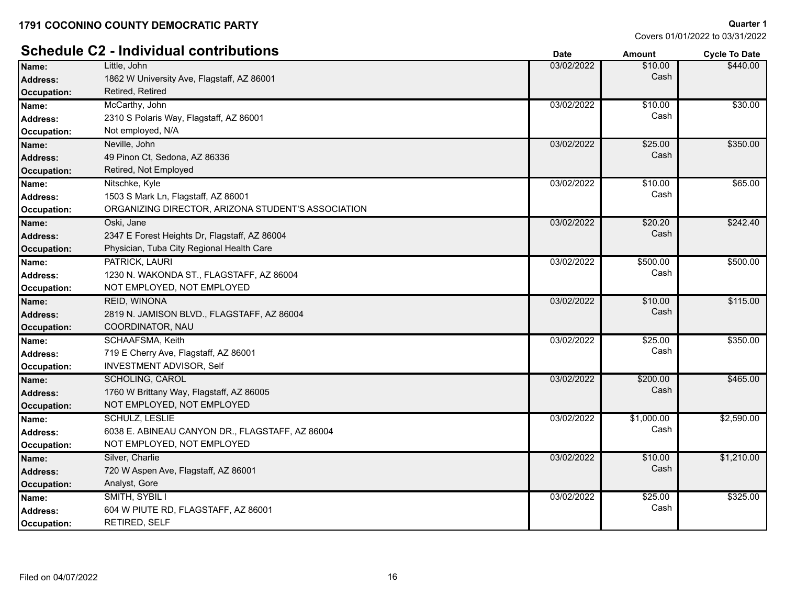# **Schedule C2 - Individual contributions Date Date** *Date**Amount* **Cycle To Date** *Cycle To Date*

| Name:              | Little, John                                       | 03/02/2022 | \$10.00    | \$440.00   |
|--------------------|----------------------------------------------------|------------|------------|------------|
| <b>Address:</b>    | 1862 W University Ave, Flagstaff, AZ 86001         |            | Cash       |            |
| Occupation:        | Retired, Retired                                   |            |            |            |
| Name:              | McCarthy, John                                     | 03/02/2022 | \$10.00    | \$30.00    |
| Address:           | 2310 S Polaris Way, Flagstaff, AZ 86001            |            | Cash       |            |
| Occupation:        | Not employed, N/A                                  |            |            |            |
| Name:              | Neville, John                                      | 03/02/2022 | \$25.00    | \$350.00   |
| <b>Address:</b>    | 49 Pinon Ct, Sedona, AZ 86336                      |            | Cash       |            |
| Occupation:        | Retired, Not Employed                              |            |            |            |
| Name:              | Nitschke, Kyle                                     | 03/02/2022 | \$10.00    | \$65.00    |
| Address:           | 1503 S Mark Ln, Flagstaff, AZ 86001                |            | Cash       |            |
| Occupation:        | ORGANIZING DIRECTOR, ARIZONA STUDENT'S ASSOCIATION |            |            |            |
| Name:              | Oski, Jane                                         | 03/02/2022 | \$20.20    | \$242.40   |
| <b>Address:</b>    | 2347 E Forest Heights Dr, Flagstaff, AZ 86004      |            | Cash       |            |
| <b>Occupation:</b> | Physician, Tuba City Regional Health Care          |            |            |            |
| Name:              | <b>PATRICK, LAURI</b>                              | 03/02/2022 | \$500.00   | \$500.00   |
| Address:           | 1230 N. WAKONDA ST., FLAGSTAFF, AZ 86004           |            | Cash       |            |
| Occupation:        | NOT EMPLOYED, NOT EMPLOYED                         |            |            |            |
| Name:              | <b>REID, WINONA</b>                                | 03/02/2022 | \$10.00    | \$115.00   |
| <b>Address:</b>    | 2819 N. JAMISON BLVD., FLAGSTAFF, AZ 86004         |            | Cash       |            |
| <b>Occupation:</b> | COORDINATOR, NAU                                   |            |            |            |
| Name:              | SCHAAFSMA, Keith                                   | 03/02/2022 | \$25.00    | \$350.00   |
| Address:           | 719 E Cherry Ave, Flagstaff, AZ 86001              |            | Cash       |            |
| Occupation:        | <b>INVESTMENT ADVISOR, Self</b>                    |            |            |            |
| Name:              | <b>SCHOLING, CAROL</b>                             | 03/02/2022 | \$200.00   | \$465.00   |
| Address:           | 1760 W Brittany Way, Flagstaff, AZ 86005           |            | Cash       |            |
| Occupation:        | NOT EMPLOYED, NOT EMPLOYED                         |            |            |            |
| Name:              | <b>SCHULZ, LESLIE</b>                              | 03/02/2022 | \$1,000.00 | \$2,590.00 |
| <b>Address:</b>    | 6038 E. ABINEAU CANYON DR., FLAGSTAFF, AZ 86004    |            | Cash       |            |
| Occupation:        | NOT EMPLOYED, NOT EMPLOYED                         |            |            |            |
| Name:              | Silver, Charlie                                    | 03/02/2022 | \$10.00    | \$1,210.00 |
| <b>Address:</b>    | 720 W Aspen Ave, Flagstaff, AZ 86001               |            | Cash       |            |
| <b>Occupation:</b> | Analyst, Gore                                      |            |            |            |
| Name:              | SMITH, SYBIL I                                     | 03/02/2022 | \$25.00    | \$325.00   |
| Address:           | 604 W PIUTE RD, FLAGSTAFF, AZ 86001                |            | Cash       |            |
| Occupation:        | RETIRED, SELF                                      |            |            |            |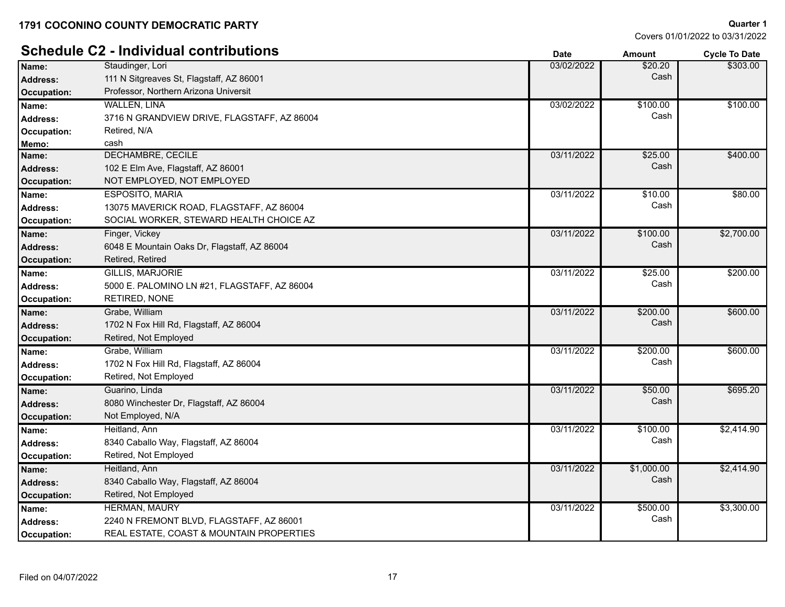# **Schedule C2 - Individual contributions Date Date** *Date**Amount* **Cycle To Date <b>***Cycle To Date*

| Name:              | Staudinger, Lori                             | 03/02/2022 | \$20.20    | \$303.00   |
|--------------------|----------------------------------------------|------------|------------|------------|
| <b>Address:</b>    | 111 N Sitgreaves St, Flagstaff, AZ 86001     |            | Cash       |            |
| <b>Occupation:</b> | Professor, Northern Arizona Universit        |            |            |            |
| Name:              | <b>WALLEN, LINA</b>                          | 03/02/2022 | \$100.00   | \$100.00   |
| <b>Address:</b>    | 3716 N GRANDVIEW DRIVE, FLAGSTAFF, AZ 86004  |            | Cash       |            |
| <b>Occupation:</b> | Retired, N/A                                 |            |            |            |
| Memo:              | cash                                         |            |            |            |
| Name:              | <b>DECHAMBRE, CECILE</b>                     | 03/11/2022 | \$25.00    | \$400.00   |
| <b>Address:</b>    | 102 E Elm Ave, Flagstaff, AZ 86001           |            | Cash       |            |
| <b>Occupation:</b> | NOT EMPLOYED, NOT EMPLOYED                   |            |            |            |
| Name:              | <b>ESPOSITO, MARIA</b>                       | 03/11/2022 | \$10.00    | \$80.00    |
| <b>Address:</b>    | 13075 MAVERICK ROAD, FLAGSTAFF, AZ 86004     |            | Cash       |            |
| Occupation:        | SOCIAL WORKER, STEWARD HEALTH CHOICE AZ      |            |            |            |
| Name:              | Finger, Vickey                               | 03/11/2022 | \$100.00   | \$2,700.00 |
| <b>Address:</b>    | 6048 E Mountain Oaks Dr, Flagstaff, AZ 86004 |            | Cash       |            |
| <b>Occupation:</b> | Retired, Retired                             |            |            |            |
| Name:              | <b>GILLIS, MARJORIE</b>                      | 03/11/2022 | \$25.00    | \$200.00   |
| <b>Address:</b>    | 5000 E. PALOMINO LN #21, FLAGSTAFF, AZ 86004 |            | Cash       |            |
| Occupation:        | RETIRED, NONE                                |            |            |            |
| Name:              | Grabe, William                               | 03/11/2022 | \$200.00   | \$600.00   |
| <b>Address:</b>    | 1702 N Fox Hill Rd, Flagstaff, AZ 86004      |            | Cash       |            |
| <b>Occupation:</b> | Retired, Not Employed                        |            |            |            |
| Name:              | Grabe, William                               | 03/11/2022 | \$200.00   | \$600.00   |
| <b>Address:</b>    | 1702 N Fox Hill Rd, Flagstaff, AZ 86004      |            | Cash       |            |
| <b>Occupation:</b> | Retired, Not Employed                        |            |            |            |
| Name:              | Guarino, Linda                               | 03/11/2022 | \$50.00    | \$695.20   |
| <b>Address:</b>    | 8080 Winchester Dr, Flagstaff, AZ 86004      |            | Cash       |            |
| <b>Occupation:</b> | Not Employed, N/A                            |            |            |            |
| Name:              | Heitland, Ann                                | 03/11/2022 | \$100.00   | \$2,414.90 |
| <b>Address:</b>    | 8340 Caballo Way, Flagstaff, AZ 86004        |            | Cash       |            |
| <b>Occupation:</b> | Retired, Not Employed                        |            |            |            |
| Name:              | Heitland, Ann                                | 03/11/2022 | \$1,000.00 | \$2,414.90 |
| <b>Address:</b>    | 8340 Caballo Way, Flagstaff, AZ 86004        |            | Cash       |            |
| <b>Occupation:</b> | Retired, Not Employed                        |            |            |            |
| Name:              | HERMAN, MAURY                                | 03/11/2022 | \$500.00   | \$3,300.00 |
| <b>Address:</b>    | 2240 N FREMONT BLVD, FLAGSTAFF, AZ 86001     |            | Cash       |            |
| Occupation:        | REAL ESTATE, COAST & MOUNTAIN PROPERTIES     |            |            |            |
|                    |                                              |            |            |            |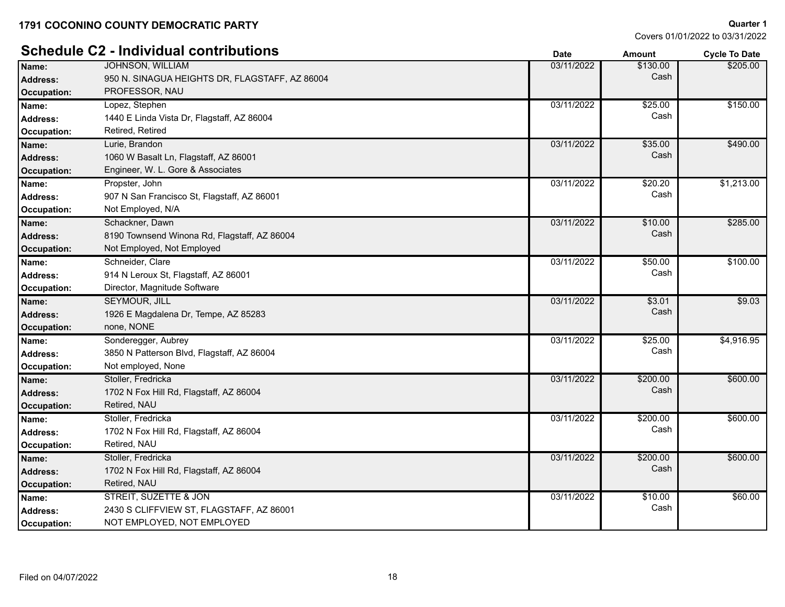# **Schedule C2 - Individual contributions**

|                    |                                                | υαισ       | anoun    | <b>OVUE TO DATE</b> |
|--------------------|------------------------------------------------|------------|----------|---------------------|
| Name:              | <b>JOHNSON, WILLIAM</b>                        | 03/11/2022 | \$130.00 | \$205.00            |
| <b>Address:</b>    | 950 N. SINAGUA HEIGHTS DR, FLAGSTAFF, AZ 86004 |            | Cash     |                     |
| <b>Occupation:</b> | PROFESSOR, NAU                                 |            |          |                     |
| Name:              | Lopez, Stephen                                 | 03/11/2022 | \$25.00  | \$150.00            |
| <b>Address:</b>    | 1440 E Linda Vista Dr, Flagstaff, AZ 86004     |            | Cash     |                     |
| Occupation:        | Retired, Retired                               |            |          |                     |
| Name:              | Lurie, Brandon                                 | 03/11/2022 | \$35.00  | \$490.00            |
| Address:           | 1060 W Basalt Ln, Flagstaff, AZ 86001          |            | Cash     |                     |
| <b>Occupation:</b> | Engineer, W. L. Gore & Associates              |            |          |                     |
| Name:              | Propster, John                                 | 03/11/2022 | \$20.20  | \$1,213.00          |
| Address:           | 907 N San Francisco St, Flagstaff, AZ 86001    |            | Cash     |                     |
| <b>Occupation:</b> | Not Employed, N/A                              |            |          |                     |
| Name:              | Schackner, Dawn                                | 03/11/2022 | \$10.00  | \$285.00            |
| <b>Address:</b>    | 8190 Townsend Winona Rd, Flagstaff, AZ 86004   |            | Cash     |                     |
| <b>Occupation:</b> | Not Employed, Not Employed                     |            |          |                     |
| Name:              | Schneider, Clare                               | 03/11/2022 | \$50.00  | \$100.00            |
| <b>Address:</b>    | 914 N Leroux St, Flagstaff, AZ 86001           |            | Cash     |                     |
| Occupation:        | Director, Magnitude Software                   |            |          |                     |
| Name:              | <b>SEYMOUR, JILL</b>                           | 03/11/2022 | \$3.01   | \$9.03              |
| <b>Address:</b>    | 1926 E Magdalena Dr, Tempe, AZ 85283           |            | Cash     |                     |
| <b>Occupation:</b> | none, NONE                                     |            |          |                     |
| Name:              | Sonderegger, Aubrey                            | 03/11/2022 | \$25.00  | \$4,916.95          |
| <b>Address:</b>    | 3850 N Patterson Blvd, Flagstaff, AZ 86004     |            | Cash     |                     |
| <b>Occupation:</b> | Not employed, None                             |            |          |                     |
| Name:              | Stoller, Fredricka                             | 03/11/2022 | \$200.00 | \$600.00            |
| <b>Address:</b>    | 1702 N Fox Hill Rd, Flagstaff, AZ 86004        |            | Cash     |                     |
| <b>Occupation:</b> | Retired, NAU                                   |            |          |                     |
| Name:              | Stoller, Fredricka                             | 03/11/2022 | \$200.00 | \$600.00            |
| <b>Address:</b>    | 1702 N Fox Hill Rd, Flagstaff, AZ 86004        |            | Cash     |                     |
| Occupation:        | Retired, NAU                                   |            |          |                     |
| Name:              | Stoller, Fredricka                             | 03/11/2022 | \$200.00 | \$600.00            |
| <b>Address:</b>    | 1702 N Fox Hill Rd, Flagstaff, AZ 86004        |            | Cash     |                     |
| <b>Occupation:</b> | Retired, NAU                                   |            |          |                     |
| Name:              | STREIT, SUZETTE & JON                          | 03/11/2022 | \$10.00  | \$60.00             |
| Address:           | 2430 S CLIFFVIEW ST, FLAGSTAFF, AZ 86001       |            | Cash     |                     |
| <b>Occupation:</b> | NOT EMPLOYED, NOT EMPLOYED                     |            |          |                     |
|                    |                                                |            |          |                     |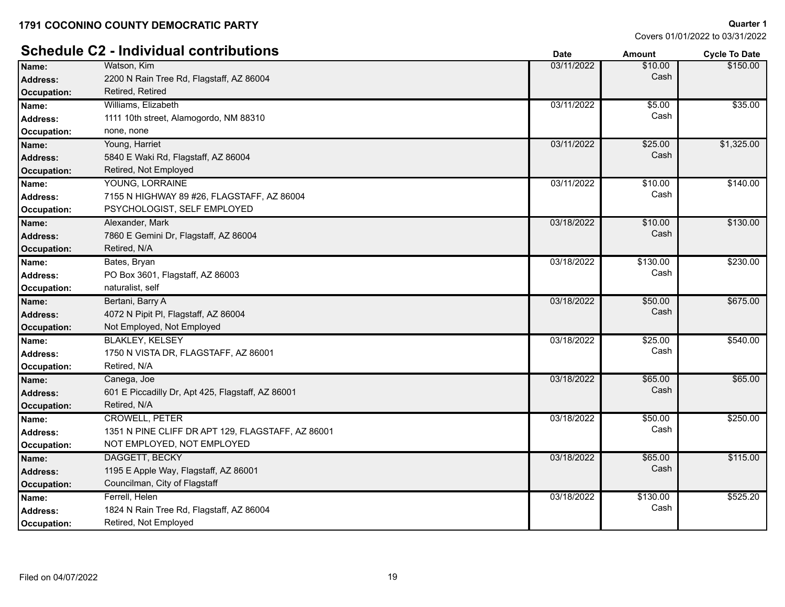# **Schedule C2 - Individual contributions Date Date Date Amount Cycle To Date**

| Name:              | Watson, Kim                                       | 03/11/2022 | \$10.00  | \$150.00   |
|--------------------|---------------------------------------------------|------------|----------|------------|
| <b>Address:</b>    | 2200 N Rain Tree Rd, Flagstaff, AZ 86004          |            | Cash     |            |
| <b>Occupation:</b> | Retired, Retired                                  |            |          |            |
| Name:              | Williams, Elizabeth                               | 03/11/2022 | \$5.00   | \$35.00    |
| <b>Address:</b>    | 1111 10th street, Alamogordo, NM 88310            |            | Cash     |            |
| Occupation:        | none, none                                        |            |          |            |
| Name:              | Young, Harriet                                    | 03/11/2022 | \$25.00  | \$1,325.00 |
| <b>Address:</b>    | 5840 E Waki Rd, Flagstaff, AZ 86004               |            | Cash     |            |
| <b>Occupation:</b> | Retired, Not Employed                             |            |          |            |
| Name:              | YOUNG, LORRAINE                                   | 03/11/2022 | \$10.00  | \$140.00   |
| <b>Address:</b>    | 7155 N HIGHWAY 89 #26, FLAGSTAFF, AZ 86004        |            | Cash     |            |
| Occupation:        | PSYCHOLOGIST, SELF EMPLOYED                       |            |          |            |
| Name:              | Alexander, Mark                                   | 03/18/2022 | \$10.00  | \$130.00   |
| <b>Address:</b>    | 7860 E Gemini Dr, Flagstaff, AZ 86004             |            | Cash     |            |
| <b>Occupation:</b> | Retired, N/A                                      |            |          |            |
| Name:              | Bates, Bryan                                      | 03/18/2022 | \$130.00 | \$230.00   |
| Address:           | PO Box 3601, Flagstaff, AZ 86003                  |            | Cash     |            |
| Occupation:        | naturalist, self                                  |            |          |            |
| Name:              | Bertani, Barry A                                  | 03/18/2022 | \$50.00  | \$675.00   |
| <b>Address:</b>    | 4072 N Pipit PI, Flagstaff, AZ 86004              |            | Cash     |            |
| <b>Occupation:</b> | Not Employed, Not Employed                        |            |          |            |
| Name:              | <b>BLAKLEY, KELSEY</b>                            | 03/18/2022 | \$25.00  | \$540.00   |
| <b>Address:</b>    | 1750 N VISTA DR, FLAGSTAFF, AZ 86001              |            | Cash     |            |
| Occupation:        | Retired, N/A                                      |            |          |            |
| Name:              | Canega, Joe                                       | 03/18/2022 | \$65.00  | \$65.00    |
| <b>Address:</b>    | 601 E Piccadilly Dr, Apt 425, Flagstaff, AZ 86001 |            | Cash     |            |
| <b>Occupation:</b> | Retired, N/A                                      |            |          |            |
| Name:              | <b>CROWELL, PETER</b>                             | 03/18/2022 | \$50.00  | \$250.00   |
| <b>Address:</b>    | 1351 N PINE CLIFF DR APT 129, FLAGSTAFF, AZ 86001 |            | Cash     |            |
| <b>Occupation:</b> | NOT EMPLOYED, NOT EMPLOYED                        |            |          |            |
| Name:              | DAGGETT, BECKY                                    | 03/18/2022 | \$65.00  | \$115.00   |
| <b>Address:</b>    | 1195 E Apple Way, Flagstaff, AZ 86001             |            | Cash     |            |
| <b>Occupation:</b> | Councilman, City of Flagstaff                     |            |          |            |
| Name:              | Ferrell, Helen                                    | 03/18/2022 | \$130.00 | \$525.20   |
| <b>Address:</b>    | 1824 N Rain Tree Rd, Flagstaff, AZ 86004          |            | Cash     |            |
| <b>Occupation:</b> | Retired, Not Employed                             |            |          |            |
|                    |                                                   |            |          |            |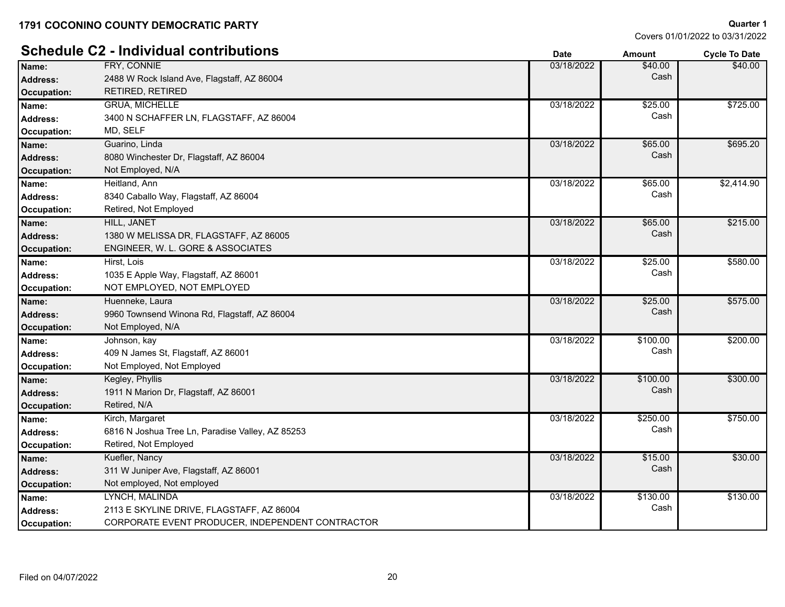# **Schedule C2 - Individual contributions**

| ovinvuuv           | $\sim$ 11191719991 COIRTD00001                   | Date       | Amount   | Cycle to Date |
|--------------------|--------------------------------------------------|------------|----------|---------------|
| Name:              | FRY, CONNIE                                      | 03/18/2022 | \$40.00  | \$40.00       |
| Address:           | 2488 W Rock Island Ave, Flagstaff, AZ 86004      |            | Cash     |               |
| Occupation:        | RETIRED, RETIRED                                 |            |          |               |
| Name:              | <b>GRUA, MICHELLE</b>                            | 03/18/2022 | \$25.00  | \$725.00      |
| <b>Address:</b>    | 3400 N SCHAFFER LN, FLAGSTAFF, AZ 86004          |            | Cash     |               |
| Occupation:        | MD, SELF                                         |            |          |               |
| Name:              | Guarino, Linda                                   | 03/18/2022 | \$65.00  | \$695.20      |
| Address:           | 8080 Winchester Dr, Flagstaff, AZ 86004          |            | Cash     |               |
| <b>Occupation:</b> | Not Employed, N/A                                |            |          |               |
| Name:              | Heitland, Ann                                    | 03/18/2022 | \$65.00  | \$2,414.90    |
| <b>Address:</b>    | 8340 Caballo Way, Flagstaff, AZ 86004            |            | Cash     |               |
| Occupation:        | Retired, Not Employed                            |            |          |               |
| Name:              | <b>HILL, JANET</b>                               | 03/18/2022 | \$65.00  | \$215.00      |
| Address:           | 1380 W MELISSA DR, FLAGSTAFF, AZ 86005           |            | Cash     |               |
| Occupation:        | ENGINEER, W. L. GORE & ASSOCIATES                |            |          |               |
| Name:              | Hirst, Lois                                      | 03/18/2022 | \$25.00  | \$580.00      |
| <b>Address:</b>    | 1035 E Apple Way, Flagstaff, AZ 86001            |            | Cash     |               |
| Occupation:        | NOT EMPLOYED, NOT EMPLOYED                       |            |          |               |
| Name:              | Huenneke, Laura                                  | 03/18/2022 | \$25.00  | \$575.00      |
| <b>Address:</b>    | 9960 Townsend Winona Rd, Flagstaff, AZ 86004     |            | Cash     |               |
| Occupation:        | Not Employed, N/A                                |            |          |               |
| Name:              | Johnson, kay                                     | 03/18/2022 | \$100.00 | \$200.00      |
| Address:           | 409 N James St, Flagstaff, AZ 86001              |            | Cash     |               |
| Occupation:        | Not Employed, Not Employed                       |            |          |               |
| Name:              | Kegley, Phyllis                                  | 03/18/2022 | \$100.00 | \$300.00      |
| <b>Address:</b>    | 1911 N Marion Dr, Flagstaff, AZ 86001            |            | Cash     |               |
| <b>Occupation:</b> | Retired, N/A                                     |            |          |               |
| Name:              | Kirch, Margaret                                  | 03/18/2022 | \$250.00 | \$750.00      |
| Address:           | 6816 N Joshua Tree Ln, Paradise Valley, AZ 85253 |            | Cash     |               |
| Occupation:        | Retired, Not Employed                            |            |          |               |
| Name:              | Kuefler, Nancy                                   | 03/18/2022 | \$15.00  | \$30.00       |
| <b>Address:</b>    | 311 W Juniper Ave, Flagstaff, AZ 86001           |            | Cash     |               |
| <b>Occupation:</b> | Not employed, Not employed                       |            |          |               |
| Name:              | LYNCH, MALINDA                                   | 03/18/2022 | \$130.00 | \$130.00      |
| Address:           | 2113 E SKYLINE DRIVE, FLAGSTAFF, AZ 86004        |            | Cash     |               |
| Occupation:        | CORPORATE EVENT PRODUCER, INDEPENDENT CONTRACTOR |            |          |               |
|                    |                                                  |            |          |               |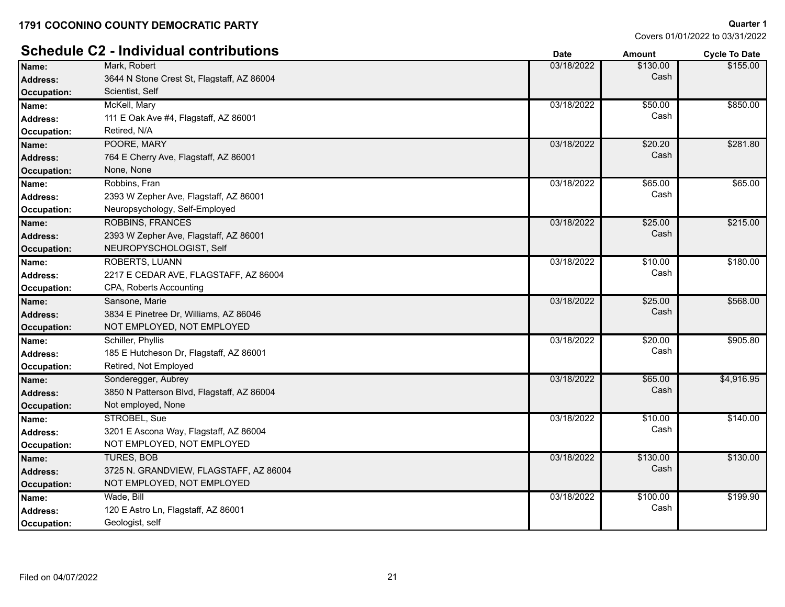# **Schedule C2 - Individual contributions Date Date** *Date**Amount* **Cycle To Date** *Cycle To Date*

| Name:              | Mark, Robert                               | 03/18/2022 | \$130.00 | \$155.00   |
|--------------------|--------------------------------------------|------------|----------|------------|
| <b>Address:</b>    | 3644 N Stone Crest St, Flagstaff, AZ 86004 |            | Cash     |            |
| <b>Occupation:</b> | Scientist, Self                            |            |          |            |
| Name:              | McKell, Mary                               | 03/18/2022 | \$50.00  | \$850.00   |
| Address:           | 111 E Oak Ave #4, Flagstaff, AZ 86001      |            | Cash     |            |
| Occupation:        | Retired, N/A                               |            |          |            |
| Name:              | POORE, MARY                                | 03/18/2022 | \$20.20  | \$281.80   |
| <b>Address:</b>    | 764 E Cherry Ave, Flagstaff, AZ 86001      |            | Cash     |            |
| <b>Occupation:</b> | None, None                                 |            |          |            |
| Name:              | Robbins, Fran                              | 03/18/2022 | \$65.00  | \$65.00    |
| <b>Address:</b>    | 2393 W Zepher Ave, Flagstaff, AZ 86001     |            | Cash     |            |
| Occupation:        | Neuropsychology, Self-Employed             |            |          |            |
| Name:              | <b>ROBBINS, FRANCES</b>                    | 03/18/2022 | \$25.00  | \$215.00   |
| <b>Address:</b>    | 2393 W Zepher Ave, Flagstaff, AZ 86001     |            | Cash     |            |
| <b>Occupation:</b> | NEUROPYSCHOLOGIST, Self                    |            |          |            |
| Name:              | <b>ROBERTS, LUANN</b>                      | 03/18/2022 | \$10.00  | \$180.00   |
| <b>Address:</b>    | 2217 E CEDAR AVE, FLAGSTAFF, AZ 86004      |            | Cash     |            |
| Occupation:        | CPA, Roberts Accounting                    |            |          |            |
| Name:              | Sansone, Marie                             | 03/18/2022 | \$25.00  | \$568.00   |
| <b>Address:</b>    | 3834 E Pinetree Dr, Williams, AZ 86046     |            | Cash     |            |
| <b>Occupation:</b> | NOT EMPLOYED, NOT EMPLOYED                 |            |          |            |
| Name:              | Schiller, Phyllis                          | 03/18/2022 | \$20.00  | \$905.80   |
| <b>Address:</b>    | 185 E Hutcheson Dr, Flagstaff, AZ 86001    |            | Cash     |            |
| Occupation:        | Retired, Not Employed                      |            |          |            |
| Name:              | Sonderegger, Aubrey                        | 03/18/2022 | \$65.00  | \$4,916.95 |
| <b>Address:</b>    | 3850 N Patterson Blvd, Flagstaff, AZ 86004 |            | Cash     |            |
| <b>Occupation:</b> | Not employed, None                         |            |          |            |
| Name:              | STROBEL, Sue                               | 03/18/2022 | \$10.00  | \$140.00   |
| <b>Address:</b>    | 3201 E Ascona Way, Flagstaff, AZ 86004     |            | Cash     |            |
| Occupation:        | NOT EMPLOYED, NOT EMPLOYED                 |            |          |            |
| Name:              | <b>TURES, BOB</b>                          | 03/18/2022 | \$130.00 | \$130.00   |
| <b>Address:</b>    | 3725 N. GRANDVIEW, FLAGSTAFF, AZ 86004     |            | Cash     |            |
| <b>Occupation:</b> | NOT EMPLOYED, NOT EMPLOYED                 |            |          |            |
| Name:              | Wade, Bill                                 | 03/18/2022 | \$100.00 | \$199.90   |
| <b>Address:</b>    | 120 E Astro Ln, Flagstaff, AZ 86001        |            | Cash     |            |
| Occupation:        | Geologist, self                            |            |          |            |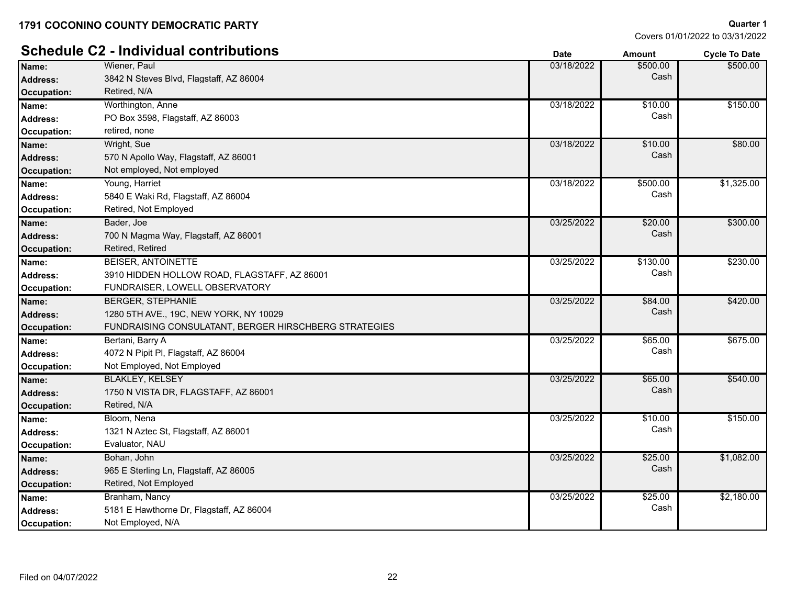Covers 01/01/2022 to 03/31/2022

**Quarter 1**

# **Schedule C2 - Individual contributions Date Date Amount Amount Cycle To Date**

|                    |                                                       | Dalc       | anvun    | <b>OVUE TO DATE</b> |
|--------------------|-------------------------------------------------------|------------|----------|---------------------|
| Name:              | Wiener, Paul                                          | 03/18/2022 | \$500.00 | \$500.00            |
| <b>Address:</b>    | 3842 N Steves Blvd, Flagstaff, AZ 86004               |            | Cash     |                     |
| <b>Occupation:</b> | Retired, N/A                                          |            |          |                     |
| Name:              | Worthington, Anne                                     | 03/18/2022 | \$10.00  | \$150.00            |
| Address:           | PO Box 3598, Flagstaff, AZ 86003                      |            | Cash     |                     |
| Occupation:        | retired, none                                         |            |          |                     |
| Name:              | Wright, Sue                                           | 03/18/2022 | \$10.00  | \$80.00             |
| Address:           | 570 N Apollo Way, Flagstaff, AZ 86001                 |            | Cash     |                     |
| Occupation:        | Not employed, Not employed                            |            |          |                     |
| Name:              | Young, Harriet                                        | 03/18/2022 | \$500.00 | \$1,325.00          |
| Address:           | 5840 E Waki Rd, Flagstaff, AZ 86004                   |            | Cash     |                     |
| Occupation:        | Retired, Not Employed                                 |            |          |                     |
| Name:              | Bader, Joe                                            | 03/25/2022 | \$20.00  | \$300.00            |
| Address:           | 700 N Magma Way, Flagstaff, AZ 86001                  |            | Cash     |                     |
| Occupation:        | Retired, Retired                                      |            |          |                     |
| Name:              | <b>BEISER, ANTOINETTE</b>                             | 03/25/2022 | \$130.00 | \$230.00            |
| Address:           | 3910 HIDDEN HOLLOW ROAD, FLAGSTAFF, AZ 86001          |            | Cash     |                     |
| Occupation:        | FUNDRAISER, LOWELL OBSERVATORY                        |            |          |                     |
| Name:              | <b>BERGER, STEPHANIE</b>                              | 03/25/2022 | \$84.00  | \$420.00            |
| Address:           | 1280 5TH AVE., 19C, NEW YORK, NY 10029                |            | Cash     |                     |
| Occupation:        | FUNDRAISING CONSULATANT, BERGER HIRSCHBERG STRATEGIES |            |          |                     |
| Name:              | Bertani, Barry A                                      | 03/25/2022 | \$65.00  | \$675.00            |
| <b>Address:</b>    | 4072 N Pipit PI, Flagstaff, AZ 86004                  |            | Cash     |                     |
| Occupation:        | Not Employed, Not Employed                            |            |          |                     |
| Name:              | <b>BLAKLEY, KELSEY</b>                                | 03/25/2022 | \$65.00  | \$540.00            |
| <b>Address:</b>    | 1750 N VISTA DR, FLAGSTAFF, AZ 86001                  |            | Cash     |                     |
| <b>Occupation:</b> | Retired, N/A                                          |            |          |                     |
| Name:              | Bloom, Nena                                           | 03/25/2022 | \$10.00  | \$150.00            |
| Address:           | 1321 N Aztec St, Flagstaff, AZ 86001                  |            | Cash     |                     |
| Occupation:        | Evaluator, NAU                                        |            |          |                     |
| Name:              | Bohan, John                                           | 03/25/2022 | \$25.00  | \$1,082.00          |
| <b>Address:</b>    | 965 E Sterling Ln, Flagstaff, AZ 86005                |            | Cash     |                     |
| <b>Occupation:</b> | Retired, Not Employed                                 |            |          |                     |
| Name:              | Branham, Nancy                                        | 03/25/2022 | \$25.00  | \$2,180.00          |
| <b>Address:</b>    | 5181 E Hawthorne Dr, Flagstaff, AZ 86004              |            | Cash     |                     |
| Occupation:        | Not Employed, N/A                                     |            |          |                     |
|                    |                                                       |            |          |                     |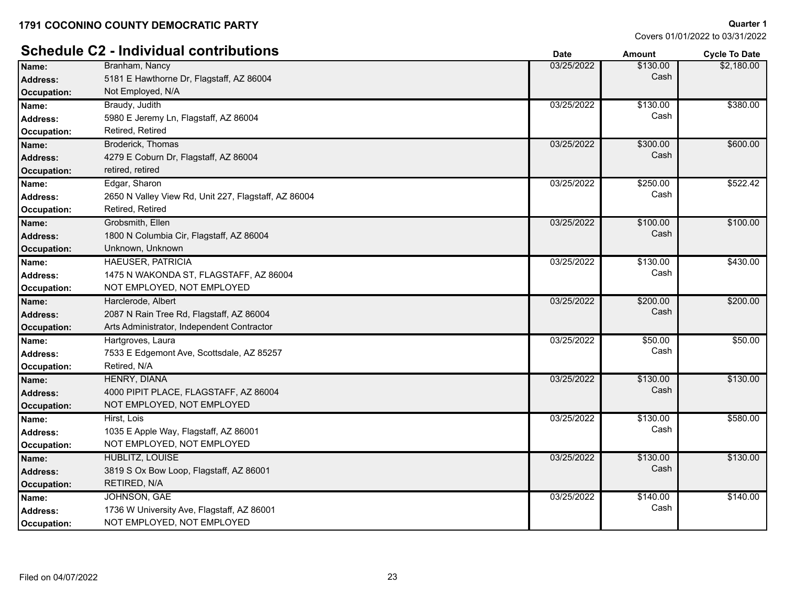|                    | <b>Schedule C2 - Individual contributions</b>        | <b>Date</b> | <b>Amount</b> | <b>Cycle To Date</b> |
|--------------------|------------------------------------------------------|-------------|---------------|----------------------|
| Name:              | Branham, Nancy                                       | 03/25/2022  | \$130.00      | \$2,180.00           |
| <b>Address:</b>    | 5181 E Hawthorne Dr, Flagstaff, AZ 86004             |             | Cash          |                      |
| Occupation:        | Not Employed, N/A                                    |             |               |                      |
| Name:              | Braudy, Judith                                       | 03/25/2022  | \$130.00      | \$380.00             |
| <b>Address:</b>    | 5980 E Jeremy Ln, Flagstaff, AZ 86004                |             | Cash          |                      |
| Occupation:        | Retired, Retired                                     |             |               |                      |
| Name:              | Broderick, Thomas                                    | 03/25/2022  | \$300.00      | \$600.00             |
| <b>Address:</b>    | 4279 E Coburn Dr, Flagstaff, AZ 86004                |             | Cash          |                      |
| <b>Occupation:</b> | retired, retired                                     |             |               |                      |
| Name:              | Edgar, Sharon                                        | 03/25/2022  | \$250.00      | \$522.42             |
| <b>Address:</b>    | 2650 N Valley View Rd, Unit 227, Flagstaff, AZ 86004 |             | Cash          |                      |
| Occupation:        | Retired, Retired                                     |             |               |                      |
| Name:              | Grobsmith, Ellen                                     | 03/25/2022  | \$100.00      | \$100.00             |
| Address:           | 1800 N Columbia Cir, Flagstaff, AZ 86004             |             | Cash          |                      |
| <b>Occupation:</b> | Unknown, Unknown                                     |             |               |                      |
| Name:              | <b>HAEUSER, PATRICIA</b>                             | 03/25/2022  | \$130.00      | \$430.00             |
| <b>Address:</b>    | 1475 N WAKONDA ST, FLAGSTAFF, AZ 86004               |             | Cash          |                      |
| Occupation:        | NOT EMPLOYED, NOT EMPLOYED                           |             |               |                      |
| Name:              | Harclerode, Albert                                   | 03/25/2022  | \$200.00      | \$200.00             |
| <b>Address:</b>    | 2087 N Rain Tree Rd, Flagstaff, AZ 86004             |             | Cash          |                      |
| <b>Occupation:</b> | Arts Administrator, Independent Contractor           |             |               |                      |
| Name:              | Hartgroves, Laura                                    | 03/25/2022  | \$50.00       | \$50.00              |
| Address:           | 7533 E Edgemont Ave, Scottsdale, AZ 85257            |             | Cash          |                      |
| Occupation:        | Retired, N/A                                         |             |               |                      |
| Name:              | HENRY, DIANA                                         | 03/25/2022  | \$130.00      | \$130.00             |
| <b>Address:</b>    | 4000 PIPIT PLACE, FLAGSTAFF, AZ 86004                |             | Cash          |                      |
| <b>Occupation:</b> | NOT EMPLOYED, NOT EMPLOYED                           |             |               |                      |
| Name:              | Hirst, Lois                                          | 03/25/2022  | \$130.00      | \$580.00             |
| <b>Address:</b>    | 1035 E Apple Way, Flagstaff, AZ 86001                |             | Cash          |                      |
| <b>Occupation:</b> | NOT EMPLOYED, NOT EMPLOYED                           |             |               |                      |
| Name:              | HUBLITZ, LOUISE                                      | 03/25/2022  | \$130.00      | \$130.00             |
| <b>Address:</b>    | 3819 S Ox Bow Loop, Flagstaff, AZ 86001              |             | Cash          |                      |
| <b>Occupation:</b> | RETIRED, N/A                                         |             |               |                      |
| Name:              | JOHNSON, GAE                                         | 03/25/2022  | \$140.00      | \$140.00             |
| <b>Address:</b>    | 1736 W University Ave, Flagstaff, AZ 86001           |             | Cash          |                      |
| Occupation:        | NOT EMPLOYED, NOT EMPLOYED                           |             |               |                      |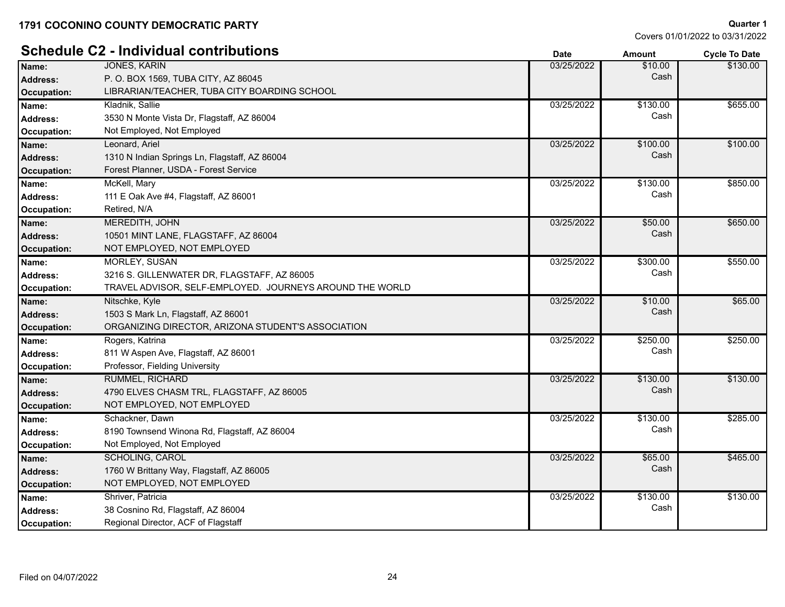# **Schedule C2 - Individual contributions Date Date Date Amount Cycle To Date**

|                    |                                                          |            |          | o yoro to buil |
|--------------------|----------------------------------------------------------|------------|----------|----------------|
| Name:              | <b>JONES, KARIN</b>                                      | 03/25/2022 | \$10.00  | \$130.00       |
| <b>Address:</b>    | P. O. BOX 1569, TUBA CITY, AZ 86045                      |            | Cash     |                |
| <b>Occupation:</b> | LIBRARIAN/TEACHER, TUBA CITY BOARDING SCHOOL             |            |          |                |
| Name:              | Kladnik, Sallie                                          | 03/25/2022 | \$130.00 | \$655.00       |
| <b>Address:</b>    | 3530 N Monte Vista Dr, Flagstaff, AZ 86004               |            | Cash     |                |
| Occupation:        | Not Employed, Not Employed                               |            |          |                |
| Name:              | Leonard, Ariel                                           | 03/25/2022 | \$100.00 | \$100.00       |
| <b>Address:</b>    | 1310 N Indian Springs Ln, Flagstaff, AZ 86004            |            | Cash     |                |
| <b>Occupation:</b> | Forest Planner, USDA - Forest Service                    |            |          |                |
| Name:              | McKell, Mary                                             | 03/25/2022 | \$130.00 | \$850.00       |
| <b>Address:</b>    | 111 E Oak Ave #4, Flagstaff, AZ 86001                    |            | Cash     |                |
| <b>Occupation:</b> | Retired, N/A                                             |            |          |                |
| Name:              | MEREDITH, JOHN                                           | 03/25/2022 | \$50.00  | \$650.00       |
| <b>Address:</b>    | 10501 MINT LANE, FLAGSTAFF, AZ 86004                     |            | Cash     |                |
| <b>Occupation:</b> | NOT EMPLOYED, NOT EMPLOYED                               |            |          |                |
| Name:              | <b>MORLEY, SUSAN</b>                                     | 03/25/2022 | \$300.00 | \$550.00       |
| <b>Address:</b>    | 3216 S. GILLENWATER DR, FLAGSTAFF, AZ 86005              |            | Cash     |                |
| Occupation:        | TRAVEL ADVISOR, SELF-EMPLOYED. JOURNEYS AROUND THE WORLD |            |          |                |
| Name:              | Nitschke, Kyle                                           | 03/25/2022 | \$10.00  | \$65.00        |
| <b>Address:</b>    | 1503 S Mark Ln, Flagstaff, AZ 86001                      |            | Cash     |                |
| Occupation:        | ORGANIZING DIRECTOR, ARIZONA STUDENT'S ASSOCIATION       |            |          |                |
| Name:              | Rogers, Katrina                                          | 03/25/2022 | \$250.00 | \$250.00       |
| <b>Address:</b>    | 811 W Aspen Ave, Flagstaff, AZ 86001                     |            | Cash     |                |
| Occupation:        | Professor, Fielding University                           |            |          |                |
| Name:              | RUMMEL, RICHARD                                          | 03/25/2022 | \$130.00 | \$130.00       |
| <b>Address:</b>    | 4790 ELVES CHASM TRL, FLAGSTAFF, AZ 86005                |            | Cash     |                |
| <b>Occupation:</b> | NOT EMPLOYED, NOT EMPLOYED                               |            |          |                |
| Name:              | Schackner, Dawn                                          | 03/25/2022 | \$130.00 | \$285.00       |
| <b>Address:</b>    | 8190 Townsend Winona Rd, Flagstaff, AZ 86004             |            | Cash     |                |
| Occupation:        | Not Employed, Not Employed                               |            |          |                |
| Name:              | <b>SCHOLING, CAROL</b>                                   | 03/25/2022 | \$65.00  | \$465.00       |
| <b>Address:</b>    | 1760 W Brittany Way, Flagstaff, AZ 86005                 |            | Cash     |                |
| <b>Occupation:</b> | NOT EMPLOYED, NOT EMPLOYED                               |            |          |                |
| Name:              | Shriver, Patricia                                        | 03/25/2022 | \$130.00 | \$130.00       |
| <b>Address:</b>    | 38 Cosnino Rd, Flagstaff, AZ 86004                       |            | Cash     |                |
| Occupation:        | Regional Director, ACF of Flagstaff                      |            |          |                |
|                    |                                                          |            |          |                |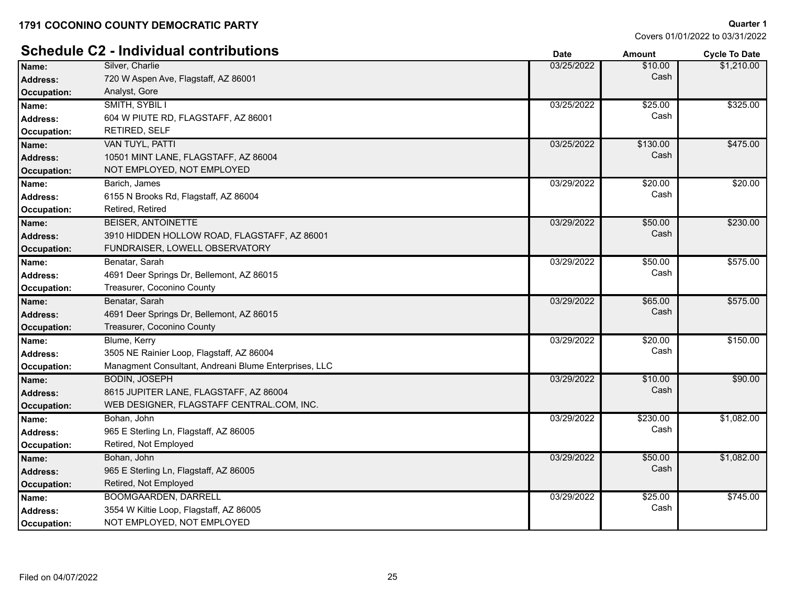|                    | <b>Schedule C2 - Individual contributions</b>         | <b>Date</b> | <b>Amount</b> | <b>Cycle To Date</b> |
|--------------------|-------------------------------------------------------|-------------|---------------|----------------------|
| Name:              | Silver, Charlie                                       | 03/25/2022  | \$10.00       | \$1,210.00           |
| Address:           | 720 W Aspen Ave, Flagstaff, AZ 86001                  |             | Cash          |                      |
| Occupation:        | Analyst, Gore                                         |             |               |                      |
| Name:              | SMITH, SYBIL I                                        | 03/25/2022  | \$25.00       | \$325.00             |
| <b>Address:</b>    | 604 W PIUTE RD, FLAGSTAFF, AZ 86001                   |             | Cash          |                      |
| Occupation:        | <b>RETIRED, SELF</b>                                  |             |               |                      |
| Name:              | VAN TUYL, PATTI                                       | 03/25/2022  | \$130.00      | \$475.00             |
| Address:           | 10501 MINT LANE, FLAGSTAFF, AZ 86004                  |             | Cash          |                      |
| Occupation:        | NOT EMPLOYED, NOT EMPLOYED                            |             |               |                      |
| Name:              | Barich, James                                         | 03/29/2022  | \$20.00       | \$20.00              |
| <b>Address:</b>    | 6155 N Brooks Rd, Flagstaff, AZ 86004                 |             | Cash          |                      |
| Occupation:        | Retired, Retired                                      |             |               |                      |
| Name:              | <b>BEISER, ANTOINETTE</b>                             | 03/29/2022  | \$50.00       | \$230.00             |
| Address:           | 3910 HIDDEN HOLLOW ROAD, FLAGSTAFF, AZ 86001          |             | Cash          |                      |
| Occupation:        | FUNDRAISER, LOWELL OBSERVATORY                        |             |               |                      |
| Name:              | Benatar, Sarah                                        | 03/29/2022  | \$50.00       | \$575.00             |
| <b>Address:</b>    | 4691 Deer Springs Dr, Bellemont, AZ 86015             |             | Cash          |                      |
| Occupation:        | Treasurer, Coconino County                            |             |               |                      |
| Name:              | Benatar, Sarah                                        | 03/29/2022  | \$65.00       | \$575.00             |
| Address:           | 4691 Deer Springs Dr, Bellemont, AZ 86015             |             | Cash          |                      |
| Occupation:        | Treasurer, Coconino County                            |             |               |                      |
| Name:              | Blume, Kerry                                          | 03/29/2022  | \$20.00       | \$150.00             |
| <b>Address:</b>    | 3505 NE Rainier Loop, Flagstaff, AZ 86004             |             | Cash          |                      |
| Occupation:        | Managment Consultant, Andreani Blume Enterprises, LLC |             |               |                      |
| Name:              | <b>BODIN, JOSEPH</b>                                  | 03/29/2022  | \$10.00       | \$90.00              |
| Address:           | 8615 JUPITER LANE, FLAGSTAFF, AZ 86004                |             | Cash          |                      |
| Occupation:        | WEB DESIGNER, FLAGSTAFF CENTRAL.COM, INC.             |             |               |                      |
| Name:              | Bohan, John                                           | 03/29/2022  | \$230.00      | \$1,082.00           |
| <b>Address:</b>    | 965 E Sterling Ln, Flagstaff, AZ 86005                |             | Cash          |                      |
| Occupation:        | Retired, Not Employed                                 |             |               |                      |
| Name:              | Bohan, John                                           | 03/29/2022  | \$50.00       | \$1,082.00           |
| Address:           | 965 E Sterling Ln, Flagstaff, AZ 86005                |             | Cash          |                      |
| <b>Occupation:</b> | Retired, Not Employed                                 |             |               |                      |
| Name:              | BOOMGAARDEN, DARRELL                                  | 03/29/2022  | \$25.00       | \$745.00             |
| <b>Address:</b>    | 3554 W Kiltie Loop, Flagstaff, AZ 86005               |             | Cash          |                      |
| Occupation:        | NOT EMPLOYED, NOT EMPLOYED                            |             |               |                      |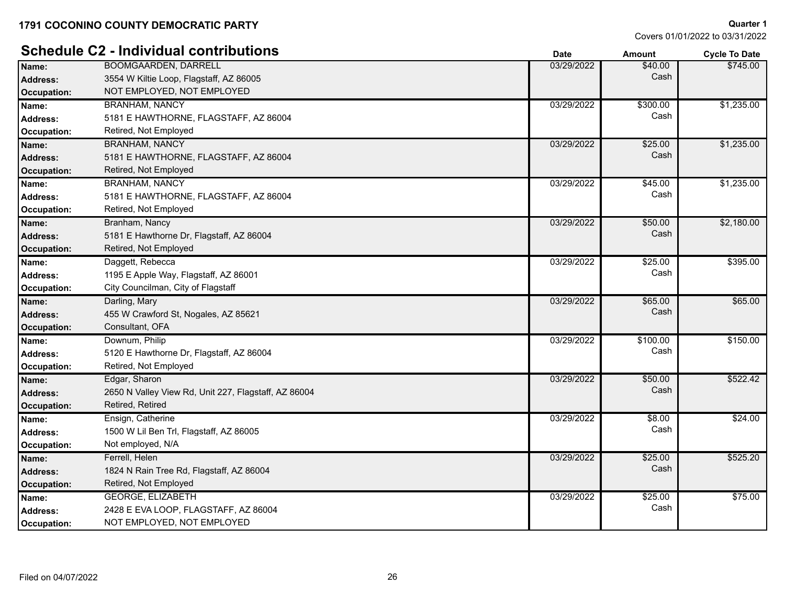|                    | <b>Schedule C2 - Individual contributions</b>        | <b>Date</b> | <b>Amount</b> | <b>Cycle To Date</b> |
|--------------------|------------------------------------------------------|-------------|---------------|----------------------|
| Name:              | <b>BOOMGAARDEN, DARRELL</b>                          | 03/29/2022  | \$40.00       | \$745.00             |
| <b>Address:</b>    | 3554 W Kiltie Loop, Flagstaff, AZ 86005              |             | Cash          |                      |
| Occupation:        | NOT EMPLOYED, NOT EMPLOYED                           |             |               |                      |
| Name:              | <b>BRANHAM, NANCY</b>                                | 03/29/2022  | \$300.00      | \$1,235.00           |
| <b>Address:</b>    | 5181 E HAWTHORNE, FLAGSTAFF, AZ 86004                |             | Cash          |                      |
| Occupation:        | Retired, Not Employed                                |             |               |                      |
| Name:              | <b>BRANHAM, NANCY</b>                                | 03/29/2022  | \$25.00       | \$1,235.00           |
| <b>Address:</b>    | 5181 E HAWTHORNE, FLAGSTAFF, AZ 86004                |             | Cash          |                      |
| <b>Occupation:</b> | Retired, Not Employed                                |             |               |                      |
| Name:              | <b>BRANHAM, NANCY</b>                                | 03/29/2022  | \$45.00       | \$1,235.00           |
| <b>Address:</b>    | 5181 E HAWTHORNE, FLAGSTAFF, AZ 86004                |             | Cash          |                      |
| Occupation:        | Retired, Not Employed                                |             |               |                      |
| Name:              | Branham, Nancy                                       | 03/29/2022  | \$50.00       | \$2,180.00           |
| <b>Address:</b>    | 5181 E Hawthorne Dr, Flagstaff, AZ 86004             |             | Cash          |                      |
| Occupation:        | Retired, Not Employed                                |             |               |                      |
| Name:              | Daggett, Rebecca                                     | 03/29/2022  | \$25.00       | \$395.00             |
| <b>Address:</b>    | 1195 E Apple Way, Flagstaff, AZ 86001                |             | Cash          |                      |
| Occupation:        | City Councilman, City of Flagstaff                   |             |               |                      |
| Name:              | Darling, Mary                                        | 03/29/2022  | \$65.00       | \$65.00              |
| <b>Address:</b>    | 455 W Crawford St, Nogales, AZ 85621                 |             | Cash          |                      |
| Occupation:        | Consultant, OFA                                      |             |               |                      |
| Name:              | Downum, Philip                                       | 03/29/2022  | \$100.00      | \$150.00             |
| <b>Address:</b>    | 5120 E Hawthorne Dr, Flagstaff, AZ 86004             |             | Cash          |                      |
| Occupation:        | Retired, Not Employed                                |             |               |                      |
| Name:              | Edgar, Sharon                                        | 03/29/2022  | \$50.00       | \$522.42             |
| <b>Address:</b>    | 2650 N Valley View Rd, Unit 227, Flagstaff, AZ 86004 |             | Cash          |                      |
| Occupation:        | Retired, Retired                                     |             |               |                      |
| Name:              | Ensign, Catherine                                    | 03/29/2022  | \$8.00        | \$24.00              |
| <b>Address:</b>    | 1500 W Lil Ben Trl, Flagstaff, AZ 86005              |             | Cash          |                      |
| Occupation:        | Not employed, N/A                                    |             |               |                      |
| Name:              | Ferrell, Helen                                       | 03/29/2022  | \$25.00       | \$525.20             |
| <b>Address:</b>    | 1824 N Rain Tree Rd, Flagstaff, AZ 86004             |             | Cash          |                      |
| Occupation:        | Retired, Not Employed                                |             |               |                      |
| Name:              | GEORGE, ELIZABETH                                    | 03/29/2022  | \$25.00       | \$75.00              |
| <b>Address:</b>    | 2428 E EVA LOOP, FLAGSTAFF, AZ 86004                 |             | Cash          |                      |
| Occupation:        | NOT EMPLOYED, NOT EMPLOYED                           |             |               |                      |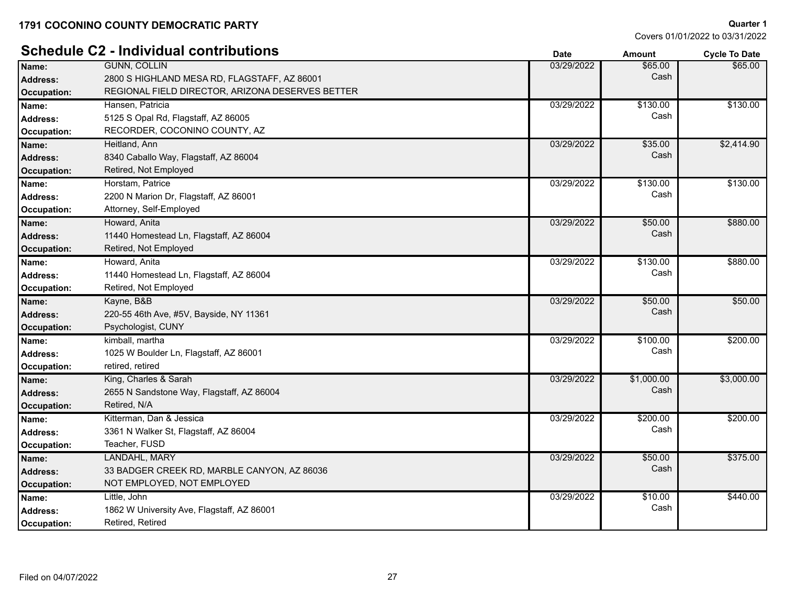|                    | <b>Schedule C2 - Individual contributions</b>    | <b>Date</b> | <b>Amount</b> | <b>Cycle To Date</b> |
|--------------------|--------------------------------------------------|-------------|---------------|----------------------|
| Name:              | <b>GUNN, COLLIN</b>                              | 03/29/2022  | \$65.00       | \$65.00              |
| <b>Address:</b>    | 2800 S HIGHLAND MESA RD, FLAGSTAFF, AZ 86001     |             | Cash          |                      |
| Occupation:        | REGIONAL FIELD DIRECTOR, ARIZONA DESERVES BETTER |             |               |                      |
| Name:              | Hansen, Patricia                                 | 03/29/2022  | \$130.00      | \$130.00             |
| <b>Address:</b>    | 5125 S Opal Rd, Flagstaff, AZ 86005              |             | Cash          |                      |
| Occupation:        | RECORDER, COCONINO COUNTY, AZ                    |             |               |                      |
| Name:              | Heitland, Ann                                    | 03/29/2022  | \$35.00       | \$2,414.90           |
| <b>Address:</b>    | 8340 Caballo Way, Flagstaff, AZ 86004            |             | Cash          |                      |
| <b>Occupation:</b> | Retired, Not Employed                            |             |               |                      |
| Name:              | Horstam, Patrice                                 | 03/29/2022  | \$130.00      | \$130.00             |
| <b>Address:</b>    | 2200 N Marion Dr, Flagstaff, AZ 86001            |             | Cash          |                      |
| <b>Occupation:</b> | Attorney, Self-Employed                          |             |               |                      |
| Name:              | Howard, Anita                                    | 03/29/2022  | \$50.00       | \$880.00             |
| <b>Address:</b>    | 11440 Homestead Ln, Flagstaff, AZ 86004          |             | Cash          |                      |
| <b>Occupation:</b> | Retired, Not Employed                            |             |               |                      |
| Name:              | Howard, Anita                                    | 03/29/2022  | \$130.00      | \$880.00             |
| <b>Address:</b>    | 11440 Homestead Ln, Flagstaff, AZ 86004          |             | Cash          |                      |
| Occupation:        | Retired, Not Employed                            |             |               |                      |
| Name:              | Kayne, B&B                                       | 03/29/2022  | \$50.00       | \$50.00              |
| <b>Address:</b>    | 220-55 46th Ave, #5V, Bayside, NY 11361          |             | Cash          |                      |
| <b>Occupation:</b> | Psychologist, CUNY                               |             |               |                      |
| Name:              | kimball, martha                                  | 03/29/2022  | \$100.00      | \$200.00             |
| <b>Address:</b>    | 1025 W Boulder Ln, Flagstaff, AZ 86001           |             | Cash          |                      |
| <b>Occupation:</b> | retired, retired                                 |             |               |                      |
| Name:              | King, Charles & Sarah                            | 03/29/2022  | \$1,000.00    | \$3,000.00           |
| <b>Address:</b>    | 2655 N Sandstone Way, Flagstaff, AZ 86004        |             | Cash          |                      |
| Occupation:        | Retired, N/A                                     |             |               |                      |
| Name:              | Kitterman, Dan & Jessica                         | 03/29/2022  | \$200.00      | \$200.00             |
| <b>Address:</b>    | 3361 N Walker St, Flagstaff, AZ 86004            |             | Cash          |                      |
| Occupation:        | Teacher, FUSD                                    |             |               |                      |
| Name:              | LANDAHL, MARY                                    | 03/29/2022  | \$50.00       | \$375.00             |
| <b>Address:</b>    | 33 BADGER CREEK RD, MARBLE CANYON, AZ 86036      |             | Cash          |                      |
| <b>Occupation:</b> | NOT EMPLOYED, NOT EMPLOYED                       |             |               |                      |
| Name:              | Little, John                                     | 03/29/2022  | \$10.00       | \$440.00             |
| <b>Address:</b>    | 1862 W University Ave, Flagstaff, AZ 86001       |             | Cash          |                      |
| Occupation:        | Retired, Retired                                 |             |               |                      |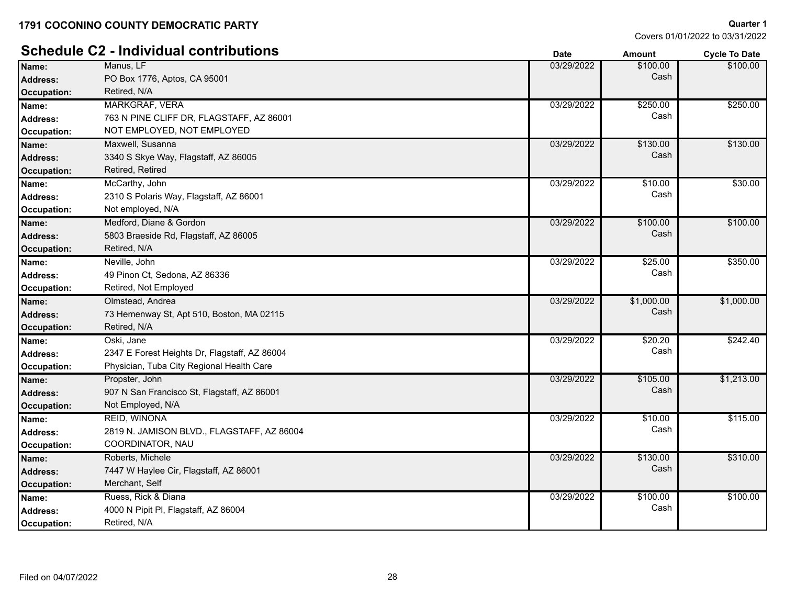Covers 01/01/2022 to 03/31/2022

**Quarter 1**

# **Schedule C2 - Individual contributions**

|                    | arraaan voltu bad                             | Daτe       | Amount     | <b>Cycle To Date</b> |
|--------------------|-----------------------------------------------|------------|------------|----------------------|
| Name:              | Manus, LF                                     | 03/29/2022 | \$100.00   | \$100.00             |
| <b>Address:</b>    | PO Box 1776, Aptos, CA 95001                  |            | Cash       |                      |
| <b>Occupation:</b> | Retired, N/A                                  |            |            |                      |
| Name:              | MARKGRAF, VERA                                | 03/29/2022 | \$250.00   | \$250.00             |
| <b>Address:</b>    | 763 N PINE CLIFF DR, FLAGSTAFF, AZ 86001      |            | Cash       |                      |
| <b>Occupation:</b> | NOT EMPLOYED, NOT EMPLOYED                    |            |            |                      |
| Name:              | Maxwell, Susanna                              | 03/29/2022 | \$130.00   | \$130.00             |
| <b>Address:</b>    | 3340 S Skye Way, Flagstaff, AZ 86005          |            | Cash       |                      |
| <b>Occupation:</b> | Retired, Retired                              |            |            |                      |
| Name:              | McCarthy, John                                | 03/29/2022 | \$10.00    | \$30.00              |
| <b>Address:</b>    | 2310 S Polaris Way, Flagstaff, AZ 86001       |            | Cash       |                      |
| <b>Occupation:</b> | Not employed, N/A                             |            |            |                      |
| Name:              | Medford, Diane & Gordon                       | 03/29/2022 | \$100.00   | \$100.00             |
| <b>Address:</b>    | 5803 Braeside Rd, Flagstaff, AZ 86005         |            | Cash       |                      |
| <b>Occupation:</b> | Retired, N/A                                  |            |            |                      |
| Name:              | Neville, John                                 | 03/29/2022 | \$25.00    | \$350.00             |
| <b>Address:</b>    | 49 Pinon Ct, Sedona, AZ 86336                 |            | Cash       |                      |
| <b>Occupation:</b> | Retired, Not Employed                         |            |            |                      |
| Name:              | Olmstead, Andrea                              | 03/29/2022 | \$1,000.00 | \$1,000.00           |
| <b>Address:</b>    | 73 Hemenway St, Apt 510, Boston, MA 02115     |            | Cash       |                      |
| <b>Occupation:</b> | Retired, N/A                                  |            |            |                      |
| Name:              | Oski, Jane                                    | 03/29/2022 | \$20.20    | \$242.40             |
| <b>Address:</b>    | 2347 E Forest Heights Dr, Flagstaff, AZ 86004 |            | Cash       |                      |
| <b>Occupation:</b> | Physician, Tuba City Regional Health Care     |            |            |                      |
| Name:              | Propster, John                                | 03/29/2022 | \$105.00   | \$1,213.00           |
| <b>Address:</b>    | 907 N San Francisco St, Flagstaff, AZ 86001   |            | Cash       |                      |
| <b>Occupation:</b> | Not Employed, N/A                             |            |            |                      |
| Name:              | <b>REID. WINONA</b>                           | 03/29/2022 | \$10.00    | \$115.00             |
| <b>Address:</b>    | 2819 N. JAMISON BLVD., FLAGSTAFF, AZ 86004    |            | Cash       |                      |
| Occupation:        | COORDINATOR, NAU                              |            |            |                      |
| Name:              | Roberts, Michele                              | 03/29/2022 | \$130.00   | \$310.00             |
| <b>Address:</b>    | 7447 W Haylee Cir, Flagstaff, AZ 86001        |            | Cash       |                      |
| <b>Occupation:</b> | Merchant, Self                                |            |            |                      |
| Name:              | Ruess, Rick & Diana                           | 03/29/2022 | \$100.00   | \$100.00             |
| <b>Address:</b>    | 4000 N Pipit PI, Flagstaff, AZ 86004          |            | Cash       |                      |
| Occupation:        | Retired, N/A                                  |            |            |                      |
|                    |                                               |            |            |                      |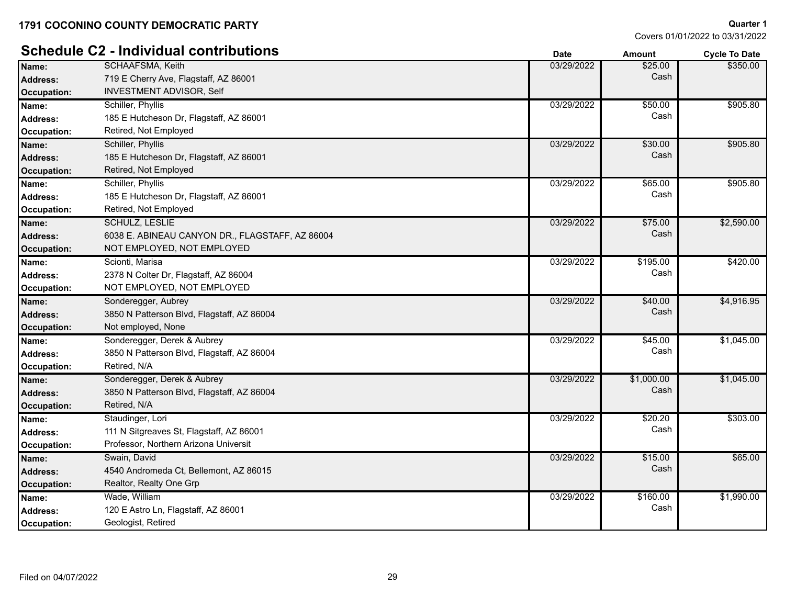|                    | <b>Schedule C2 - Individual contributions</b>   | <b>Date</b> | <b>Amount</b> | <b>Cycle To Date</b> |
|--------------------|-------------------------------------------------|-------------|---------------|----------------------|
| Name:              | <b>SCHAAFSMA, Keith</b>                         | 03/29/2022  | \$25.00       | \$350.00             |
| <b>Address:</b>    | 719 E Cherry Ave, Flagstaff, AZ 86001           |             | Cash          |                      |
| Occupation:        | INVESTMENT ADVISOR, Self                        |             |               |                      |
| Name:              | Schiller, Phyllis                               | 03/29/2022  | \$50.00       | \$905.80             |
| <b>Address:</b>    | 185 E Hutcheson Dr, Flagstaff, AZ 86001         |             | Cash          |                      |
| Occupation:        | Retired, Not Employed                           |             |               |                      |
| Name:              | Schiller, Phyllis                               | 03/29/2022  | \$30.00       | \$905.80             |
| <b>Address:</b>    | 185 E Hutcheson Dr, Flagstaff, AZ 86001         |             | Cash          |                      |
| <b>Occupation:</b> | Retired, Not Employed                           |             |               |                      |
| Name:              | Schiller, Phyllis                               | 03/29/2022  | \$65.00       | \$905.80             |
| <b>Address:</b>    | 185 E Hutcheson Dr, Flagstaff, AZ 86001         |             | Cash          |                      |
| Occupation:        | Retired, Not Employed                           |             |               |                      |
| Name:              | <b>SCHULZ, LESLIE</b>                           | 03/29/2022  | \$75.00       | \$2,590.00           |
| <b>Address:</b>    | 6038 E. ABINEAU CANYON DR., FLAGSTAFF, AZ 86004 |             | Cash          |                      |
| Occupation:        | NOT EMPLOYED, NOT EMPLOYED                      |             |               |                      |
| Name:              | Scionti, Marisa                                 | 03/29/2022  | \$195.00      | \$420.00             |
| <b>Address:</b>    | 2378 N Colter Dr, Flagstaff, AZ 86004           |             | Cash          |                      |
| Occupation:        | NOT EMPLOYED, NOT EMPLOYED                      |             |               |                      |
| Name:              | Sonderegger, Aubrey                             | 03/29/2022  | \$40.00       | \$4,916.95           |
| <b>Address:</b>    | 3850 N Patterson Blvd, Flagstaff, AZ 86004      |             | Cash          |                      |
| Occupation:        | Not employed, None                              |             |               |                      |
| Name:              | Sonderegger, Derek & Aubrey                     | 03/29/2022  | \$45.00       | \$1,045.00           |
| <b>Address:</b>    | 3850 N Patterson Blvd, Flagstaff, AZ 86004      |             | Cash          |                      |
| Occupation:        | Retired, N/A                                    |             |               |                      |
| Name:              | Sonderegger, Derek & Aubrey                     | 03/29/2022  | \$1,000.00    | \$1,045.00           |
| <b>Address:</b>    | 3850 N Patterson Blvd, Flagstaff, AZ 86004      |             | Cash          |                      |
| Occupation:        | Retired, N/A                                    |             |               |                      |
| Name:              | Staudinger, Lori                                | 03/29/2022  | \$20.20       | \$303.00             |
| <b>Address:</b>    | 111 N Sitgreaves St, Flagstaff, AZ 86001        |             | Cash          |                      |
| Occupation:        | Professor, Northern Arizona Universit           |             |               |                      |
| Name:              | Swain, David                                    | 03/29/2022  | \$15.00       | \$65.00              |
| <b>Address:</b>    | 4540 Andromeda Ct, Bellemont, AZ 86015          |             | Cash          |                      |
| Occupation:        | Realtor, Realty One Grp                         |             |               |                      |
| Name:              | Wade, William                                   | 03/29/2022  | \$160.00      | \$1,990.00           |
| <b>Address:</b>    | 120 E Astro Ln, Flagstaff, AZ 86001             |             | Cash          |                      |
| Occupation:        | Geologist, Retired                              |             |               |                      |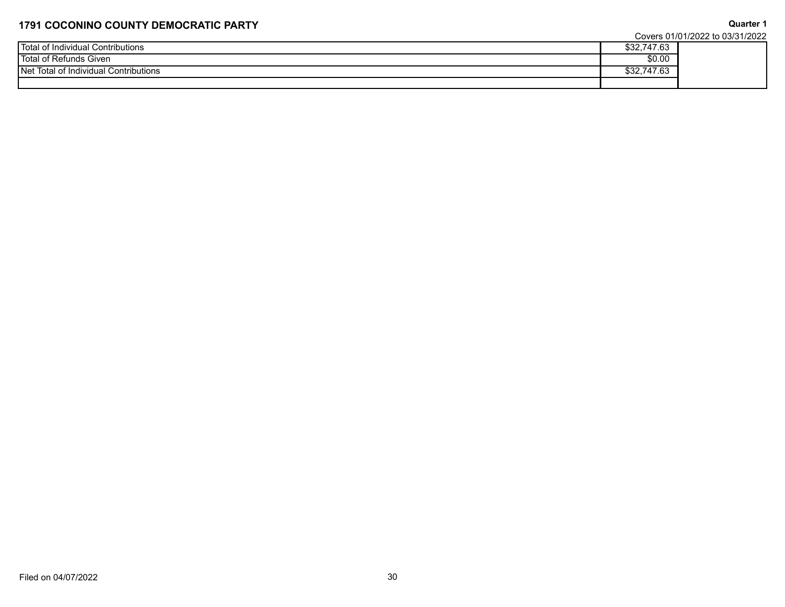Covers 01/01/2022 to 03/31/2022

**Quarter 1**

|                                         |                                       | <b>OUVETS UTTO TIZUZZ TO USIGNIZUZZ</b> |
|-----------------------------------------|---------------------------------------|-----------------------------------------|
| Total<br>Contributions<br>hdividual     | 0.0071700<br>- 00. / ۱<br>ັ້ນ ນານ ນານ |                                         |
| <b>Total</b><br>Given<br>Refunds        | \$0.00                                |                                         |
| l Net<br>i of Individual Contributions_ | 0.0071700<br>03. H                    |                                         |
|                                         |                                       |                                         |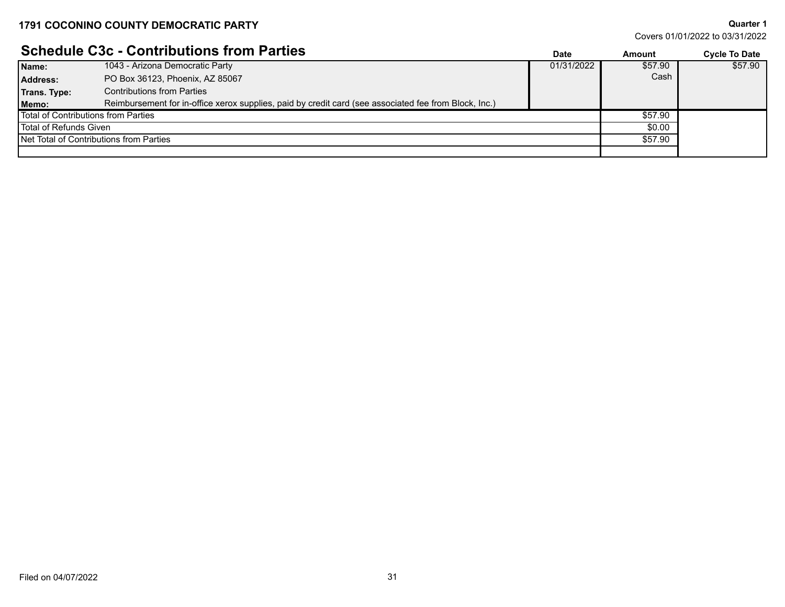# **Schedule C3c - Contributions from Parties**

|                                       | <b>SUIGUULE USU - UUIIIIIDULIUIIS IIUIII FAILIES</b>                                                  | Date       | Amount  | <b>Cycle To Date</b> |
|---------------------------------------|-------------------------------------------------------------------------------------------------------|------------|---------|----------------------|
| Name:                                 | 1043 - Arizona Democratic Party                                                                       | 01/31/2022 | \$57.90 | \$57.90              |
| Address:                              | PO Box 36123, Phoenix, AZ 85067                                                                       |            | Cash    |                      |
| Trans. Type:                          | <b>Contributions from Parties</b>                                                                     |            |         |                      |
| Memo:                                 | Reimbursement for in-office xerox supplies, paid by credit card (see associated fee from Block, Inc.) |            |         |                      |
| l Total of Contributions from Parties |                                                                                                       |            | \$57.90 |                      |
| l Total of Refunds Given              |                                                                                                       |            | \$0.00  |                      |
|                                       | Net Total of Contributions from Parties                                                               |            | \$57.90 |                      |
|                                       |                                                                                                       |            |         |                      |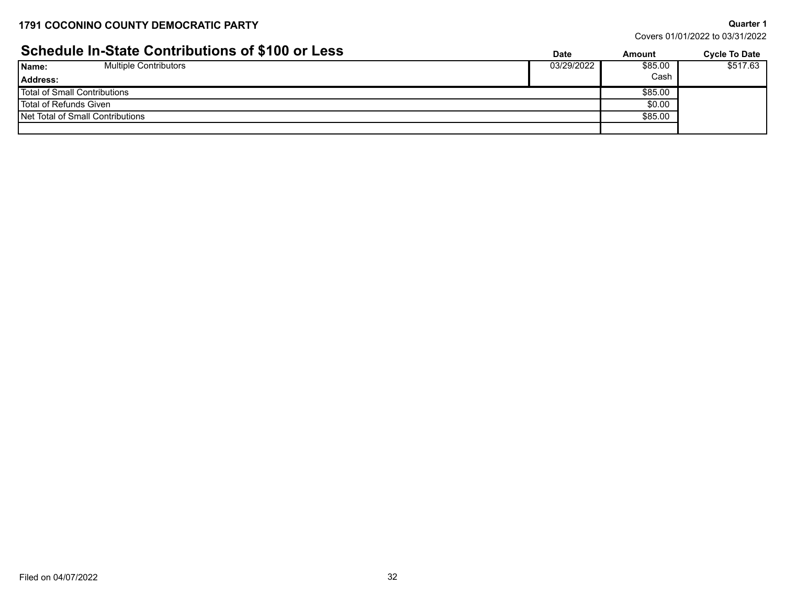# **Schedule In-State Contributions of \$100 or Less Date Date Cycle To Date** *Cycle To Date*

| Covers 01/01/2022 to 03/31/2022 |  |  |
|---------------------------------|--|--|
|                                 |  |  |

| <u>UCHEUDIG III-ULALE UUITLIIDULIUIIS UI VITUU UI LESS</u> | Date       | Amount  | <b>Cycle To Date</b> |
|------------------------------------------------------------|------------|---------|----------------------|
| <b>Multiple Contributors</b><br>Name:                      | 03/29/2022 | \$85.00 | \$517.63             |
| Address:                                                   |            | Cash    |                      |
| Total of Small Contributions                               |            | \$85.00 |                      |
| Total of Refunds Given                                     |            | \$0.00  |                      |
| Net Total of Small Contributions                           |            | \$85.00 |                      |
|                                                            |            |         |                      |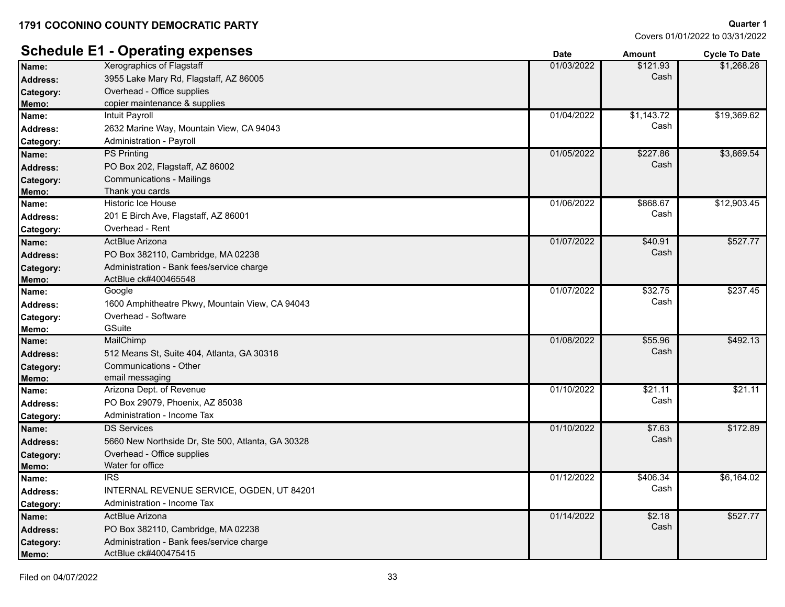Covers 01/01/2022 to 03/31/2022

**Quarter 1**

|                 | <b>Schedule E1 - Operating expenses</b>           | <b>Date</b> | <b>Amount</b> | <b>Cycle To Date</b> |
|-----------------|---------------------------------------------------|-------------|---------------|----------------------|
| Name:           | <b>Xerographics of Flagstaff</b>                  | 01/03/2022  | \$121.93      | \$1,268.28           |
| <b>Address:</b> | 3955 Lake Mary Rd, Flagstaff, AZ 86005            |             | Cash          |                      |
| Category:       | Overhead - Office supplies                        |             |               |                      |
| Memo:           | copier maintenance & supplies                     |             |               |                      |
| Name:           | <b>Intuit Payroll</b>                             | 01/04/2022  | \$1,143.72    | \$19,369.62          |
| Address:        | 2632 Marine Way, Mountain View, CA 94043          |             | Cash          |                      |
| Category:       | Administration - Payroll                          |             |               |                      |
| Name:           | <b>PS Printing</b>                                | 01/05/2022  | \$227.86      | \$3,869.54           |
| <b>Address:</b> | PO Box 202, Flagstaff, AZ 86002                   |             | Cash          |                      |
| Category:       | Communications - Mailings                         |             |               |                      |
| Memo:           | Thank you cards                                   |             |               |                      |
| Name:           | Historic Ice House                                | 01/06/2022  | \$868.67      | \$12,903.45          |
| <b>Address:</b> | 201 E Birch Ave, Flagstaff, AZ 86001              |             | Cash          |                      |
| Category:       | Overhead - Rent                                   |             |               |                      |
| Name:           | ActBlue Arizona                                   | 01/07/2022  | \$40.91       | \$527.77             |
| <b>Address:</b> | PO Box 382110, Cambridge, MA 02238                |             | Cash          |                      |
| Category:       | Administration - Bank fees/service charge         |             |               |                      |
| Memo:           | ActBlue ck#400465548                              |             |               |                      |
| Name:           | Google                                            | 01/07/2022  | \$32.75       | \$237.45             |
| Address:        | 1600 Amphitheatre Pkwy, Mountain View, CA 94043   |             | Cash          |                      |
| Category:       | Overhead - Software                               |             |               |                      |
| Memo:           | GSuite                                            |             |               |                      |
| Name:           | MailChimp                                         | 01/08/2022  | \$55.96       | \$492.13             |
| <b>Address:</b> | 512 Means St, Suite 404, Atlanta, GA 30318        |             | Cash          |                      |
| Category:       | <b>Communications - Other</b>                     |             |               |                      |
| Memo:           | email messaging                                   |             |               |                      |
| Name:           | Arizona Dept. of Revenue                          | 01/10/2022  | \$21.11       | \$21.11              |
| <b>Address:</b> | PO Box 29079, Phoenix, AZ 85038                   |             | Cash          |                      |
| Category:       | Administration - Income Tax                       |             |               |                      |
| Name:           | <b>DS Services</b>                                | 01/10/2022  | \$7.63        | \$172.89             |
| <b>Address:</b> | 5660 New Northside Dr, Ste 500, Atlanta, GA 30328 |             | Cash          |                      |
| Category:       | Overhead - Office supplies                        |             |               |                      |
| Memo:           | Water for office                                  |             |               |                      |
| Name:           | IRS                                               | 01/12/2022  | \$406.34      | \$6,164.02           |
| <b>Address:</b> | INTERNAL REVENUE SERVICE, OGDEN, UT 84201         |             | Cash          |                      |
| Category:       | Administration - Income Tax                       |             |               |                      |
| Name:           | ActBlue Arizona                                   | 01/14/2022  | \$2.18        | \$527.77             |
| <b>Address:</b> | PO Box 382110, Cambridge, MA 02238                |             | Cash          |                      |
| Category:       | Administration - Bank fees/service charge         |             |               |                      |
| Memo:           | ActBlue ck#400475415                              |             |               |                      |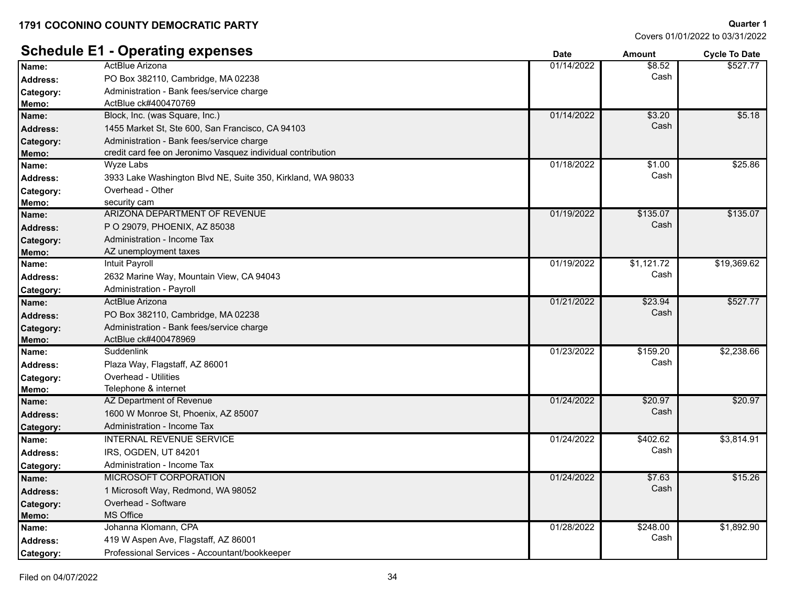# **Schedule E1 - Operating expenses**

| Covers 01/01/2022 to 03/31/2022 |  |
|---------------------------------|--|
|                                 |  |

|                 | Scriedule ET - Operating experises                          | <b>Date</b> | Amount     | <b>Cycle To Date</b> |
|-----------------|-------------------------------------------------------------|-------------|------------|----------------------|
| Name:           | ActBlue Arizona                                             | 01/14/2022  | \$8.52     | \$527.77             |
| <b>Address:</b> | PO Box 382110, Cambridge, MA 02238                          |             | Cash       |                      |
| Category:       | Administration - Bank fees/service charge                   |             |            |                      |
| Memo:           | ActBlue ck#400470769                                        |             |            |                      |
| Name:           | Block, Inc. (was Square, Inc.)                              | 01/14/2022  | \$3.20     | \$5.18               |
| <b>Address:</b> | 1455 Market St, Ste 600, San Francisco, CA 94103            |             | Cash       |                      |
| Category:       | Administration - Bank fees/service charge                   |             |            |                      |
| Memo:           | credit card fee on Jeronimo Vasquez individual contribution |             |            |                      |
| Name:           | <b>Wyze Labs</b>                                            | 01/18/2022  | \$1.00     | \$25.86              |
| <b>Address:</b> | 3933 Lake Washington Blvd NE, Suite 350, Kirkland, WA 98033 |             | Cash       |                      |
| Category:       | Overhead - Other                                            |             |            |                      |
| Memo:           | security cam                                                |             |            |                      |
| Name:           | ARIZONA DEPARTMENT OF REVENUE                               | 01/19/2022  | \$135.07   | \$135.07             |
| <b>Address:</b> | P O 29079, PHOENIX, AZ 85038                                |             | Cash       |                      |
| Category:       | Administration - Income Tax                                 |             |            |                      |
| Memo:           | AZ unemployment taxes                                       |             |            |                      |
| Name:           | Intuit Payroll                                              | 01/19/2022  | \$1,121.72 | \$19,369.62          |
| <b>Address:</b> | 2632 Marine Way, Mountain View, CA 94043                    |             | Cash       |                      |
| Category:       | Administration - Payroll                                    |             |            |                      |
| Name:           | ActBlue Arizona                                             | 01/21/2022  | \$23.94    | \$527.77             |
| <b>Address:</b> | PO Box 382110, Cambridge, MA 02238                          |             | Cash       |                      |
| Category:       | Administration - Bank fees/service charge                   |             |            |                      |
| Memo:           | ActBlue ck#400478969                                        |             |            |                      |
| Name:           | Suddenlink                                                  | 01/23/2022  | \$159.20   | \$2,238.66           |
| <b>Address:</b> | Plaza Way, Flagstaff, AZ 86001                              |             | Cash       |                      |
| Category:       | Overhead - Utilities                                        |             |            |                      |
| Memo:           | Telephone & internet                                        |             |            |                      |
| Name:           | AZ Department of Revenue                                    | 01/24/2022  | \$20.97    | \$20.97              |
| <b>Address:</b> | 1600 W Monroe St, Phoenix, AZ 85007                         |             | Cash       |                      |
| Category:       | Administration - Income Tax                                 |             |            |                      |
| Name:           | <b>INTERNAL REVENUE SERVICE</b>                             | 01/24/2022  | \$402.62   | \$3,814.91           |
| <b>Address:</b> | <b>IRS, OGDEN, UT 84201</b>                                 |             | Cash       |                      |
| Category:       | Administration - Income Tax                                 |             |            |                      |
| Name:           | MICROSOFT CORPORATION                                       | 01/24/2022  | \$7.63     | \$15.26              |
| <b>Address:</b> | 1 Microsoft Way, Redmond, WA 98052                          |             | Cash       |                      |
| Category:       | Overhead - Software                                         |             |            |                      |
| Memo:           | MS Office                                                   |             |            |                      |
| Name:           | Johanna Klomann, CPA                                        | 01/28/2022  | \$248.00   | \$1,892.90           |
| <b>Address:</b> | 419 W Aspen Ave, Flagstaff, AZ 86001                        |             | Cash       |                      |
| Category:       | Professional Services - Accountant/bookkeeper               |             |            |                      |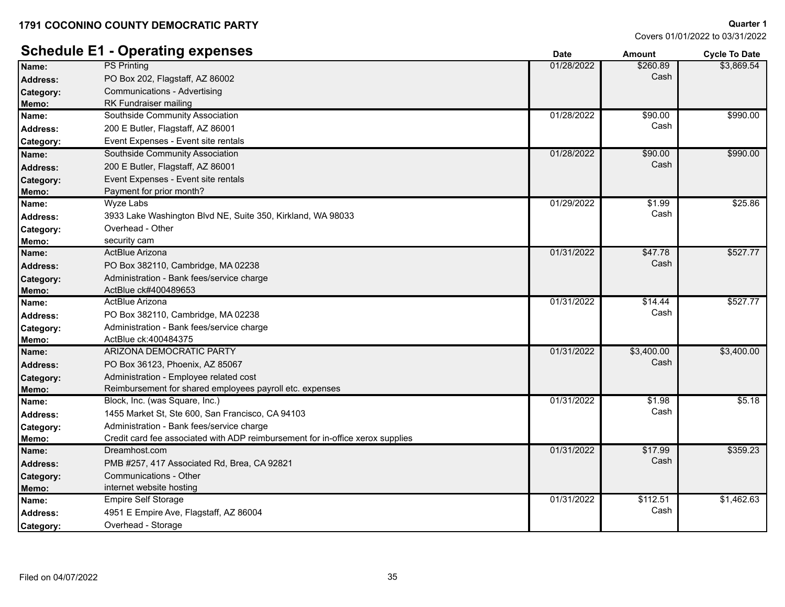Covers 01/01/2022 to 03/31/2022

**Quarter 1**

|                 | <b>Schedule E1 - Operating expenses</b>                                        | <b>Date</b> | <b>Amount</b> | <b>Cycle To Date</b> |
|-----------------|--------------------------------------------------------------------------------|-------------|---------------|----------------------|
| Name:           | <b>PS Printing</b>                                                             | 01/28/2022  | \$260.89      | \$3,869.54           |
| <b>Address:</b> | PO Box 202, Flagstaff, AZ 86002                                                |             | Cash          |                      |
| Category:       | Communications - Advertising                                                   |             |               |                      |
| Memo:           | RK Fundraiser mailing                                                          |             |               |                      |
| Name:           | Southside Community Association                                                | 01/28/2022  | \$90.00       | \$990.00             |
| <b>Address:</b> | 200 E Butler, Flagstaff, AZ 86001                                              |             | Cash          |                      |
| Category:       | Event Expenses - Event site rentals                                            |             |               |                      |
| Name:           | Southside Community Association                                                | 01/28/2022  | \$90.00       | \$990.00             |
| <b>Address:</b> | 200 E Butler, Flagstaff, AZ 86001                                              |             | Cash          |                      |
| Category:       | Event Expenses - Event site rentals                                            |             |               |                      |
| Memo:           | Payment for prior month?                                                       |             |               |                      |
| Name:           | Wyze Labs                                                                      | 01/29/2022  | \$1.99        | \$25.86              |
| <b>Address:</b> | 3933 Lake Washington Blvd NE, Suite 350, Kirkland, WA 98033                    |             | Cash          |                      |
| Category:       | Overhead - Other                                                               |             |               |                      |
| Memo:           | security cam                                                                   |             |               |                      |
| Name:           | ActBlue Arizona                                                                | 01/31/2022  | \$47.78       | \$527.77             |
| <b>Address:</b> | PO Box 382110, Cambridge, MA 02238                                             |             | Cash          |                      |
| Category:       | Administration - Bank fees/service charge                                      |             |               |                      |
| Memo:           | ActBlue ck#400489653                                                           |             |               |                      |
| Name:           | ActBlue Arizona                                                                | 01/31/2022  | \$14.44       | \$527.77             |
| <b>Address:</b> | PO Box 382110, Cambridge, MA 02238                                             |             | Cash          |                      |
| Category:       | Administration - Bank fees/service charge                                      |             |               |                      |
| Memo:           | ActBlue ck:400484375                                                           |             |               |                      |
| Name:           | ARIZONA DEMOCRATIC PARTY                                                       | 01/31/2022  | \$3,400.00    | \$3,400.00           |
| <b>Address:</b> | PO Box 36123, Phoenix, AZ 85067                                                |             | Cash          |                      |
| Category:       | Administration - Employee related cost                                         |             |               |                      |
| Memo:           | Reimbursement for shared employees payroll etc. expenses                       |             |               |                      |
| Name:           | Block, Inc. (was Square, Inc.)                                                 | 01/31/2022  | \$1.98        | \$5.18               |
| <b>Address:</b> | 1455 Market St, Ste 600, San Francisco, CA 94103                               |             | Cash          |                      |
| Category:       | Administration - Bank fees/service charge                                      |             |               |                      |
| Memo:           | Credit card fee associated with ADP reimbursement for in-office xerox supplies |             |               |                      |
| Name:           | Dreamhost.com                                                                  | 01/31/2022  | \$17.99       | \$359.23             |
| <b>Address:</b> | PMB #257, 417 Associated Rd, Brea, CA 92821                                    |             | Cash          |                      |
| Category:       | Communications - Other                                                         |             |               |                      |
| Memo:           | internet website hosting                                                       |             |               |                      |
| Name:           | <b>Empire Self Storage</b>                                                     | 01/31/2022  | \$112.51      | \$1,462.63           |
| <b>Address:</b> | 4951 E Empire Ave, Flagstaff, AZ 86004                                         |             | Cash          |                      |
| Category:       | Overhead - Storage                                                             |             |               |                      |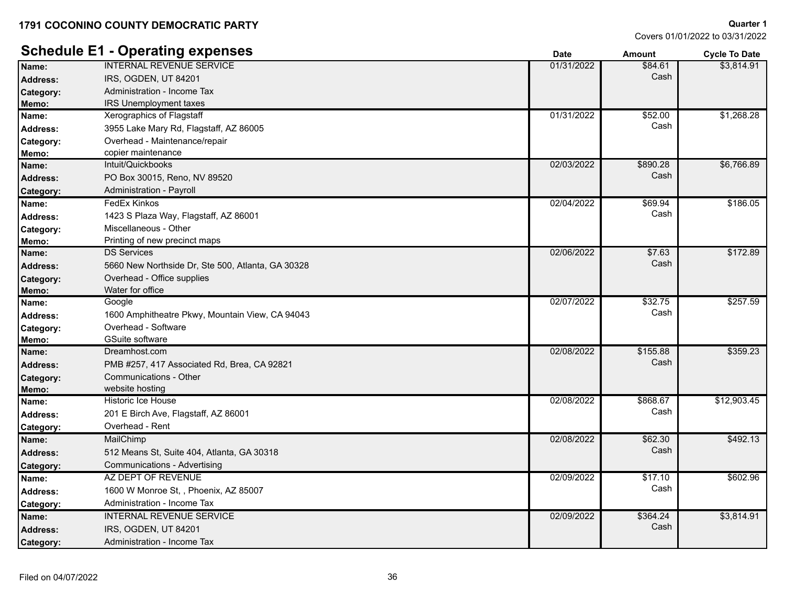|                 | <b>Schedule E1 - Operating expenses</b>           | <b>Date</b> | <b>Amount</b> | <b>Cycle To Date</b> |
|-----------------|---------------------------------------------------|-------------|---------------|----------------------|
| Name:           | <b>INTERNAL REVENUE SERVICE</b>                   | 01/31/2022  | \$84.61       | \$3,814.91           |
| <b>Address:</b> | IRS, OGDEN, UT 84201                              |             | Cash          |                      |
| Category:       | Administration - Income Tax                       |             |               |                      |
| Memo:           | <b>IRS Unemployment taxes</b>                     |             |               |                      |
| Name:           | Xerographics of Flagstaff                         | 01/31/2022  | \$52.00       | \$1,268.28           |
| <b>Address:</b> | 3955 Lake Mary Rd, Flagstaff, AZ 86005            |             | Cash          |                      |
| Category:       | Overhead - Maintenance/repair                     |             |               |                      |
| Memo:           | copier maintenance                                |             |               |                      |
| Name:           | Intuit/Quickbooks                                 | 02/03/2022  | \$890.28      | \$6,766.89           |
| <b>Address:</b> | PO Box 30015, Reno, NV 89520                      |             | Cash          |                      |
| Category:       | Administration - Payroll                          |             |               |                      |
| Name:           | FedEx Kinkos                                      | 02/04/2022  | \$69.94       | \$186.05             |
| <b>Address:</b> | 1423 S Plaza Way, Flagstaff, AZ 86001             |             | Cash          |                      |
| Category:       | Miscellaneous - Other                             |             |               |                      |
| Memo:           | Printing of new precinct maps                     |             |               |                      |
| Name:           | <b>DS Services</b>                                | 02/06/2022  | \$7.63        | \$172.89             |
| <b>Address:</b> | 5660 New Northside Dr, Ste 500, Atlanta, GA 30328 |             | Cash          |                      |
| Category:       | Overhead - Office supplies                        |             |               |                      |
| Memo:           | Water for office                                  |             |               |                      |
| Name:           | Google                                            | 02/07/2022  | \$32.75       | \$257.59             |
| <b>Address:</b> | 1600 Amphitheatre Pkwy, Mountain View, CA 94043   |             | Cash          |                      |
| Category:       | Overhead - Software                               |             |               |                      |
| Memo:           | GSuite software                                   |             |               |                      |
| Name:           | Dreamhost.com                                     | 02/08/2022  | \$155.88      | \$359.23             |
| <b>Address:</b> | PMB #257, 417 Associated Rd, Brea, CA 92821       |             | Cash          |                      |
| Category:       | Communications - Other                            |             |               |                      |
| Memo:           | website hosting                                   |             |               |                      |
| Name:           | Historic Ice House                                | 02/08/2022  | \$868.67      | \$12,903.45          |
| <b>Address:</b> | 201 E Birch Ave, Flagstaff, AZ 86001              |             | Cash          |                      |
| Category:       | Overhead - Rent                                   |             |               |                      |
| Name:           | MailChimp                                         | 02/08/2022  | \$62.30       | \$492.13             |
| <b>Address:</b> | 512 Means St, Suite 404, Atlanta, GA 30318        |             | Cash          |                      |
| Category:       | Communications - Advertising                      |             |               |                      |
| Name:           | AZ DEPT OF REVENUE                                | 02/09/2022  | \$17.10       | \$602.96             |
| <b>Address:</b> | 1600 W Monroe St, , Phoenix, AZ 85007             |             | Cash          |                      |
| Category:       | Administration - Income Tax                       |             |               |                      |
| Name:           | <b>INTERNAL REVENUE SERVICE</b>                   | 02/09/2022  | \$364.24      | \$3,814.91           |
| <b>Address:</b> | IRS, OGDEN, UT 84201                              |             | Cash          |                      |
| Category:       | Administration - Income Tax                       |             |               |                      |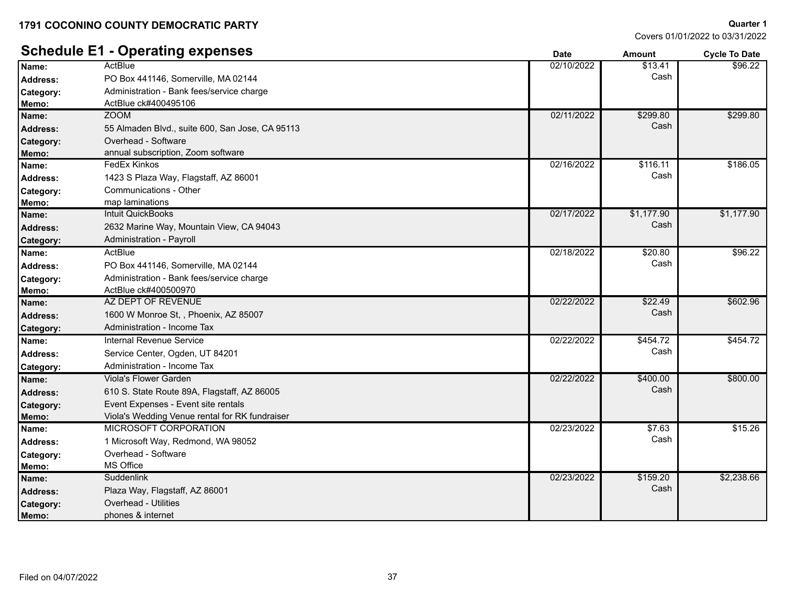Covers 01/01/2022 to 03/31/2022

**Quarter 1**

#### **Schedule E1 - Operating expenses Date Date Date Amount Cycle To Date Cycle To Date ActBlue** PO Box 441146, Somerville, MA 02144 **Address:** Cash **Name:** 02/10/2022 \$13.41 \$96.22 **Category:** Administration - Bank fees/service charge **Memo:** ActBlue ck#400495106 ZOOM 55 Almaden Blvd., suite 600, San Jose, CA 95113 **Address:** Cash **Name:** 02/11/2022 \$299.80 \$299.80 **Category:** Overhead - Software **Memo:** annual subscription, Zoom software FedEx Kinkos 1423 S Plaza Way, Flagstaff, AZ 86001 **Address:** Cash **Name:** 02/16/2022 \$116.11 \$186.05 **Category:** Communications - Other **Memo:** map laminations Intuit QuickBooks 2632 Marine Way, Mountain View, CA 94043 **Address:** Cash **Name:** 02/17/2022 \$1,177.90 \$1,177.90 Category: Administration - Payroll **ActBlue** PO Box 441146, Somerville, MA 02144 **Address:** Cash **Name:** 02/18/2022 \$20.80 \$96.22 **Category:** Administration - Bank fees/service charge **Memo:** ActBlue ck#400500970 AZ DEPT OF REVENUE **Name:** 02/22/2022 \$22.49 1600 W Monroe St, , Phoenix, AZ 85007 **Address:** Cash \$602.96 **Category:** Administration - Income Tax **Name:** Case of the Internal Revenue Service **Case of the Case of the Case of the Case of the Case of the Case of the S454.72 state of the S454.72 state of the S454.72 state of the S454.72 state of the Case of the Case of** Service Center, Ogden, UT 84201 **Address:** Cash \$454.72 **Category:** Administration - Income Tax Viola's Flower Garden 610 S. State Route 89A, Flagstaff, AZ 86005 **Address:** Cash **Name:** 02/22/2022 \$400.00 \$800.00 Category: Event Expenses - Event site rentals **Memo:** Viola's Wedding Venue rental for RK fundraiser MICROSOFT CORPORATION **Name:** 02/23/2022 \$7.63 1 Microsoft Way, Redmond, WA 98052 **Address:** Cash \$15.26 **Category:** Overhead - Software **Memo:** MS Office **Suddenlink** Plaza Way, Flagstaff, AZ 86001 **Address:** Cash **Name:** 02/23/2022 \$159.20 \$2,238.66 **Category:** Overhead - Utilities

**Memo:** phones & internet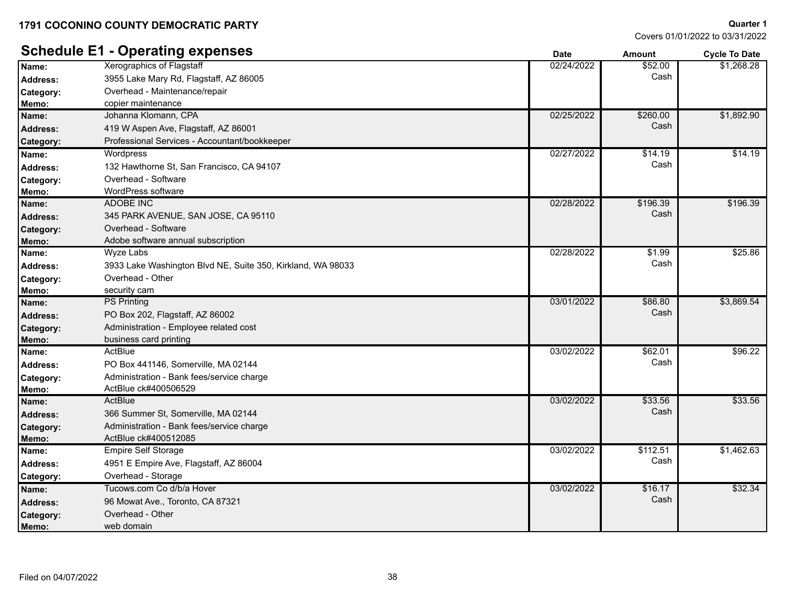Covers 01/01/2022 to 03/31/2022

**Quarter 1**

#### **Schedule E1 - Operating expenses Date Date Date Cycle To Date Cycle To Date** Xerographics of Flagstaff **Name:** 02/24/2022 \$52.00 3955 Lake Mary Rd, Flagstaff, AZ 86005 **Address:** Cash \$1,268.28 **Category:** Overhead - Maintenance/repair **Memo:** copier maintenance Johanna Klomann, CPA **Name:** 02/25/2022 \$260.00 419 W Aspen Ave, Flagstaff, AZ 86001 **Address:** Cash \$1,892.90 Category: Professional Services - Accountant/bookkeeper **Wordpress** Address: a and 132 Hawthorne St, San Francisco, CA 94107 **Cash** and the structure of the structure of the structure of the structure of the structure of the structure of the structure of the structure of the structure of t **Name:** 02/27/2022 \$14.19  $$14.19$ **Category:** Overhead - Software **Memo:** WordPress software ADOBE INC 345 PARK AVENUE, SAN JOSE, CA 95110 **Address:** Cash **Name:** 02/28/2022 \$196.39 \$196.39 **Category:** Overhead - Software **Memo:** Adobe software annual subscription Wyze Labs Address: 3933 Lake Washington Blvd NE, Suite 350, Kirkland, WA 98033 **Cash** Cash Cash **Name:** 02/28/2022 \$1.99 \$25.86 **Category:** Overhead - Other **Memo:** security cam PS Printing PO Box 202, Flagstaff, AZ 86002 **Address:** Cash **Name:** PS Printing **1996 12022 586.80** \$3,869.54 **Category:** Administration - Employee related cost **Memo:** business card printing **ActBlue** PO Box 441146, Somerville, MA 02144 **Address:** Cash **Name:** 03/02/2022 \$62.01 \$96.22 **Category:** Administration - Bank fees/service charge **Memo:** ActBlue ck#400506529 **ActBlue** 366 Summer St, Somerville, MA 02144 **Address:** Cash **Name:** 03/02/2022 \$33.56 \$33.56 **Category:** Administration - Bank fees/service charge **Memo:** ActBlue ck#400512085 **Name:** Empire Self Storage **Name:** Empire Self Storage **Name:** 63/02/2022 **63/02/2022** 5112.51 4951 E Empire Ave, Flagstaff, AZ 86004 **Address:** Cash \$1,462.63 **Category:** Overhead - Storage **Name:** Communication Control of the distribution of the control of the control of the control of the control of the state of the state of the state of the state of the state of the state of the state of the state of the s 96 Mowat Ave., Toronto, CA 87321 **Address:** Cash \$32.34 **Category:** Overhead - Other **Memo:** web domain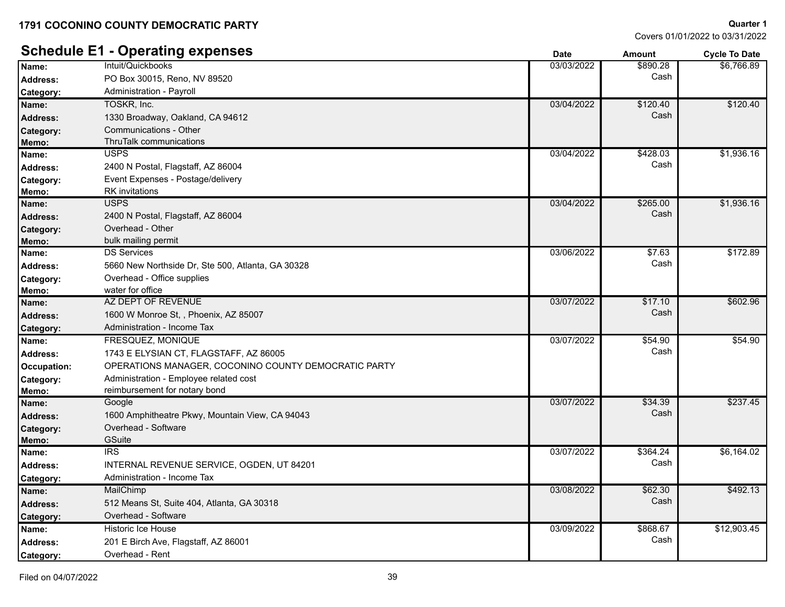Covers 01/01/2022 to 03/31/2022

**Quarter 1**

|                    | <b>Schedule E1 - Operating expenses</b>              | <b>Date</b> | <b>Amount</b> | <b>Cycle To Date</b> |
|--------------------|------------------------------------------------------|-------------|---------------|----------------------|
| Name:              | Intuit/Quickbooks                                    | 03/03/2022  | \$890.28      | \$6.766.89           |
| <b>Address:</b>    | PO Box 30015, Reno, NV 89520                         |             | Cash          |                      |
| <b>Category:</b>   | Administration - Payroll                             |             |               |                      |
| Name:              | TOSKR, Inc.                                          | 03/04/2022  | \$120.40      | \$120.40             |
| <b>Address:</b>    | 1330 Broadway, Oakland, CA 94612                     |             | Cash          |                      |
| Category:          | Communications - Other                               |             |               |                      |
| Memo:              | ThruTalk communications                              |             |               |                      |
| Name:              | <b>USPS</b>                                          | 03/04/2022  | \$428.03      | \$1,936.16           |
| <b>Address:</b>    | 2400 N Postal, Flagstaff, AZ 86004                   |             | Cash          |                      |
| Category:          | Event Expenses - Postage/delivery                    |             |               |                      |
| Memo:              | <b>RK</b> invitations                                |             |               |                      |
| Name:              | <b>USPS</b>                                          | 03/04/2022  | \$265.00      | \$1,936.16           |
| <b>Address:</b>    | 2400 N Postal, Flagstaff, AZ 86004                   |             | Cash          |                      |
| Category:          | Overhead - Other                                     |             |               |                      |
| Memo:              | bulk mailing permit                                  |             |               |                      |
| Name:              | <b>DS Services</b>                                   | 03/06/2022  | \$7.63        | \$172.89             |
| Address:           | 5660 New Northside Dr, Ste 500, Atlanta, GA 30328    |             | Cash          |                      |
| Category:          | Overhead - Office supplies                           |             |               |                      |
| Memo:              | water for office                                     |             |               |                      |
| Name:              | AZ DEPT OF REVENUE                                   | 03/07/2022  | \$17.10       | \$602.96             |
| <b>Address:</b>    | 1600 W Monroe St, , Phoenix, AZ 85007                |             | Cash          |                      |
| Category:          | Administration - Income Tax                          |             |               |                      |
| Name:              | FRESQUEZ, MONIQUE                                    | 03/07/2022  | \$54.90       | \$54.90              |
| <b>Address:</b>    | 1743 E ELYSIAN CT, FLAGSTAFF, AZ 86005               |             | Cash          |                      |
| <b>Occupation:</b> | OPERATIONS MANAGER, COCONINO COUNTY DEMOCRATIC PARTY |             |               |                      |
| Category:          | Administration - Employee related cost               |             |               |                      |
| Memo:              | reimbursement for notary bond                        |             |               |                      |
| Name:              | Google                                               | 03/07/2022  | \$34.39       | \$237.45             |
| <b>Address:</b>    | 1600 Amphitheatre Pkwy, Mountain View, CA 94043      |             | Cash          |                      |
| Category:          | Overhead - Software                                  |             |               |                      |
| Memo:              | <b>GSuite</b>                                        |             |               |                      |
| Name:              | <b>IRS</b>                                           | 03/07/2022  | 364.24        | \$6,164.02           |
| <b>Address:</b>    | INTERNAL REVENUE SERVICE, OGDEN, UT 84201            |             | Cash          |                      |
| Category:          | Administration - Income Tax                          |             |               |                      |
| Name:              | MailChimp                                            | 03/08/2022  | \$62.30       | \$492.13             |
| <b>Address:</b>    | 512 Means St, Suite 404, Atlanta, GA 30318           |             | Cash          |                      |
| Category:          | Overhead - Software                                  |             |               |                      |
| Name:              | <b>Historic Ice House</b>                            | 03/09/2022  | \$868.67      | \$12,903.45          |
| Address:           | 201 E Birch Ave, Flagstaff, AZ 86001                 |             | Cash          |                      |
| Category:          | Overhead - Rent                                      |             |               |                      |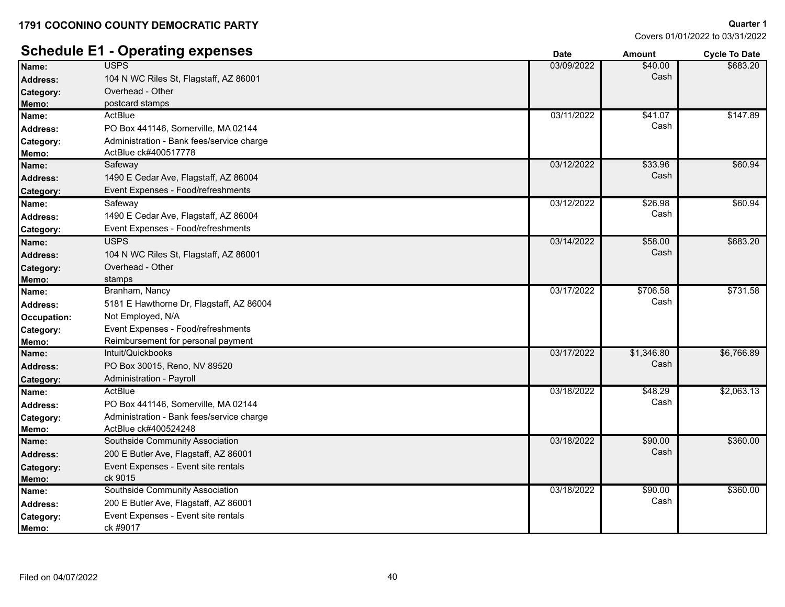Covers 01/01/2022 to 03/31/2022

**Quarter 1**

|                 | <b>Schedule E1 - Operating expenses</b>   | <b>Date</b> | <b>Amount</b> | <b>Cycle To Date</b> |
|-----------------|-------------------------------------------|-------------|---------------|----------------------|
| Name:           | USPS                                      | 03/09/2022  | \$40.00       | \$683.20             |
| <b>Address:</b> | 104 N WC Riles St, Flagstaff, AZ 86001    |             | Cash          |                      |
| Category:       | Overhead - Other                          |             |               |                      |
| Memo:           | postcard stamps                           |             |               |                      |
| Name:           | ActBlue                                   | 03/11/2022  | \$41.07       | \$147.89             |
| <b>Address:</b> | PO Box 441146, Somerville, MA 02144       |             | Cash          |                      |
| Category:       | Administration - Bank fees/service charge |             |               |                      |
| Memo:           | ActBlue ck#400517778                      |             |               |                      |
| Name:           | Safeway                                   | 03/12/2022  | \$33.96       | \$60.94              |
| <b>Address:</b> | 1490 E Cedar Ave, Flagstaff, AZ 86004     |             | Cash          |                      |
| Category:       | Event Expenses - Food/refreshments        |             |               |                      |
| Name:           | Safeway                                   | 03/12/2022  | \$26.98       | \$60.94              |
| <b>Address:</b> | 1490 E Cedar Ave, Flagstaff, AZ 86004     |             | Cash          |                      |
| Category:       | Event Expenses - Food/refreshments        |             |               |                      |
| Name:           | <b>USPS</b>                               | 03/14/2022  | \$58.00       | \$683.20             |
| <b>Address:</b> | 104 N WC Riles St, Flagstaff, AZ 86001    |             | Cash          |                      |
| Category:       | Overhead - Other                          |             |               |                      |
| Memo:           | stamps                                    |             |               |                      |
| Name:           | Branham, Nancy                            | 03/17/2022  | \$706.58      | \$731.58             |
| <b>Address:</b> | 5181 E Hawthorne Dr, Flagstaff, AZ 86004  |             | Cash          |                      |
| Occupation:     | Not Employed, N/A                         |             |               |                      |
| Category:       | Event Expenses - Food/refreshments        |             |               |                      |
| Memo:           | Reimbursement for personal payment        |             |               |                      |
| Name:           | Intuit/Quickbooks                         | 03/17/2022  | \$1,346.80    | \$6,766.89           |
| <b>Address:</b> | PO Box 30015, Reno, NV 89520              |             | Cash          |                      |
| Category:       | <b>Administration - Payroll</b>           |             |               |                      |
| Name:           | ActBlue                                   | 03/18/2022  | \$48.29       | \$2,063.13           |
| <b>Address:</b> | PO Box 441146, Somerville, MA 02144       |             | Cash          |                      |
| Category:       | Administration - Bank fees/service charge |             |               |                      |
| Memo:           | ActBlue ck#400524248                      |             |               |                      |
| Name:           | Southside Community Association           | 03/18/2022  | \$90.00       | \$360.00             |
| <b>Address:</b> | 200 E Butler Ave, Flagstaff, AZ 86001     |             | Cash          |                      |
| Category:       | Event Expenses - Event site rentals       |             |               |                      |
| Memo:           | ck 9015                                   |             |               |                      |
| Name:           | Southside Community Association           | 03/18/2022  | \$90.00       | \$360.00             |
| Address:        | 200 E Butler Ave, Flagstaff, AZ 86001     |             | Cash          |                      |
| Category:       | Event Expenses - Event site rentals       |             |               |                      |
| Memo:           | ck #9017                                  |             |               |                      |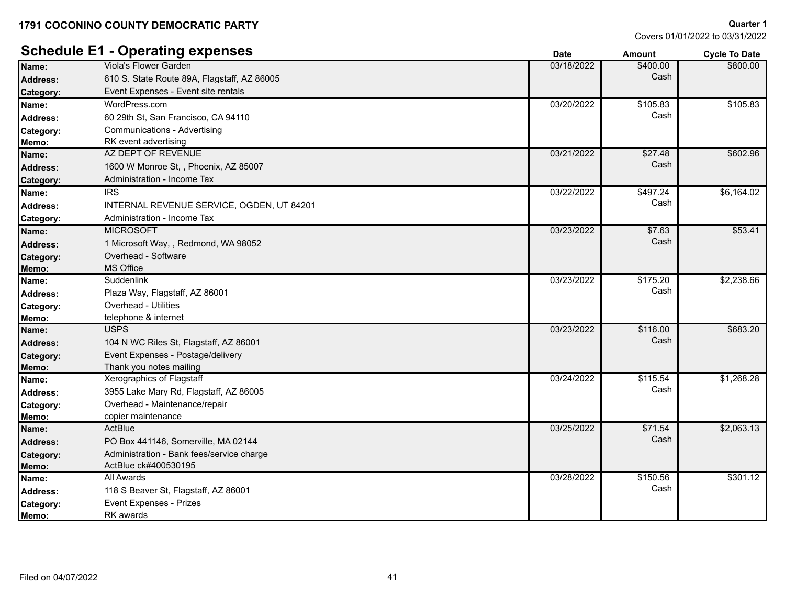Covers 01/01/2022 to 03/31/2022

**Quarter 1**

### **Schedule E1 - Operating expenses Date Date Date Date Amount Cycle To Date** Viola's Flower Garden **Name:** 03/18/2022 \$400.00 610 S. State Route 89A, Flagstaff, AZ 86005 **Address:** Cash \$800.00 **Category:** Event Expenses - Event site rentals WordPress.com 60 29th St, San Francisco, CA 94110 **Address:** Cash **Name:** 03/20/2022 \$105.83 \$105.83 **Category:** Communications - Advertising **Memo:** RK event advertising AZ DEPT OF REVENUE **Name:** 03/21/2022 \$27.48 1600 W Monroe St, , Phoenix, AZ 85007 **Address:** Cash \$602.96 **Category:** Administration - Income Tax IRS **Name:** 03/22/2022 \$497.24

| Address:         | $1000$ W MONICE 3t, THOSIK, AZ 03007      |            |          |            |
|------------------|-------------------------------------------|------------|----------|------------|
| Category:        | Administration - Income Tax               |            |          |            |
| Name:            | <b>IRS</b>                                | 03/22/2022 | \$497.24 | \$6,164.02 |
| <b>Address:</b>  | INTERNAL REVENUE SERVICE, OGDEN, UT 84201 |            | Cash     |            |
| <b>Category:</b> | Administration - Income Tax               |            |          |            |
| Name:            | <b>MICROSOFT</b>                          | 03/23/2022 | \$7.63   | \$53.41    |
| <b>Address:</b>  | 1 Microsoft Way, , Redmond, WA 98052      |            | Cash     |            |
| Category:        | Overhead - Software                       |            |          |            |
| Memo:            | <b>MS Office</b>                          |            |          |            |
| Name:            | Suddenlink                                | 03/23/2022 | \$175.20 | \$2,238.66 |
| <b>Address:</b>  | Plaza Way, Flagstaff, AZ 86001            |            | Cash     |            |
| Category:        | Overhead - Utilities                      |            |          |            |
| Memo:            | telephone & internet                      |            |          |            |
| Name:            | <b>USPS</b>                               | 03/23/2022 | \$116.00 | \$683.20   |
| <b>Address:</b>  | 104 N WC Riles St. Flagstaff, AZ 86001    |            | Cash     |            |
| Category:        | Event Expenses - Postage/delivery         |            |          |            |
| Memo:            | Thank you notes mailing                   |            |          |            |
| Name:            | <b>Xerographics of Flagstaff</b>          | 03/24/2022 | \$115.54 | \$1,268.28 |
| <b>Address:</b>  | 3955 Lake Mary Rd, Flagstaff, AZ 86005    |            | Cash     |            |
| Category:        | Overhead - Maintenance/repair             |            |          |            |
| Memo:            | copier maintenance                        |            |          |            |
| Name:            | ActBlue                                   | 03/25/2022 | \$71.54  | \$2,063.13 |
| <b>Address:</b>  | PO Box 441146, Somerville, MA 02144       |            | Cash     |            |
| Category:        | Administration - Bank fees/service charge |            |          |            |
| Memo:            | ActBlue ck#400530195                      |            |          |            |
| Name:            | All Awards                                | 03/28/2022 | \$150.56 | \$301.12   |
| <b>Address:</b>  | 118 S Beaver St, Flagstaff, AZ 86001      |            | Cash     |            |
| Category:        | <b>Event Expenses - Prizes</b>            |            |          |            |
| Memo:            | <b>RK</b> awards                          |            |          |            |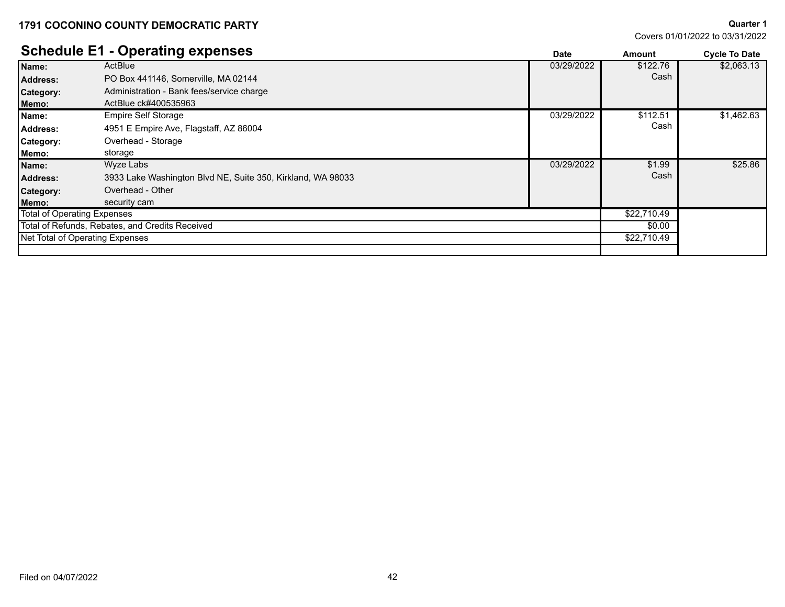**Quarter 1**

|                             | <b>Schedule E1 - Operating expenses</b>                     | <b>Date</b> | Amount      | <b>Cycle To Date</b> |
|-----------------------------|-------------------------------------------------------------|-------------|-------------|----------------------|
| Name:                       | ActBlue                                                     | 03/29/2022  | \$122.76    | \$2,063.13           |
| <b>Address:</b>             | PO Box 441146, Somerville, MA 02144                         |             | Cash        |                      |
| <b>Category:</b>            | Administration - Bank fees/service charge                   |             |             |                      |
| Memo:                       | ActBlue ck#400535963                                        |             |             |                      |
| Name:                       | Empire Self Storage                                         | 03/29/2022  | \$112.51    | \$1,462.63           |
| Address:                    | 4951 E Empire Ave, Flagstaff, AZ 86004                      |             | Cash        |                      |
| Category:                   | Overhead - Storage                                          |             |             |                      |
| Memo:                       | storage                                                     |             |             |                      |
| Name:                       | Wyze Labs                                                   | 03/29/2022  | \$1.99      | \$25.86              |
| <b>Address:</b>             | 3933 Lake Washington Blvd NE, Suite 350, Kirkland, WA 98033 |             | Cash        |                      |
| <b>Category:</b>            | Overhead - Other                                            |             |             |                      |
| Memo:                       | security cam                                                |             |             |                      |
| Total of Operating Expenses |                                                             |             | \$22,710.49 |                      |
|                             | Total of Refunds, Rebates, and Credits Received             |             | \$0.00      |                      |
|                             | Net Total of Operating Expenses                             |             | \$22,710.49 |                      |
|                             |                                                             |             |             |                      |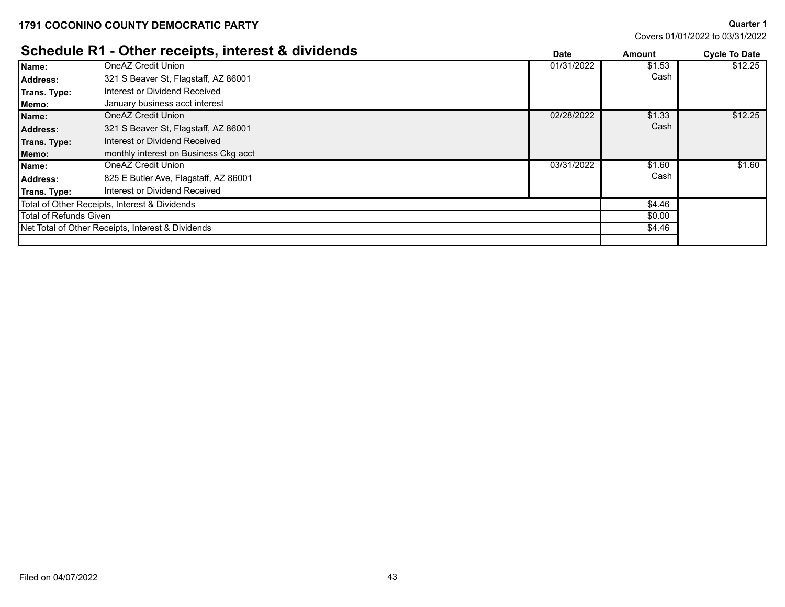Net Total of Other Receipts, Interest & Dividends

**Quarter 1** Covers 01/01/2022 to 03/31/2022

\$4.46

#### **Schedule R1 - Other receipts, interest & dividends Date Date Date Amount Cycle To Date** OneAZ Credit Union 321 S Beaver St, Flagstaff, AZ 86001 **Address:** Cash **Name:** OneAZ Credit Union **by the Contract of Contract Contract of Contract Contract Contract Contract Contract Contract Contract Contract Contract Contract Contract Contract Contract Contract Contract Contract Contract C** \$12.25 **Trans. Type:** Interest or Dividend Received **Memo:** January business acct interest **Name:** OneAZ Credit Union **Contract Contract Contract Contract Contract Contract Contract Contract Contract Contract Contract Contract Contract Contract Contract Contract Contract Contract Contract Contract Contract Contr** 321 S Beaver St, Flagstaff, AZ 86001 **Address:** Cash \$12.25 **Trans. Type:** Interest or Dividend Received **Memo:** monthly interest on Business Ckg acct OneAZ Credit Union **Name:** 03/31/2022 \$1.60 Address: a and 825 E Butler Ave, Flagstaff, AZ 86001 **Cash** and the state of the state of the state of the state of the state of the state of the state of the state of the state of the state of the state of the state of th \$1.60 **Trans. Type:** Interest or Dividend Received \$4.46 \$0.00 Total of Other Receipts, Interest & Dividends Total of Refunds Given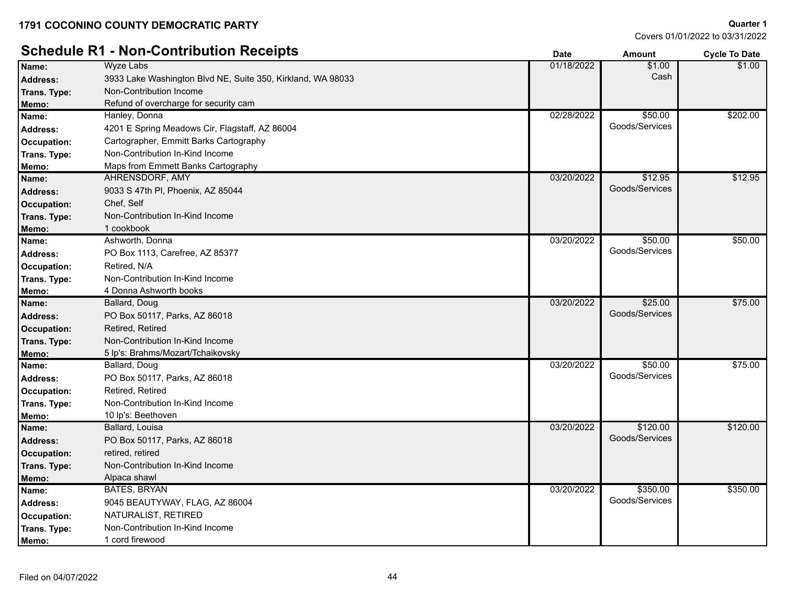# **Schedule R1 - Non-Contribution Receipts Determined a Contribution Receipts Cycle To Date** *Cycle To Date*

| Name:              | Wyze Labs                                                   | 01/18/2022 | \$1.00<br>Cash | \$1.00   |
|--------------------|-------------------------------------------------------------|------------|----------------|----------|
| <b>Address:</b>    | 3933 Lake Washington Blvd NE, Suite 350, Kirkland, WA 98033 |            |                |          |
| Trans. Type:       | Non-Contribution Income                                     |            |                |          |
| Memo:              | Refund of overcharge for security cam                       |            |                |          |
| Name:              | Hanley, Donna                                               | 02/28/2022 | \$50.00        | \$202.00 |
| <b>Address:</b>    | 4201 E Spring Meadows Cir, Flagstaff, AZ 86004              |            | Goods/Services |          |
| Occupation:        | Cartographer, Emmitt Barks Cartography                      |            |                |          |
| Trans. Type:       | Non-Contribution In-Kind Income                             |            |                |          |
| Memo:              | Maps from Emmett Banks Cartography                          |            |                |          |
| Name:              | AHRENSDORF, AMY                                             | 03/20/2022 | \$12.95        | \$12.95  |
| <b>Address:</b>    | 9033 S 47th PI, Phoenix, AZ 85044                           |            | Goods/Services |          |
| Occupation:        | Chef, Self                                                  |            |                |          |
| Trans. Type:       | Non-Contribution In-Kind Income                             |            |                |          |
| Memo:              | 1 cookbook                                                  |            |                |          |
| Name:              | Ashworth, Donna                                             | 03/20/2022 | \$50.00        | \$50.00  |
| <b>Address:</b>    | PO Box 1113, Carefree, AZ 85377                             |            | Goods/Services |          |
| Occupation:        | Retired, N/A                                                |            |                |          |
| Trans. Type:       | Non-Contribution In-Kind Income                             |            |                |          |
| Memo:              | 4 Donna Ashworth books                                      |            |                |          |
| Name:              | Ballard, Doug                                               | 03/20/2022 | \$25.00        | \$75.00  |
| <b>Address:</b>    | PO Box 50117, Parks, AZ 86018                               |            | Goods/Services |          |
| Occupation:        | Retired, Retired                                            |            |                |          |
| Trans. Type:       | Non-Contribution In-Kind Income                             |            |                |          |
| Memo:              | 5 lp's: Brahms/Mozart/Tchaikovsky                           |            |                |          |
| Name:              | Ballard, Doug                                               | 03/20/2022 | \$50.00        | \$75.00  |
| <b>Address:</b>    | PO Box 50117, Parks, AZ 86018                               |            | Goods/Services |          |
| Occupation:        | Retired, Retired                                            |            |                |          |
| Trans. Type:       | Non-Contribution In-Kind Income                             |            |                |          |
| Memo:              | 10 lp's: Beethoven                                          |            |                |          |
| Name:              | Ballard, Louisa                                             | 03/20/2022 | \$120.00       | \$120.00 |
| <b>Address:</b>    | PO Box 50117, Parks, AZ 86018                               |            | Goods/Services |          |
| <b>Occupation:</b> | retired, retired                                            |            |                |          |
| Trans. Type:       | Non-Contribution In-Kind Income                             |            |                |          |
| Memo:              | Alpaca shawl                                                |            |                |          |
| Name:              | <b>BATES, BRYAN</b>                                         | 03/20/2022 | \$350.00       | \$350.00 |
| <b>Address:</b>    | 9045 BEAUTYWAY, FLAG, AZ 86004                              |            | Goods/Services |          |
| Occupation:        | NATURALIST, RETIRED                                         |            |                |          |
| Trans. Type:       | Non-Contribution In-Kind Income                             |            |                |          |
| Memo:              | 1 cord firewood                                             |            |                |          |
|                    |                                                             |            |                |          |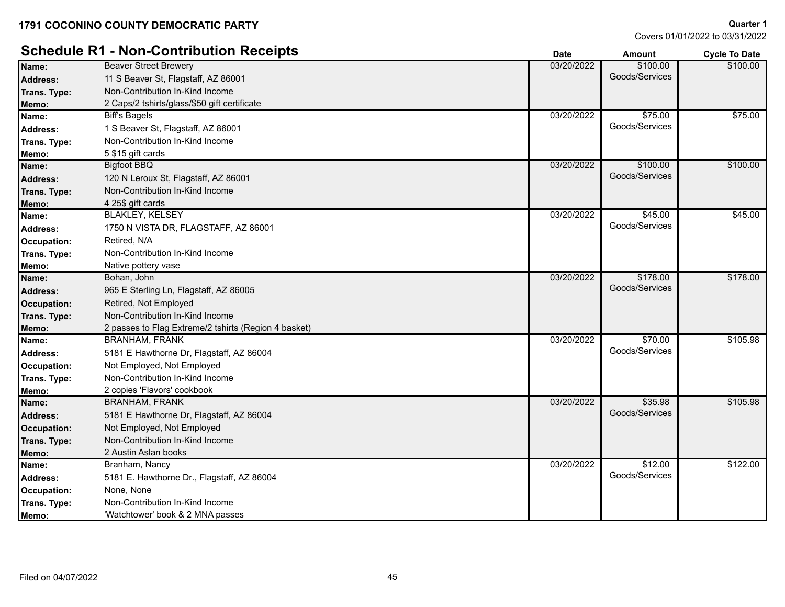# **Schedule R1 - Non-Contribution Receipts Amount Date But Lines and Amount Cycle To Date To Date To Date To Date**

|                    | <u> Schedale IVI - Mon-Adilumation Izecelpta</u>     | <b>Date</b> | Amount         | <b>Cycle To Date</b> |
|--------------------|------------------------------------------------------|-------------|----------------|----------------------|
| Name:              | <b>Beaver Street Brewery</b>                         | 03/20/2022  | \$100.00       | \$100.00             |
| <b>Address:</b>    | 11 S Beaver St, Flagstaff, AZ 86001                  |             | Goods/Services |                      |
| Trans. Type:       | Non-Contribution In-Kind Income                      |             |                |                      |
| Memo:              | 2 Caps/2 tshirts/glass/\$50 gift certificate         |             |                |                      |
| Name:              | <b>Biff's Bagels</b>                                 | 03/20/2022  | \$75.00        | \$75.00              |
| <b>Address:</b>    | 1 S Beaver St, Flagstaff, AZ 86001                   |             | Goods/Services |                      |
| Trans. Type:       | Non-Contribution In-Kind Income                      |             |                |                      |
| Memo:              | 5 \$15 gift cards                                    |             |                |                      |
| Name:              | <b>Bigfoot BBQ</b>                                   | 03/20/2022  | \$100.00       | \$100.00             |
| <b>Address:</b>    | 120 N Leroux St, Flagstaff, AZ 86001                 |             | Goods/Services |                      |
| Trans. Type:       | Non-Contribution In-Kind Income                      |             |                |                      |
| Memo:              | 4 25\$ gift cards                                    |             |                |                      |
| Name:              | <b>BLAKLEY, KELSEY</b>                               | 03/20/2022  | \$45.00        | \$45.00              |
| <b>Address:</b>    | 1750 N VISTA DR, FLAGSTAFF, AZ 86001                 |             | Goods/Services |                      |
| Occupation:        | Retired, N/A                                         |             |                |                      |
| Trans. Type:       | Non-Contribution In-Kind Income                      |             |                |                      |
| Memo:              | Native pottery vase                                  |             |                |                      |
| Name:              | Bohan, John                                          | 03/20/2022  | \$178.00       | \$178.00             |
| <b>Address:</b>    | 965 E Sterling Ln, Flagstaff, AZ 86005               |             | Goods/Services |                      |
| Occupation:        | Retired, Not Employed                                |             |                |                      |
| Trans. Type:       | Non-Contribution In-Kind Income                      |             |                |                      |
| Memo:              | 2 passes to Flag Extreme/2 tshirts (Region 4 basket) |             |                |                      |
| Name:              | <b>BRANHAM, FRANK</b>                                | 03/20/2022  | \$70.00        | \$105.98             |
| Address:           | 5181 E Hawthorne Dr, Flagstaff, AZ 86004             |             | Goods/Services |                      |
| <b>Occupation:</b> | Not Employed, Not Employed                           |             |                |                      |
| Trans. Type:       | Non-Contribution In-Kind Income                      |             |                |                      |
| Memo:              | 2 copies 'Flavors' cookbook                          |             |                |                      |
| Name:              | <b>BRANHAM, FRANK</b>                                | 03/20/2022  | \$35.98        | \$105.98             |
| <b>Address:</b>    | 5181 E Hawthorne Dr, Flagstaff, AZ 86004             |             | Goods/Services |                      |
| <b>Occupation:</b> | Not Employed, Not Employed                           |             |                |                      |
| Trans. Type:       | Non-Contribution In-Kind Income                      |             |                |                      |
| Memo:              | 2 Austin Aslan books                                 |             |                |                      |
| Name:              | Branham, Nancy                                       | 03/20/2022  | \$12.00        | \$122.00             |
| Address:           | 5181 E. Hawthorne Dr., Flagstaff, AZ 86004           |             | Goods/Services |                      |
| Occupation:        | None, None                                           |             |                |                      |
| Trans. Type:       | Non-Contribution In-Kind Income                      |             |                |                      |
| Memo:              | 'Watchtower' book & 2 MNA passes                     |             |                |                      |
|                    |                                                      |             |                |                      |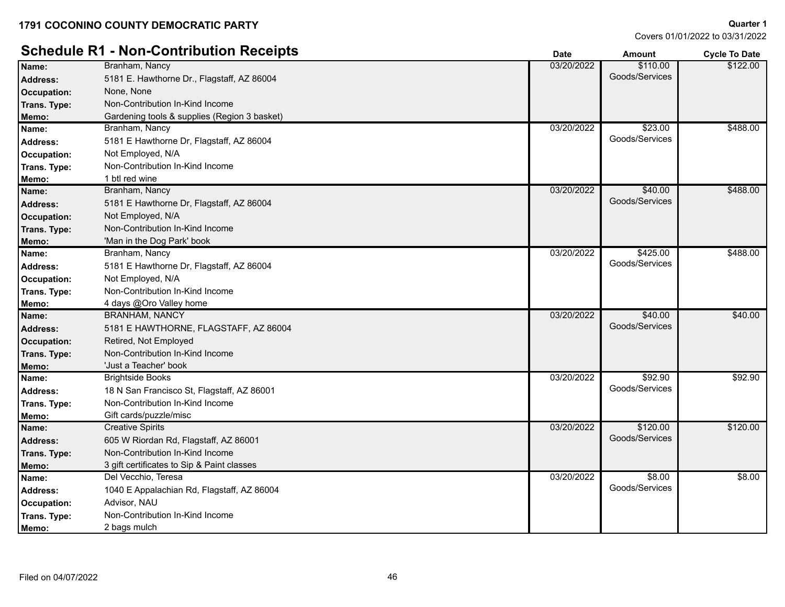# **Schedule R1 - Non-Contribution Receipts**<br> **Date Date Amount Cycle To Date**<br> **Dame: Branham Nancy Branham Nancy Branham Nancy**

| Name:              | Branham, Nancy                               | 03/20/2022 | \$110.00       | \$122.00 |
|--------------------|----------------------------------------------|------------|----------------|----------|
| <b>Address:</b>    | 5181 E. Hawthorne Dr., Flagstaff, AZ 86004   |            | Goods/Services |          |
| <b>Occupation:</b> | None, None                                   |            |                |          |
| Trans. Type:       | Non-Contribution In-Kind Income              |            |                |          |
| Memo:              | Gardening tools & supplies (Region 3 basket) |            |                |          |
| Name:              | Branham, Nancy                               | 03/20/2022 | \$23.00        | \$488.00 |
| Address:           | 5181 E Hawthorne Dr, Flagstaff, AZ 86004     |            | Goods/Services |          |
| Occupation:        | Not Employed, N/A                            |            |                |          |
| Trans. Type:       | Non-Contribution In-Kind Income              |            |                |          |
| Memo:              | 1 btl red wine                               |            |                |          |
| Name:              | Branham, Nancy                               | 03/20/2022 | \$40.00        | \$488.00 |
| <b>Address:</b>    | 5181 E Hawthorne Dr, Flagstaff, AZ 86004     |            | Goods/Services |          |
| <b>Occupation:</b> | Not Employed, N/A                            |            |                |          |
| Trans. Type:       | Non-Contribution In-Kind Income              |            |                |          |
| Memo:              | 'Man in the Dog Park' book                   |            |                |          |
| Name:              | Branham, Nancy                               | 03/20/2022 | \$425.00       | \$488.00 |
| Address:           | 5181 E Hawthorne Dr, Flagstaff, AZ 86004     |            | Goods/Services |          |
| Occupation:        | Not Employed, N/A                            |            |                |          |
| Trans. Type:       | Non-Contribution In-Kind Income              |            |                |          |
| Memo:              | 4 days @Oro Valley home                      |            |                |          |
| Name:              | <b>BRANHAM, NANCY</b>                        | 03/20/2022 | \$40.00        | \$40.00  |
| <b>Address:</b>    | 5181 E HAWTHORNE, FLAGSTAFF, AZ 86004        |            | Goods/Services |          |
| <b>Occupation:</b> | Retired, Not Employed                        |            |                |          |
| Trans. Type:       | Non-Contribution In-Kind Income              |            |                |          |
| Memo:              | 'Just a Teacher' book                        |            |                |          |
| Name:              | <b>Brightside Books</b>                      | 03/20/2022 | \$92.90        | \$92.90  |
| Address:           | 18 N San Francisco St, Flagstaff, AZ 86001   |            | Goods/Services |          |
| Trans. Type:       | Non-Contribution In-Kind Income              |            |                |          |
| Memo:              | Gift cards/puzzle/misc                       |            |                |          |
| Name:              | <b>Creative Spirits</b>                      | 03/20/2022 | \$120.00       | \$120.00 |
| <b>Address:</b>    | 605 W Riordan Rd, Flagstaff, AZ 86001        |            | Goods/Services |          |
| Trans. Type:       | Non-Contribution In-Kind Income              |            |                |          |
| Memo:              | 3 gift certificates to Sip & Paint classes   |            |                |          |
| Name:              | Del Vecchio, Teresa                          | 03/20/2022 | \$8.00         | \$8.00   |
| Address:           | 1040 E Appalachian Rd, Flagstaff, AZ 86004   |            | Goods/Services |          |
| <b>Occupation:</b> | Advisor, NAU                                 |            |                |          |
| Trans. Type:       | Non-Contribution In-Kind Income              |            |                |          |
| Memo:              | 2 bags mulch                                 |            |                |          |
|                    |                                              |            |                |          |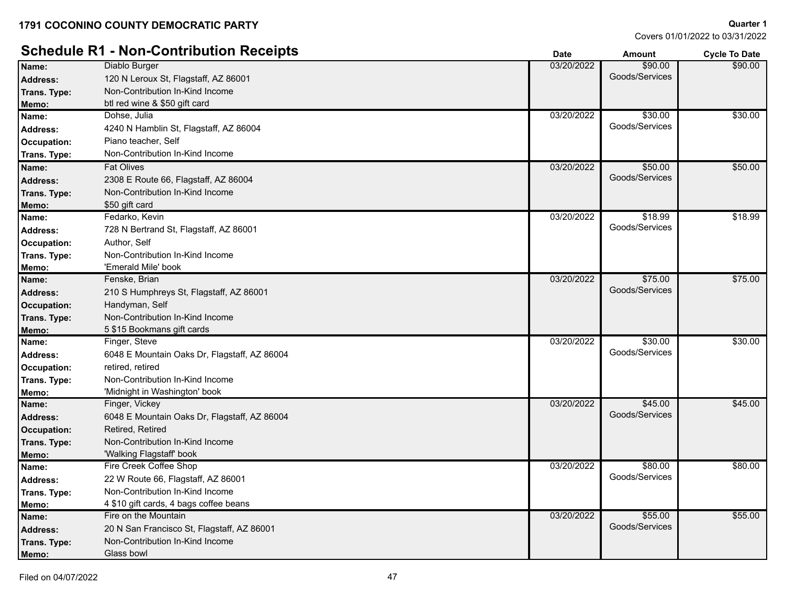Diablo Burger

**Quarter 1** Covers 01/01/2022 to 03/31/2022

\$90.00

# **Schedule R1 - Non-Contribution Receipts**<br>
Name: Diablo Burger Diablo Burger 590.00<br>
2008 Date 590.00

| <b>Address:</b>    | 120 N Leroux St, Flagstaff, AZ 86001         |            | Goods/Services |         |
|--------------------|----------------------------------------------|------------|----------------|---------|
| Trans. Type:       | Non-Contribution In-Kind Income              |            |                |         |
| <b>Memo:</b>       | btl red wine & \$50 gift card                |            |                |         |
| Name:              | Dohse, Julia                                 | 03/20/2022 | \$30.00        | \$30.00 |
| Address:           | 4240 N Hamblin St, Flagstaff, AZ 86004       |            | Goods/Services |         |
| Occupation:        | Piano teacher, Self                          |            |                |         |
| Trans. Type:       | Non-Contribution In-Kind Income              |            |                |         |
| Name:              | <b>Fat Olives</b>                            | 03/20/2022 | \$50.00        | \$50.00 |
| <b>Address:</b>    | 2308 E Route 66, Flagstaff, AZ 86004         |            | Goods/Services |         |
| Trans. Type:       | Non-Contribution In-Kind Income              |            |                |         |
| Memo:              | \$50 gift card                               |            |                |         |
| Name:              | Fedarko, Kevin                               | 03/20/2022 | \$18.99        | \$18.99 |
| <b>Address:</b>    | 728 N Bertrand St, Flagstaff, AZ 86001       |            | Goods/Services |         |
| <b>Occupation:</b> | Author, Self                                 |            |                |         |
| Trans. Type:       | Non-Contribution In-Kind Income              |            |                |         |
| Memo:              | 'Emerald Mile' book                          |            |                |         |
| Name:              | Fenske, Brian                                | 03/20/2022 | \$75.00        | \$75.00 |
| <b>Address:</b>    | 210 S Humphreys St, Flagstaff, AZ 86001      |            | Goods/Services |         |
| <b>Occupation:</b> | Handyman, Self                               |            |                |         |
| Trans. Type:       | Non-Contribution In-Kind Income              |            |                |         |
| Memo:              | 5 \$15 Bookmans gift cards                   |            |                |         |
| Name:              | Finger, Steve                                | 03/20/2022 | \$30.00        | \$30.00 |
| Address:           | 6048 E Mountain Oaks Dr, Flagstaff, AZ 86004 |            | Goods/Services |         |
| <b>Occupation:</b> | retired, retired                             |            |                |         |
| Trans. Type:       | Non-Contribution In-Kind Income              |            |                |         |
| Memo:              | 'Midnight in Washington' book                |            |                |         |
| Name:              | Finger, Vickey                               | 03/20/2022 | \$45.00        | \$45.00 |
| <b>Address:</b>    | 6048 E Mountain Oaks Dr, Flagstaff, AZ 86004 |            | Goods/Services |         |
| <b>Occupation:</b> | Retired, Retired                             |            |                |         |
| Trans. Type:       | Non-Contribution In-Kind Income              |            |                |         |
| Memo:              | 'Walking Flagstaff' book                     |            |                |         |
| Name:              | Fire Creek Coffee Shop                       | 03/20/2022 | \$80.00        | \$80.00 |
| <b>Address:</b>    | 22 W Route 66, Flagstaff, AZ 86001           |            | Goods/Services |         |
| Trans. Type:       | Non-Contribution In-Kind Income              |            |                |         |
| Memo:              | 4 \$10 gift cards, 4 bags coffee beans       |            |                |         |
| Name:              | Fire on the Mountain                         | 03/20/2022 | \$55.00        | \$55.00 |
| <b>Address:</b>    | 20 N San Francisco St, Flagstaff, AZ 86001   |            | Goods/Services |         |
| Trans. Type:       | Non-Contribution In-Kind Income              |            |                |         |
| Memo:              | Glass bowl                                   |            |                |         |

**Name:** 03/20/2022 \$90.00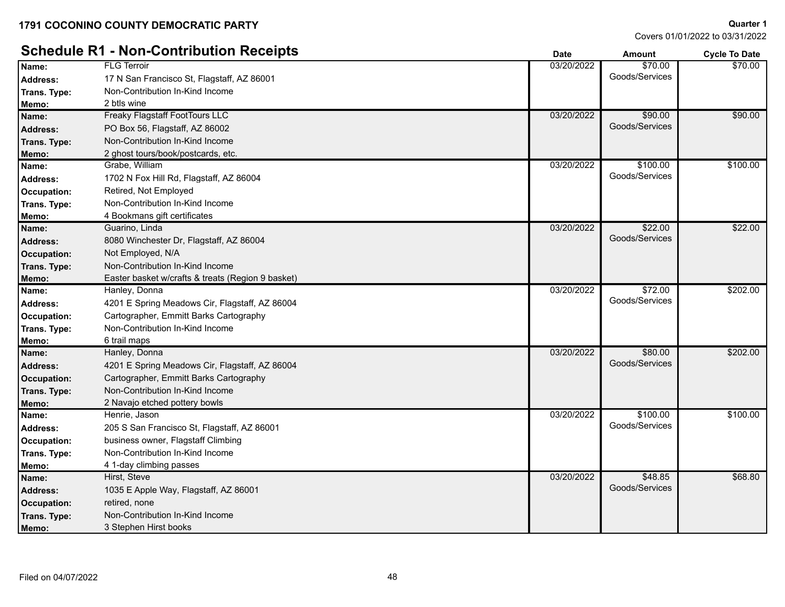**Quarter 1**

#### **Schedule R1 - Non-Contribution Receipts Date Date Date Amount Cycle To Date** FLG Terroir Address: 17 N San Francisco St, Flagstaff, AZ 86001 **Address:** Coods/Services **Name:** 03/20/2022 \$70.00 \$70.00 **Trans. Type :** Non-Contribution In-Kind Income **Memo:** 2 btls wine Freaky Flagstaff FootTours LLC **Name:** 03/20/2022 \$90.00 Address: PO Box 56, Flagstaff, AZ 86002 **Address:** Goods/Services **Contact Address:** Goods/Services \$90.00 **Trans. Type :** Non-Contribution In-Kind Income **Memo:** 2 ghost tours/book/postcards, etc. Grabe, William Address: 1702 N Fox Hill Rd, Flagstaff, AZ 86004 **Address:** Goods/Services **Name:** 03/20/2022 \$100.00 \$100.00 **Occupation:** Retired, Not Employed **Trans. Type :** Non-Contribution In-Kind Income **Memo:** 4 Bookmans gift certificates Guarino, Linda Address: 8080 Winchester Dr, Flagstaff, AZ 86004 **Contract Contract Contract Contract Contract Contract Contract Contract Contract Contract Contract Contract Contract Contract Contract Contract Contract Contract Contract C Name:** Cuarino, Linda **1999, 1999, 1999, 1999, 1999, 1999, 1999, 1999, 1999, 1999, 1999, 1999, 1999, 1999, 1999, 1999, 1999, 1999, 1999, 1999, 1999, 1999, 1999, 1999, 1999, 1999, 1999, 1999, 1999, 1999, 1999, 1999, 1999,** \$22.00 **Occupation:** Not Employed, N/A **Trans. Type :** Non-Contribution In-Kind Income **Memo:** Easter basket w/crafts & treats (Region 9 basket) Hanley, Donna Address: 4201 E Spring Meadows Cir, Flagstaff, AZ 86004 **Address:** Goods/Services **Name:** 03/20/2022 \$72.00 \$202.00 **Occupation:** Cartographer, Emmitt Barks Cartography **Trans. Type :** Non-Contribution In-Kind Income **Memo:** 6 trail maps Hanley, Donna Address: 4201 E Spring Meadows Cir, Flagstaff, AZ 86004 **Contract and Contract and Contract and Contract and Coods/Services Name:** 03/20/2022 \$80.00 \$202.00 **Occupation:** Cartographer, Emmitt Barks Cartography **Trans. Type :** Non-Contribution In-Kind Income **Memo:** 2 Navajo etched pottery bowls Henrie, Jason Address: 205 S San Francisco St, Flagstaff, AZ 86001 **Address:** Coods/Services **Name:** 03/20/2022 \$100.00 \$100.00 **Occupation:** business owner, Flagstaff Climbing **Trans. Type :** Non-Contribution In-Kind Income **Memo:** 4 1-day climbing passes Hirst, Steve Address: 1035 E Apple Way, Flagstaff, AZ 86001 **Address:** Goods/Services **Constanting Coods/Services Name:** 03/20/2022 \$48.85 \$68.80 **Occupation:** retired, none

**Memo:** 3 Stephen Hirst books

**:** Non-Contribution In-Kind Income

**Trans. Type**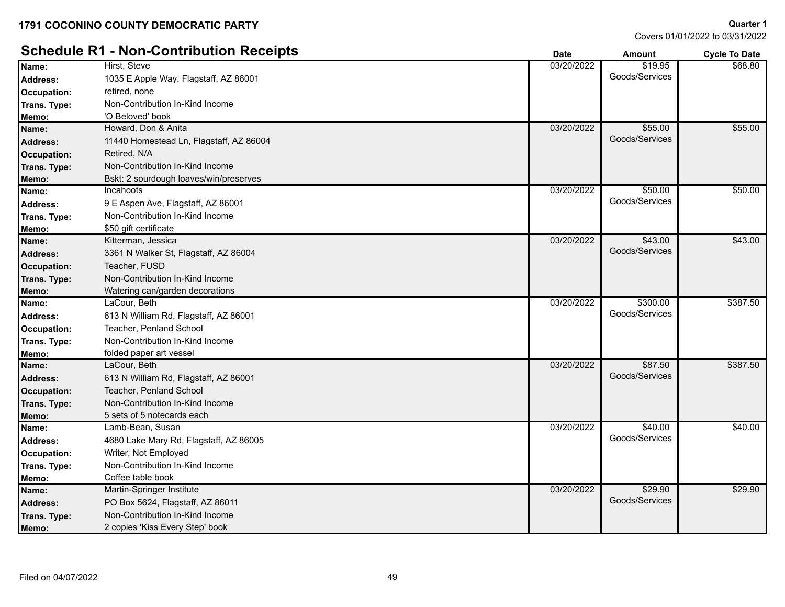Covers 01/01/2022 to 03/31/2022

# **Schedule D1 - Non-Contribution Deceipts**

| Quarter 1                      |  |
|--------------------------------|--|
| -0022 01/01/2022 to 03/31/2022 |  |

|                    | Schedule R1 - Non-Contribution Receipts | <b>Date</b> | <b>Amount</b>  | <b>Cycle To Date</b> |
|--------------------|-----------------------------------------|-------------|----------------|----------------------|
| Name:              | Hirst, Steve                            | 03/20/2022  | \$19.95        | \$68.80              |
| <b>Address:</b>    | 1035 E Apple Way, Flagstaff, AZ 86001   |             | Goods/Services |                      |
| Occupation:        | retired, none                           |             |                |                      |
| Trans. Type:       | Non-Contribution In-Kind Income         |             |                |                      |
| Memo:              | 'O Beloved' book                        |             |                |                      |
| Name:              | Howard, Don & Anita                     | 03/20/2022  | \$55.00        | \$55.00              |
| <b>Address:</b>    | 11440 Homestead Ln, Flagstaff, AZ 86004 |             | Goods/Services |                      |
| Occupation:        | Retired, N/A                            |             |                |                      |
| Trans. Type:       | Non-Contribution In-Kind Income         |             |                |                      |
| Memo:              | Bskt: 2 sourdough loaves/win/preserves  |             |                |                      |
| Name:              | Incahoots                               | 03/20/2022  | \$50.00        | \$50.00              |
| <b>Address:</b>    | 9 E Aspen Ave, Flagstaff, AZ 86001      |             | Goods/Services |                      |
| Trans. Type:       | Non-Contribution In-Kind Income         |             |                |                      |
| Memo:              | \$50 gift certificate                   |             |                |                      |
| Name:              | Kitterman, Jessica                      | 03/20/2022  | \$43.00        | \$43.00              |
| <b>Address:</b>    | 3361 N Walker St, Flagstaff, AZ 86004   |             | Goods/Services |                      |
| Occupation:        | Teacher, FUSD                           |             |                |                      |
| Trans. Type:       | Non-Contribution In-Kind Income         |             |                |                      |
| Memo:              | Watering can/garden decorations         |             |                |                      |
| Name:              | LaCour, Beth                            | 03/20/2022  | \$300.00       | \$387.50             |
| <b>Address:</b>    | 613 N William Rd, Flagstaff, AZ 86001   |             | Goods/Services |                      |
| Occupation:        | Teacher, Penland School                 |             |                |                      |
| Trans. Type:       | Non-Contribution In-Kind Income         |             |                |                      |
| Memo:              | folded paper art vessel                 |             |                |                      |
| Name:              | LaCour, Beth                            | 03/20/2022  | \$87.50        | \$387.50             |
| <b>Address:</b>    | 613 N William Rd, Flagstaff, AZ 86001   |             | Goods/Services |                      |
| <b>Occupation:</b> | Teacher, Penland School                 |             |                |                      |
| Trans. Type:       | Non-Contribution In-Kind Income         |             |                |                      |
| Memo:              | 5 sets of 5 notecards each              |             |                |                      |
| Name:              | Lamb-Bean, Susan                        | 03/20/2022  | \$40.00        | \$40.00              |
| <b>Address:</b>    | 4680 Lake Mary Rd, Flagstaff, AZ 86005  |             | Goods/Services |                      |
| Occupation:        | Writer, Not Employed                    |             |                |                      |
| Trans. Type:       | Non-Contribution In-Kind Income         |             |                |                      |
| Memo:              | Coffee table book                       |             |                |                      |
| Name:              | Martin-Springer Institute               | 03/20/2022  | \$29.90        | \$29.90              |
| <b>Address:</b>    | PO Box 5624, Flagstaff, AZ 86011        |             | Goods/Services |                      |
| Trans. Type:       | Non-Contribution In-Kind Income         |             |                |                      |
| Memo:              | 2 copies 'Kiss Every Step' book         |             |                |                      |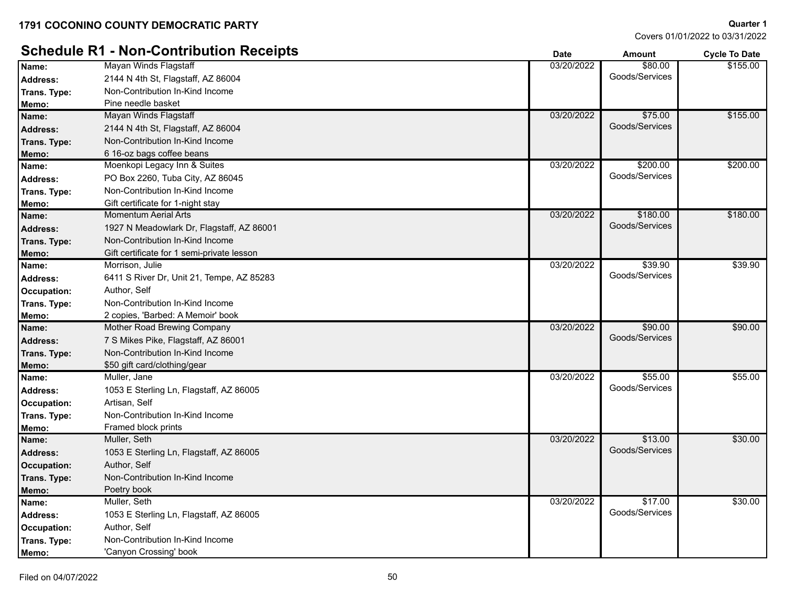**:** Non-Contribution In-Kind Income

**:** Non-Contribution In-Kind Income

**:** Non-Contribution In-Kind Income

**:** Non-Contribution In-Kind Income

**Memo:** \$50 gift card/clothing/gear Muller, Jane

**Occupation:** Artisan, Self

**Occupation:** Author, Self

**Memo:** Poetry book

**Occupation:** Author, Self

**Memo:** 'Canyon Crossing' book

**Memo:** Framed block prints

Muller, Seth

Muller, Seth

Covers 01/01/2022 to 03/31/2022

**Quarter 1**

\$55.00

\$30.00

\$30.00

#### **Schedule R1 - Non-Contribution Receipts Date Date Date Amount Cycle To Date** Mayan Winds Flagstaff **Name:** 03/20/2022 \$80.00 Address: 2144 N 4th St, Flagstaff, AZ 86004 **Contract and Contract and Contract and Contract Address:** Goods/Services \$155.00 **Trans. Type :** Non-Contribution In-Kind Income **Memo:** Pine needle basket Mayan Winds Flagstaff **Name:** 03/20/2022 \$75.00 Address: 2144 N 4th St, Flagstaff, AZ 86004 **Contract and Contract and Contract and Contract and Contract and Contract and Contract and Contract and Contract and Contract and Contract and Contract and Contract and Contract** \$155.00 **Trans. Type :** Non-Contribution In-Kind Income **Memo:** 6 16-oz bags coffee beans **Name:** Moenkopi Legacy Inn & Suites **Name:** 03/20/2022 **6200.00** \$200.00 Address: PO Box 2260, Tuba City, AZ 86045 **Address:** Goods/Services \$200.00 **Trans. Type :** Non-Contribution In-Kind Income **Memo:** Gift certificate for 1-night stay Momentum Aerial Arts **Name:** 03/20/2022 \$180.00 Address: 1927 N Meadowlark Dr, Flagstaff, AZ 86001 **Contract Contract Contract Contract Contract Contract Contract Contract Contract Contract Contract Contract Contract Contract Contract Contract Contract Contract Contract** \$180.00 **Trans. Type :** Non-Contribution In-Kind Income **Memo:** Gift certificate for 1 semi-private lesson Morrison, Julie Address: 6411 S River Dr, Unit 21, Tempe, AZ 85283 **Address:** Goods/Services **Name:** Morrison, Julie **1998. In the set of the set of the set of the set of the set of the set of the set of the set of the set of the set of the set of the set of the set of the set of the set of the set of the set of t** \$39.90 **Occupation:** Author, Self **Trans. Type :** Non-Contribution In-Kind Income **Memo:** 2 copies, 'Barbed: A Memoir' book **Name:** Mother Road Brewing Company **Name:** 03/20/2022 **6.000 \$90.00** \$90.00 \$90.00

Address: The Society of Suites Pike, Flagstaff, AZ 86001 **Address:** Goods/Services

Address: 1053 E Sterling Ln, Flagstaff, AZ 86005 **Address:** Goods/Services **Name:** Muller, Jane **1996.00 \$55.00 \$55.00 \$55.00 \$12.00 \$12.00 \$55.00 \$55.00 \$55.00 \$55.00 \$55.00 \$55.00 \$55.00 \$55.00 \$55.00 \$55.00 \$55.00 \$55.00 \$55.00 \$55.00 \$55.00 \$55.00 \$12.00 \$12.00 \$12.00 \$12.00 \$12.00 \$12.00 \$12** 

Address: 1053 E Sterling Ln, Flagstaff, AZ 86005 **Address:** Goods/Services **Contact Address:** Goods/Services **Name:** 03/20/2022 \$13.00

Address: 1053 E Sterling Ln, Flagstaff, AZ 86005 **Address:** Goods/Services **Name:** Muller, Seth \$17.00

**Trans. Type**

**Trans. Type**

**Trans. Type**

**Trans. Type**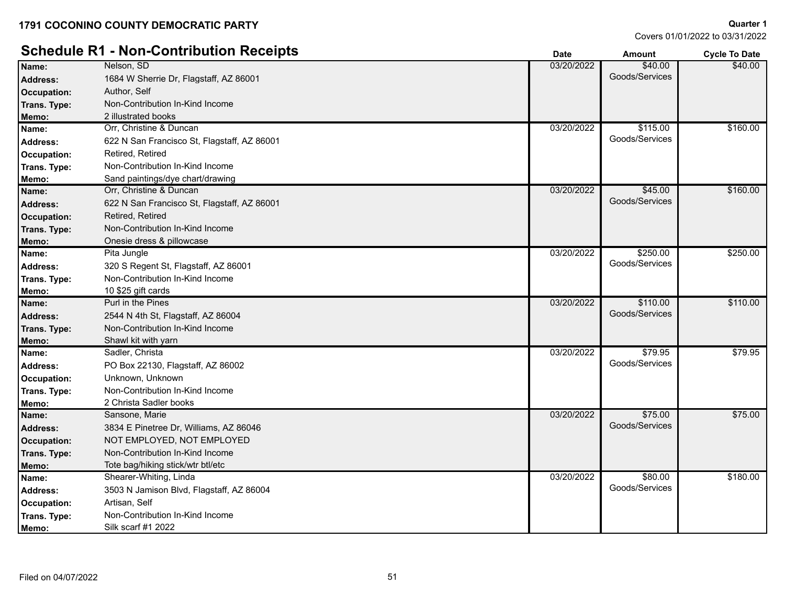# **Schedule R1 - Non-Contribution Receipts Date Date Date Amount Cycle To Date**

| Name:              | Nelson, SD                                  | 03/20/2022 | \$40.00        | \$40.00  |
|--------------------|---------------------------------------------|------------|----------------|----------|
| <b>Address:</b>    | 1684 W Sherrie Dr, Flagstaff, AZ 86001      |            | Goods/Services |          |
| <b>Occupation:</b> | Author, Self                                |            |                |          |
| Trans. Type:       | Non-Contribution In-Kind Income             |            |                |          |
| Memo:              | 2 illustrated books                         |            |                |          |
| Name:              | Orr, Christine & Duncan                     | 03/20/2022 | \$115.00       | \$160.00 |
| <b>Address:</b>    | 622 N San Francisco St, Flagstaff, AZ 86001 |            | Goods/Services |          |
| <b>Occupation:</b> | Retired, Retired                            |            |                |          |
| Trans. Type:       | Non-Contribution In-Kind Income             |            |                |          |
| Memo:              | Sand paintings/dye chart/drawing            |            |                |          |
| Name:              | Orr, Christine & Duncan                     | 03/20/2022 | \$45.00        | \$160.00 |
| <b>Address:</b>    | 622 N San Francisco St, Flagstaff, AZ 86001 |            | Goods/Services |          |
| <b>Occupation:</b> | Retired, Retired                            |            |                |          |
| Trans. Type:       | Non-Contribution In-Kind Income             |            |                |          |
| Memo:              | Onesie dress & pillowcase                   |            |                |          |
| Name:              | Pita Jungle                                 | 03/20/2022 | \$250.00       | \$250.00 |
| <b>Address:</b>    | 320 S Regent St, Flagstaff, AZ 86001        |            | Goods/Services |          |
| Trans. Type:       | Non-Contribution In-Kind Income             |            |                |          |
| Memo:              | 10 \$25 gift cards                          |            |                |          |
| Name:              | Purl in the Pines                           | 03/20/2022 | \$110.00       | \$110.00 |
| <b>Address:</b>    | 2544 N 4th St, Flagstaff, AZ 86004          |            | Goods/Services |          |
| Trans. Type:       | Non-Contribution In-Kind Income             |            |                |          |
| Memo:              | Shawl kit with yarn                         |            |                |          |
| Name:              | Sadler, Christa                             | 03/20/2022 | \$79.95        | \$79.95  |
| <b>Address:</b>    | PO Box 22130, Flagstaff, AZ 86002           |            | Goods/Services |          |
| Occupation:        | Unknown, Unknown                            |            |                |          |
| Trans. Type:       | Non-Contribution In-Kind Income             |            |                |          |
| Memo:              | 2 Christa Sadler books                      |            |                |          |
| Name:              | Sansone, Marie                              | 03/20/2022 | \$75.00        | \$75.00  |
| <b>Address:</b>    | 3834 E Pinetree Dr, Williams, AZ 86046      |            | Goods/Services |          |
| <b>Occupation:</b> | NOT EMPLOYED, NOT EMPLOYED                  |            |                |          |
| Trans. Type:       | Non-Contribution In-Kind Income             |            |                |          |
| Memo:              | Tote bag/hiking stick/wtr btl/etc           |            |                |          |
| Name:              | Shearer-Whiting, Linda                      | 03/20/2022 | \$80.00        | \$180.00 |
| Address:           | 3503 N Jamison Blvd, Flagstaff, AZ 86004    |            | Goods/Services |          |
| Occupation:        | Artisan, Self                               |            |                |          |
| Trans. Type:       | Non-Contribution In-Kind Income             |            |                |          |
| Memo:              | Silk scarf #1 2022                          |            |                |          |
|                    |                                             |            |                |          |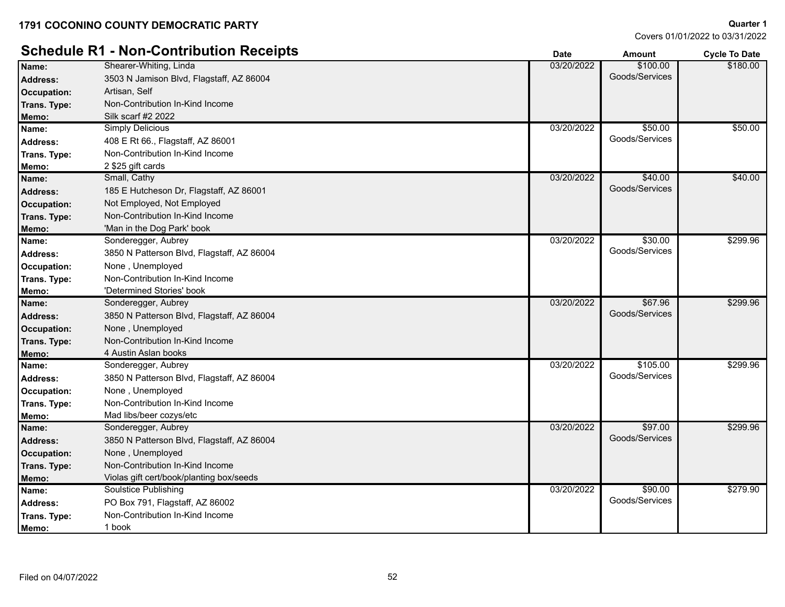# **Schedule R1 - Non-Contribution Receipts Determined a Contribution Receipts Cycle To Date** *Cycle To Date*

| Name:              | Shearer-Whiting, Linda                     | 03/20/2022 | \$100.00       | \$180.00 |
|--------------------|--------------------------------------------|------------|----------------|----------|
| <b>Address:</b>    | 3503 N Jamison Blvd, Flagstaff, AZ 86004   |            | Goods/Services |          |
| <b>Occupation:</b> | Artisan, Self                              |            |                |          |
| Trans. Type:       | Non-Contribution In-Kind Income            |            |                |          |
| Memo:              | Silk scarf #2 2022                         |            |                |          |
| Name:              | <b>Simply Delicious</b>                    | 03/20/2022 | \$50.00        | \$50.00  |
| <b>Address:</b>    | 408 E Rt 66., Flagstaff, AZ 86001          |            | Goods/Services |          |
| Trans. Type:       | Non-Contribution In-Kind Income            |            |                |          |
| Memo:              | 2 \$25 gift cards                          |            |                |          |
| Name:              | Small, Cathy                               | 03/20/2022 | \$40.00        | \$40.00  |
| <b>Address:</b>    | 185 E Hutcheson Dr, Flagstaff, AZ 86001    |            | Goods/Services |          |
| <b>Occupation:</b> | Not Employed, Not Employed                 |            |                |          |
| Trans. Type:       | Non-Contribution In-Kind Income            |            |                |          |
| Memo:              | 'Man in the Dog Park' book                 |            |                |          |
| Name:              | Sonderegger, Aubrey                        | 03/20/2022 | \$30.00        | \$299.96 |
| <b>Address:</b>    | 3850 N Patterson Blvd, Flagstaff, AZ 86004 |            | Goods/Services |          |
| Occupation:        | None, Unemployed                           |            |                |          |
| Trans. Type:       | Non-Contribution In-Kind Income            |            |                |          |
| Memo:              | 'Determined Stories' book                  |            |                |          |
| Name:              | Sonderegger, Aubrey                        | 03/20/2022 | \$67.96        | \$299.96 |
| <b>Address:</b>    | 3850 N Patterson Blvd, Flagstaff, AZ 86004 |            | Goods/Services |          |
| <b>Occupation:</b> | None, Unemployed                           |            |                |          |
| Trans. Type:       | Non-Contribution In-Kind Income            |            |                |          |
| Memo:              | 4 Austin Aslan books                       |            |                |          |
| Name:              | Sonderegger, Aubrey                        | 03/20/2022 | \$105.00       | \$299.96 |
| <b>Address:</b>    | 3850 N Patterson Blvd, Flagstaff, AZ 86004 |            | Goods/Services |          |
| Occupation:        | None, Unemployed                           |            |                |          |
| Trans. Type:       | Non-Contribution In-Kind Income            |            |                |          |
| Memo:              | Mad libs/beer cozys/etc                    |            |                |          |
| Name:              | Sonderegger, Aubrey                        | 03/20/2022 | \$97.00        | \$299.96 |
| <b>Address:</b>    | 3850 N Patterson Blvd, Flagstaff, AZ 86004 |            | Goods/Services |          |
| <b>Occupation:</b> | None, Unemployed                           |            |                |          |
| Trans. Type:       | Non-Contribution In-Kind Income            |            |                |          |
| Memo:              | Violas gift cert/book/planting box/seeds   |            |                |          |
| Name:              | Soulstice Publishing                       | 03/20/2022 | \$90.00        | \$279.90 |
| <b>Address:</b>    | PO Box 791, Flagstaff, AZ 86002            |            | Goods/Services |          |
| Trans. Type:       | Non-Contribution In-Kind Income            |            |                |          |
| Memo:              | 1 book                                     |            |                |          |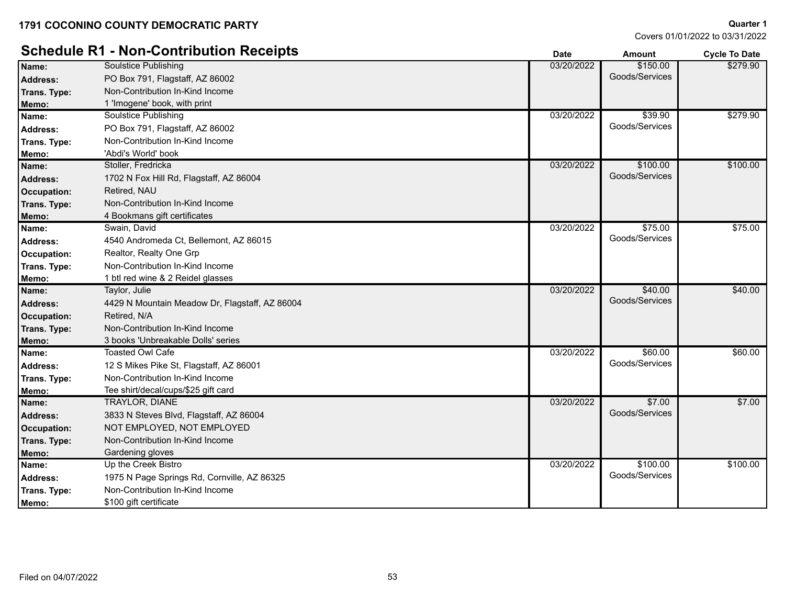# **Schedule R1 - Non-Contribution Receipts Date Amount Cycle To Date**

|  |  | overs 01/01/2022 to 03/31/2022 |
|--|--|--------------------------------|

|                    | Schedule R1 - Non-Contribution Receipts        | <b>Date</b> | <b>Amount</b>  | <b>Cycle To Date</b> |
|--------------------|------------------------------------------------|-------------|----------------|----------------------|
| Name:              | <b>Soulstice Publishing</b>                    | 03/20/2022  | \$150.00       | \$279.90             |
| Address:           | PO Box 791, Flagstaff, AZ 86002                |             | Goods/Services |                      |
| Trans. Type:       | Non-Contribution In-Kind Income                |             |                |                      |
| Memo:              | 1 'Imogene' book, with print                   |             |                |                      |
| Name:              | <b>Soulstice Publishing</b>                    | 03/20/2022  | \$39.90        | \$279.90             |
| Address:           | PO Box 791, Flagstaff, AZ 86002                |             | Goods/Services |                      |
| Trans. Type:       | Non-Contribution In-Kind Income                |             |                |                      |
| Memo:              | 'Abdi's World' book                            |             |                |                      |
| Name:              | Stoller, Fredricka                             | 03/20/2022  | \$100.00       | \$100.00             |
| <b>Address:</b>    | 1702 N Fox Hill Rd, Flagstaff, AZ 86004        |             | Goods/Services |                      |
| <b>Occupation:</b> | Retired, NAU                                   |             |                |                      |
| Trans. Type:       | Non-Contribution In-Kind Income                |             |                |                      |
| Memo:              | 4 Bookmans gift certificates                   |             |                |                      |
| Name:              | Swain, David                                   | 03/20/2022  | \$75.00        | \$75.00              |
| <b>Address:</b>    | 4540 Andromeda Ct, Bellemont, AZ 86015         |             | Goods/Services |                      |
| Occupation:        | Realtor, Realty One Grp                        |             |                |                      |
| Trans. Type:       | Non-Contribution In-Kind Income                |             |                |                      |
| Memo:              | 1 btl red wine & 2 Reidel glasses              |             |                |                      |
| Name:              | Taylor, Julie                                  | 03/20/2022  | \$40.00        | \$40.00              |
| <b>Address:</b>    | 4429 N Mountain Meadow Dr, Flagstaff, AZ 86004 |             | Goods/Services |                      |
| <b>Occupation:</b> | Retired, N/A                                   |             |                |                      |
| Trans. Type:       | Non-Contribution In-Kind Income                |             |                |                      |
| Memo:              | 3 books 'Unbreakable Dolls' series             |             |                |                      |
| Name:              | Toasted Owl Cafe                               | 03/20/2022  | \$60.00        | \$60.00              |
| Address:           | 12 S Mikes Pike St, Flagstaff, AZ 86001        |             | Goods/Services |                      |
| Trans. Type:       | Non-Contribution In-Kind Income                |             |                |                      |
| Memo:              | Tee shirt/decal/cups/\$25 gift card            |             |                |                      |
| Name:              | TRAYLOR, DIANE                                 | 03/20/2022  | \$7.00         | \$7.00               |
| <b>Address:</b>    | 3833 N Steves Blvd, Flagstaff, AZ 86004        |             | Goods/Services |                      |
| <b>Occupation:</b> | NOT EMPLOYED, NOT EMPLOYED                     |             |                |                      |
| Trans. Type:       | Non-Contribution In-Kind Income                |             |                |                      |
| Memo:              | Gardening gloves                               |             |                |                      |
| Name:              | Up the Creek Bistro                            | 03/20/2022  | \$100.00       | \$100.00             |
| <b>Address:</b>    | 1975 N Page Springs Rd, Cornville, AZ 86325    |             | Goods/Services |                      |
| Trans. Type:       | Non-Contribution In-Kind Income                |             |                |                      |
| Memo:              | \$100 gift certificate                         |             |                |                      |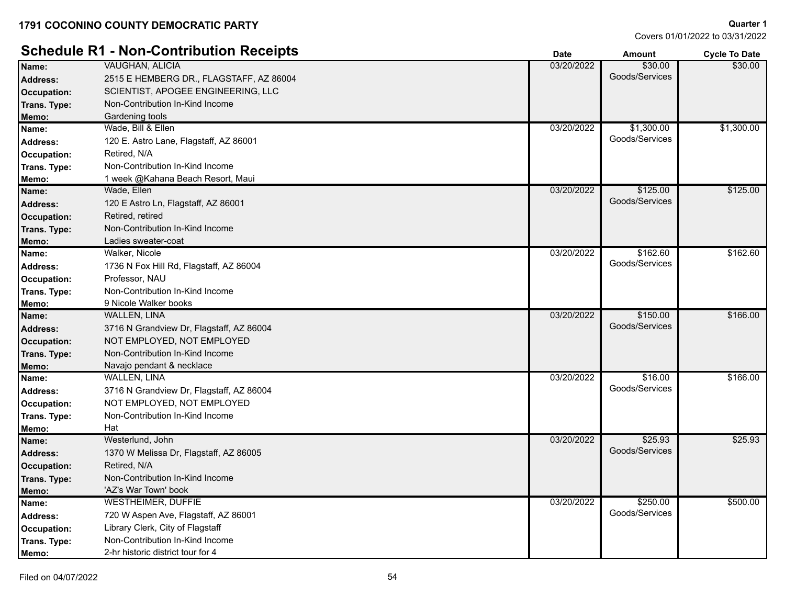|                    | <b>Schedule R1 - Non-Contribution Receipts</b> | <b>Date</b> | <b>Amount</b>  | <b>Cycle To Date</b> |
|--------------------|------------------------------------------------|-------------|----------------|----------------------|
| Name:              | <b>VAUGHAN, ALICIA</b>                         | 03/20/2022  | \$30.00        | \$30.00              |
| <b>Address:</b>    | 2515 E HEMBERG DR., FLAGSTAFF, AZ 86004        |             | Goods/Services |                      |
| Occupation:        | SCIENTIST, APOGEE ENGINEERING, LLC             |             |                |                      |
| Trans. Type:       | Non-Contribution In-Kind Income                |             |                |                      |
| Memo:              | Gardening tools                                |             |                |                      |
| Name:              | Wade, Bill & Ellen                             | 03/20/2022  | \$1,300.00     | \$1,300.00           |
| <b>Address:</b>    | 120 E. Astro Lane, Flagstaff, AZ 86001         |             | Goods/Services |                      |
| Occupation:        | Retired, N/A                                   |             |                |                      |
| Trans. Type:       | Non-Contribution In-Kind Income                |             |                |                      |
| Memo:              | 1 week @Kahana Beach Resort, Maui              |             |                |                      |
| Name:              | Wade, Ellen                                    | 03/20/2022  | \$125.00       | \$125.00             |
| <b>Address:</b>    | 120 E Astro Ln, Flagstaff, AZ 86001            |             | Goods/Services |                      |
| <b>Occupation:</b> | Retired, retired                               |             |                |                      |
| Trans. Type:       | Non-Contribution In-Kind Income                |             |                |                      |
| Memo:              | Ladies sweater-coat                            |             |                |                      |
| Name:              | Walker, Nicole                                 | 03/20/2022  | \$162.60       | \$162.60             |
| <b>Address:</b>    | 1736 N Fox Hill Rd, Flagstaff, AZ 86004        |             | Goods/Services |                      |
| Occupation:        | Professor, NAU                                 |             |                |                      |
| Trans. Type:       | Non-Contribution In-Kind Income                |             |                |                      |
| Memo:              | 9 Nicole Walker books                          |             |                |                      |
| Name:              | <b>WALLEN, LINA</b>                            | 03/20/2022  | \$150.00       | \$166.00             |
| <b>Address:</b>    | 3716 N Grandview Dr, Flagstaff, AZ 86004       |             | Goods/Services |                      |
| <b>Occupation:</b> | NOT EMPLOYED, NOT EMPLOYED                     |             |                |                      |
| Trans. Type:       | Non-Contribution In-Kind Income                |             |                |                      |
| Memo:              | Navajo pendant & necklace                      |             |                |                      |
| Name:              | WALLEN, LINA                                   | 03/20/2022  | \$16.00        | \$166.00             |
| <b>Address:</b>    | 3716 N Grandview Dr, Flagstaff, AZ 86004       |             | Goods/Services |                      |
| Occupation:        | NOT EMPLOYED, NOT EMPLOYED                     |             |                |                      |
| Trans. Type:       | Non-Contribution In-Kind Income                |             |                |                      |
| Memo:              | Hat                                            |             |                |                      |
| Name:              | Westerlund, John                               | 03/20/2022  | \$25.93        | \$25.93              |
| <b>Address:</b>    | 1370 W Melissa Dr, Flagstaff, AZ 86005         |             | Goods/Services |                      |
| Occupation:        | Retired, N/A                                   |             |                |                      |
| Trans. Type:       | Non-Contribution In-Kind Income                |             |                |                      |
| Memo:              | 'AZ's War Town' book                           |             |                |                      |
| Name:              | <b>WESTHEIMER, DUFFIE</b>                      | 03/20/2022  | \$250.00       | \$500.00             |
| <b>Address:</b>    | 720 W Aspen Ave, Flagstaff, AZ 86001           |             | Goods/Services |                      |
| Occupation:        | Library Clerk, City of Flagstaff               |             |                |                      |
| Trans. Type:       | Non-Contribution In-Kind Income                |             |                |                      |
| Memo:              | 2-hr historic district tour for 4              |             |                |                      |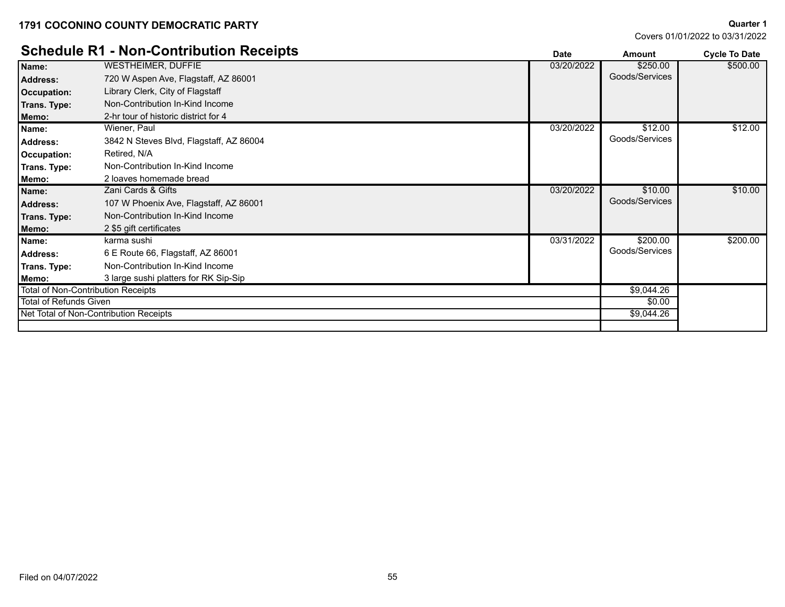Covers 01/01/2022 to 03/31/2022

**Quarter 1**

\$500.00

## **Schedule R1 - Non-Contribution Receipts Date Date Date Amount Cycle To Date** WESTHEIMER, DUFFIE **Name:** 03/20/2022 \$250.00 Address: 720 W Aspen Ave, Flagstaff, AZ 86001 **Contract and Contract and Contract and Contract and Contract and Contract and Contract and Contract and Contract and Contract and Contract and Contract and Contract and Contra Occupation:** Library Clerk, City of Flagstaff **Trans. Type:** Non-Contribution In-Kind Income

| Occupation:            | Library Glerk, Gity of Flagstall          |            |                |          |
|------------------------|-------------------------------------------|------------|----------------|----------|
| Trans. Type:           | Non-Contribution In-Kind Income           |            |                |          |
| Memo:                  | 2-hr tour of historic district for 4      |            |                |          |
| Name:                  | Wiener, Paul                              | 03/20/2022 | \$12.00        | \$12.00  |
| <b>Address:</b>        | 3842 N Steves Blvd, Flagstaff, AZ 86004   |            | Goods/Services |          |
| Occupation:            | Retired, N/A                              |            |                |          |
| Trans. Type:           | Non-Contribution In-Kind Income           |            |                |          |
| Memo:                  | 2 loaves homemade bread                   |            |                |          |
| Name:                  | Zani Cards & Gifts                        | 03/20/2022 | \$10.00        | \$10.00  |
| <b>Address:</b>        | 107 W Phoenix Ave, Flagstaff, AZ 86001    |            | Goods/Services |          |
| Trans. Type:           | Non-Contribution In-Kind Income           |            |                |          |
| Memo:                  | 2 \$5 gift certificates                   |            |                |          |
| Name:                  | karma sushi                               | 03/31/2022 | \$200.00       | \$200.00 |
| Address:               | 6 E Route 66, Flagstaff, AZ 86001         |            | Goods/Services |          |
| Trans. Type:           | Non-Contribution In-Kind Income           |            |                |          |
| Memo:                  | 3 large sushi platters for RK Sip-Sip     |            |                |          |
|                        | <b>Total of Non-Contribution Receipts</b> |            | \$9,044.26     |          |
| Total of Refunds Given |                                           |            | \$0.00         |          |
|                        | Net Total of Non-Contribution Receipts    |            | \$9,044.26     |          |
|                        |                                           |            |                |          |